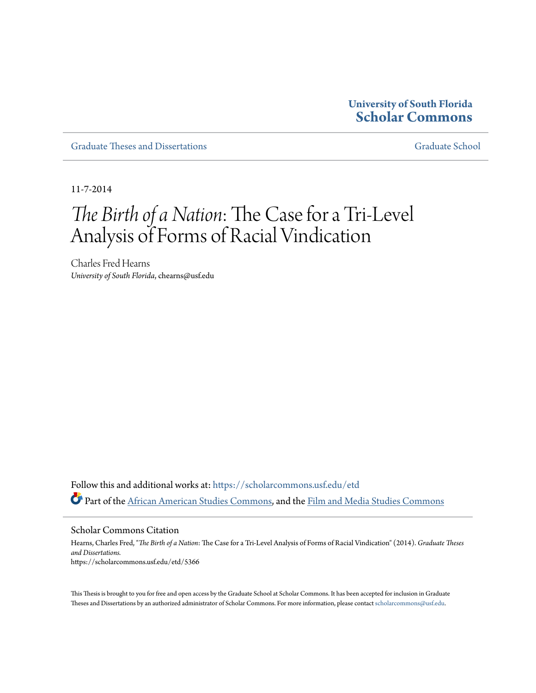# **University of South Florida [Scholar Commons](https://scholarcommons.usf.edu?utm_source=scholarcommons.usf.edu%2Fetd%2F5366&utm_medium=PDF&utm_campaign=PDFCoverPages)**

[Graduate Theses and Dissertations](https://scholarcommons.usf.edu/etd?utm_source=scholarcommons.usf.edu%2Fetd%2F5366&utm_medium=PDF&utm_campaign=PDFCoverPages) [Graduate School](https://scholarcommons.usf.edu/grad?utm_source=scholarcommons.usf.edu%2Fetd%2F5366&utm_medium=PDF&utm_campaign=PDFCoverPages)

11-7-2014

# *The Birth of a Nation*: The Case for a Tri-Level Analysis of Forms of Racial Vindication

Charles Fred Hearns *University of South Florida*, chearns@usf.edu

Follow this and additional works at: [https://scholarcommons.usf.edu/etd](https://scholarcommons.usf.edu/etd?utm_source=scholarcommons.usf.edu%2Fetd%2F5366&utm_medium=PDF&utm_campaign=PDFCoverPages) Part of the [African American Studies Commons,](http://network.bepress.com/hgg/discipline/567?utm_source=scholarcommons.usf.edu%2Fetd%2F5366&utm_medium=PDF&utm_campaign=PDFCoverPages) and the [Film and Media Studies Commons](http://network.bepress.com/hgg/discipline/563?utm_source=scholarcommons.usf.edu%2Fetd%2F5366&utm_medium=PDF&utm_campaign=PDFCoverPages)

Scholar Commons Citation

Hearns, Charles Fred, "*The Birth of a Nation*: The Case for a Tri-Level Analysis of Forms of Racial Vindication" (2014). *Graduate Theses and Dissertations.* https://scholarcommons.usf.edu/etd/5366

This Thesis is brought to you for free and open access by the Graduate School at Scholar Commons. It has been accepted for inclusion in Graduate Theses and Dissertations by an authorized administrator of Scholar Commons. For more information, please contact [scholarcommons@usf.edu.](mailto:scholarcommons@usf.edu)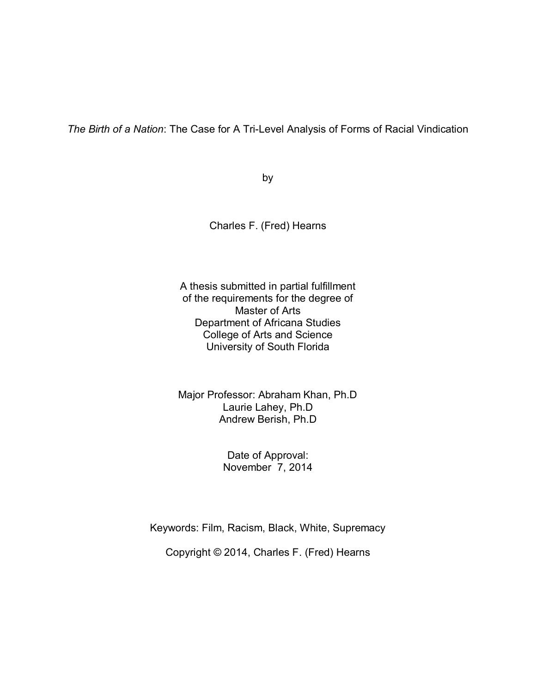*The Birth of a Nation*: The Case for A Tri-Level Analysis of Forms of Racial Vindication

by

Charles F. (Fred) Hearns

A thesis submitted in partial fulfillment of the requirements for the degree of Master of Arts Department of Africana Studies College of Arts and Science University of South Florida

Major Professor: Abraham Khan, Ph.D Laurie Lahey, Ph.D Andrew Berish, Ph.D

> Date of Approval: November 7, 2014

Keywords: Film, Racism, Black, White, Supremacy

Copyright © 2014, Charles F. (Fred) Hearns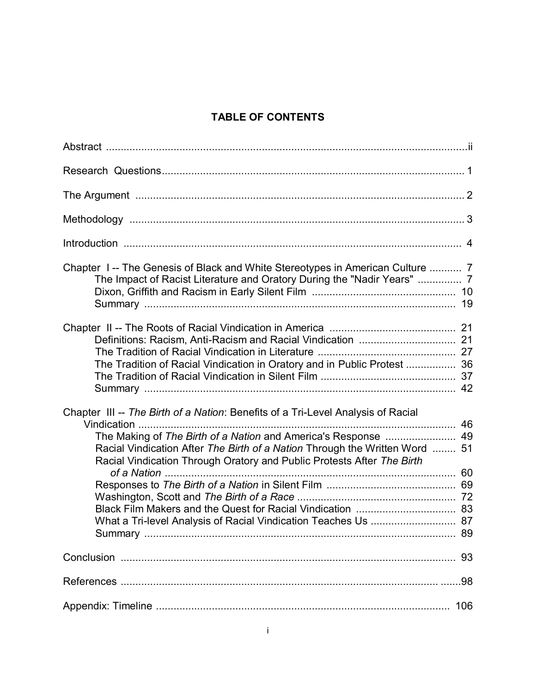# **TABLE OF CONTENTS**

| Chapter I-- The Genesis of Black and White Stereotypes in American Culture  7<br>The Impact of Racist Literature and Oratory During the "Nadir Years"  7                                                                                  |     |
|-------------------------------------------------------------------------------------------------------------------------------------------------------------------------------------------------------------------------------------------|-----|
| The Tradition of Racial Vindication in Oratory and in Public Protest  36                                                                                                                                                                  |     |
| Chapter III -- The Birth of a Nation: Benefits of a Tri-Level Analysis of Racial<br>Racial Vindication After The Birth of a Nation Through the Written Word  51<br>Racial Vindication Through Oratory and Public Protests After The Birth | 46  |
|                                                                                                                                                                                                                                           | 93  |
|                                                                                                                                                                                                                                           |     |
|                                                                                                                                                                                                                                           | 106 |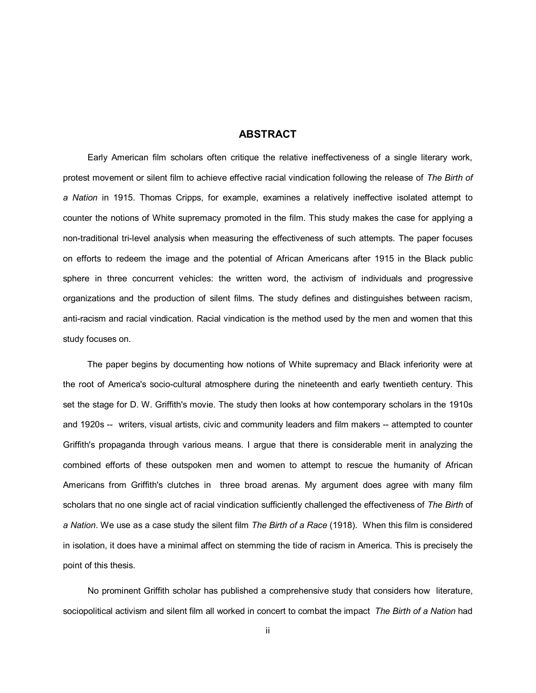#### **ABSTRACT**

 Early American film scholars often critique the relative ineffectiveness of a single literary work, protest movement or silent film to achieve effective racial vindication following the release of *The Birth of a Nation* in 1915. Thomas Cripps, for example, examines a relatively ineffective isolated attempt to counter the notions of White supremacy promoted in the film. This study makes the case for applying a non-traditional tri-level analysis when measuring the effectiveness of such attempts. The paper focuses on efforts to redeem the image and the potential of African Americans after 1915 in the Black public sphere in three concurrent vehicles: the written word, the activism of individuals and progressive organizations and the production of silent films. The study defines and distinguishes between racism, anti-racism and racial vindication. Racial vindication is the method used by the men and women that this study focuses on.

 The paper begins by documenting how notions of White supremacy and Black inferiority were at the root of America's socio-cultural atmosphere during the nineteenth and early twentieth century. This set the stage for D. W. Griffith's movie. The study then looks at how contemporary scholars in the 1910s and 1920s -- writers, visual artists, civic and community leaders and film makers -- attempted to counter Griffith's propaganda through various means. I argue that there is considerable merit in analyzing the combined efforts of these outspoken men and women to attempt to rescue the humanity of African Americans from Griffith's clutches in three broad arenas. My argument does agree with many film scholars that no one single act of racial vindication sufficiently challenged the effectiveness of *The Birth* of *a Nation*. We use as a case study the silent film *The Birth of a Race* (1918). When this film is considered in isolation, it does have a minimal affect on stemming the tide of racism in America. This is precisely the point of this thesis.

 No prominent Griffith scholar has published a comprehensive study that considers how literature, sociopolitical activism and silent film all worked in concert to combat the impact *The Birth of a Nation* had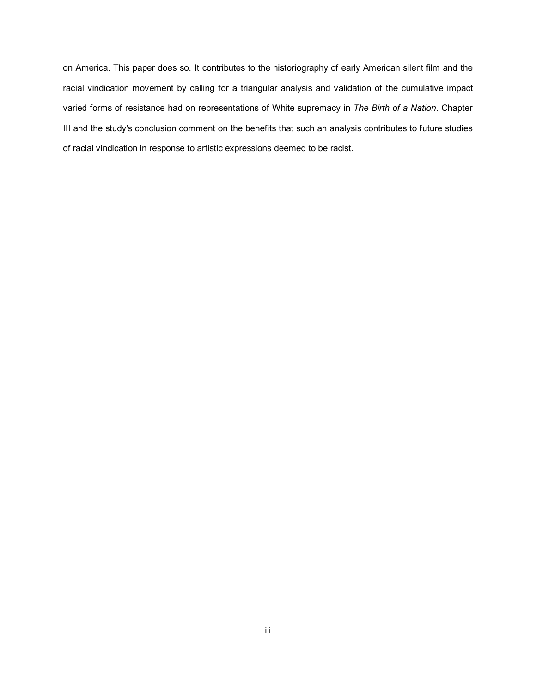on America. This paper does so. It contributes to the historiography of early American silent film and the racial vindication movement by calling for a triangular analysis and validation of the cumulative impact varied forms of resistance had on representations of White supremacy in *The Birth of a Nation*. Chapter III and the study's conclusion comment on the benefits that such an analysis contributes to future studies of racial vindication in response to artistic expressions deemed to be racist.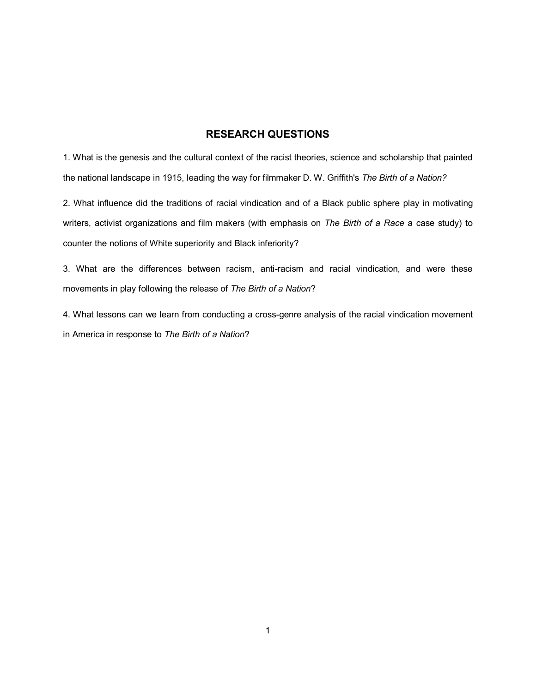# **RESEARCH QUESTIONS**

1. What is the genesis and the cultural context of the racist theories, science and scholarship that painted the national landscape in 1915, leading the way for filmmaker D. W. Griffith's *The Birth of a Nation?*

2. What influence did the traditions of racial vindication and of a Black public sphere play in motivating writers, activist organizations and film makers (with emphasis on *The Birth of a Race* a case study) to counter the notions of White superiority and Black inferiority?

3. What are the differences between racism, anti-racism and racial vindication, and were these movements in play following the release of *The Birth of a Nation*?

4. What lessons can we learn from conducting a cross-genre analysis of the racial vindication movement in America in response to *The Birth of a Nation*?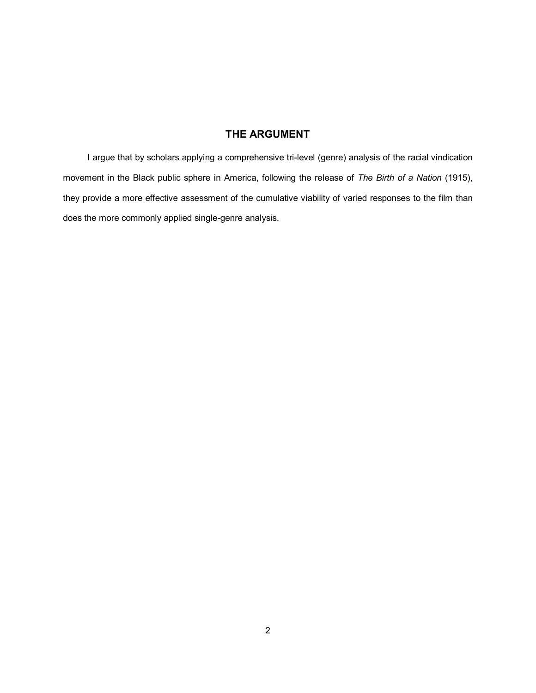# **THE ARGUMENT**

 I argue that by scholars applying a comprehensive tri-level (genre) analysis of the racial vindication movement in the Black public sphere in America, following the release of *The Birth of a Nation* (1915), they provide a more effective assessment of the cumulative viability of varied responses to the film than does the more commonly applied single-genre analysis.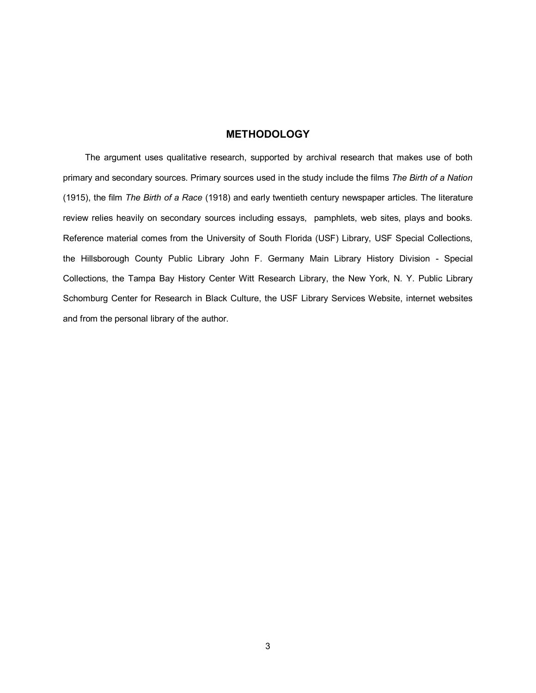# **METHODOLOGY**

 The argument uses qualitative research, supported by archival research that makes use of both primary and secondary sources. Primary sources used in the study include the films *The Birth of a Nation* (1915), the film *The Birth of a Race* (1918) and early twentieth century newspaper articles. The literature review relies heavily on secondary sources including essays, pamphlets, web sites, plays and books. Reference material comes from the University of South Florida (USF) Library, USF Special Collections, the Hillsborough County Public Library John F. Germany Main Library History Division - Special Collections, the Tampa Bay History Center Witt Research Library, the New York, N. Y. Public Library Schomburg Center for Research in Black Culture, the USF Library Services Website, internet websites and from the personal library of the author.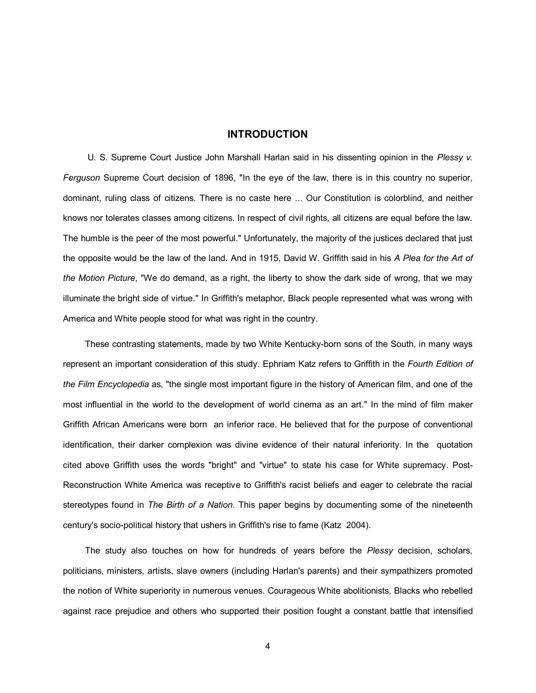#### **INTRODUCTION**

 U. S. Supreme Court Justice John Marshall Harlan said in his dissenting opinion in the *Plessy v. Ferguson* Supreme Court decision of 1896, "In the eye of the law, there is in this country no superior, dominant, ruling class of citizens. There is no caste here ... Our Constitution is colorblind, and neither knows nor tolerates classes among citizens. In respect of civil rights, all citizens are equal before the law. The humble is the peer of the most powerful." Unfortunately, the majority of the justices declared that just the opposite would be the law of the land. And in 1915, David W. Griffith said in his *A Plea for the Art of the Motion Picture*, "We do demand, as a right, the liberty to show the dark side of wrong, that we may illuminate the bright side of virtue." In Griffith's metaphor, Black people represented what was wrong with America and White people stood for what was right in the country.

 These contrasting statements, made by two White Kentucky-born sons of the South, in many ways represent an important consideration of this study. Ephriam Katz refers to Griffith in the *Fourth Edition of the Film Encyclopedia* as, "the single most important figure in the history of American film, and one of the most influential in the world to the development of world cinema as an art." In the mind of film maker Griffith African Americans were born an inferior race. He believed that for the purpose of conventional identification, their darker complexion was divine evidence of their natural inferiority. In the quotation cited above Griffith uses the words "bright" and "virtue" to state his case for White supremacy. Post-Reconstruction White America was receptive to Griffith's racist beliefs and eager to celebrate the racial stereotypes found in *The Birth of a Nation*. This paper begins by documenting some of the nineteenth century's socio-political history that ushers in Griffith's rise to fame (Katz 2004).

 The study also touches on how for hundreds of years before the *Plessy* decision, scholars, politicians, ministers, artists, slave owners (including Harlan's parents) and their sympathizers promoted the notion of White superiority in numerous venues. Courageous White abolitionists, Blacks who rebelled against race prejudice and others who supported their position fought a constant battle that intensified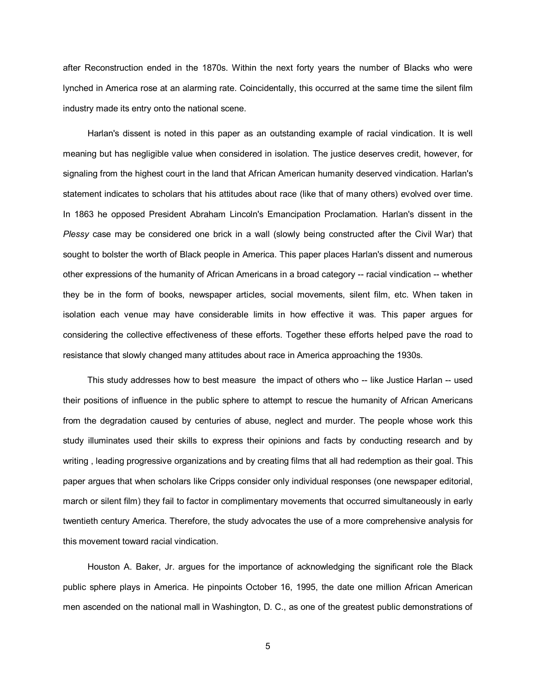after Reconstruction ended in the 1870s. Within the next forty years the number of Blacks who were lynched in America rose at an alarming rate. Coincidentally, this occurred at the same time the silent film industry made its entry onto the national scene.

 Harlan's dissent is noted in this paper as an outstanding example of racial vindication. It is well meaning but has negligible value when considered in isolation. The justice deserves credit, however, for signaling from the highest court in the land that African American humanity deserved vindication. Harlan's statement indicates to scholars that his attitudes about race (like that of many others) evolved over time. In 1863 he opposed President Abraham Lincoln's Emancipation Proclamation. Harlan's dissent in the *Plessy* case may be considered one brick in a wall (slowly being constructed after the Civil War) that sought to bolster the worth of Black people in America. This paper places Harlan's dissent and numerous other expressions of the humanity of African Americans in a broad category -- racial vindication -- whether they be in the form of books, newspaper articles, social movements, silent film, etc. When taken in isolation each venue may have considerable limits in how effective it was. This paper argues for considering the collective effectiveness of these efforts. Together these efforts helped pave the road to resistance that slowly changed many attitudes about race in America approaching the 1930s.

 This study addresses how to best measure the impact of others who -- like Justice Harlan -- used their positions of influence in the public sphere to attempt to rescue the humanity of African Americans from the degradation caused by centuries of abuse, neglect and murder. The people whose work this study illuminates used their skills to express their opinions and facts by conducting research and by writing , leading progressive organizations and by creating films that all had redemption as their goal. This paper argues that when scholars like Cripps consider only individual responses (one newspaper editorial, march or silent film) they fail to factor in complimentary movements that occurred simultaneously in early twentieth century America. Therefore, the study advocates the use of a more comprehensive analysis for this movement toward racial vindication.

 Houston A. Baker, Jr. argues for the importance of acknowledging the significant role the Black public sphere plays in America. He pinpoints October 16, 1995, the date one million African American men ascended on the national mall in Washington, D. C., as one of the greatest public demonstrations of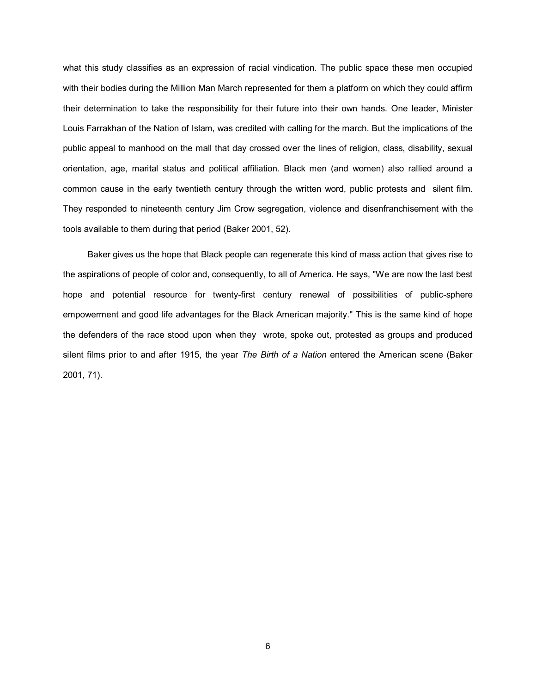what this study classifies as an expression of racial vindication. The public space these men occupied with their bodies during the Million Man March represented for them a platform on which they could affirm their determination to take the responsibility for their future into their own hands. One leader, Minister Louis Farrakhan of the Nation of Islam, was credited with calling for the march. But the implications of the public appeal to manhood on the mall that day crossed over the lines of religion, class, disability, sexual orientation, age, marital status and political affiliation. Black men (and women) also rallied around a common cause in the early twentieth century through the written word, public protests and silent film. They responded to nineteenth century Jim Crow segregation, violence and disenfranchisement with the tools available to them during that period (Baker 2001, 52).

 Baker gives us the hope that Black people can regenerate this kind of mass action that gives rise to the aspirations of people of color and, consequently, to all of America. He says, "We are now the last best hope and potential resource for twenty-first century renewal of possibilities of public-sphere empowerment and good life advantages for the Black American majority." This is the same kind of hope the defenders of the race stood upon when they wrote, spoke out, protested as groups and produced silent films prior to and after 1915, the year *The Birth of a Nation* entered the American scene (Baker 2001, 71).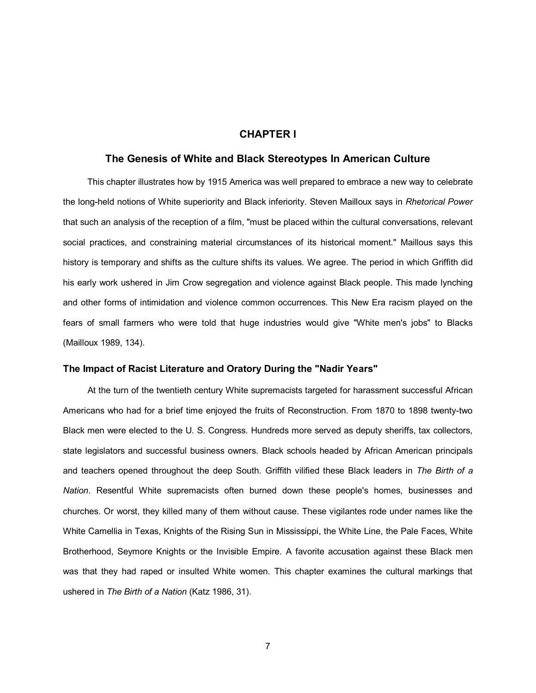#### **CHAPTER I**

## **The Genesis of White and Black Stereotypes In American Culture**

 This chapter illustrates how by 1915 America was well prepared to embrace a new way to celebrate the long-held notions of White superiority and Black inferiority. Steven Mailloux says in *Rhetorical Power* that such an analysis of the reception of a film, "must be placed within the cultural conversations, relevant social practices, and constraining material circumstances of its historical moment." Maillous says this history is temporary and shifts as the culture shifts its values. We agree. The period in which Griffith did his early work ushered in Jim Crow segregation and violence against Black people. This made lynching and other forms of intimidation and violence common occurrences. This New Era racism played on the fears of small farmers who were told that huge industries would give "White men's jobs" to Blacks (Mailloux 1989, 134).

#### **The Impact of Racist Literature and Oratory During the "Nadir Years"**

 At the turn of the twentieth century White supremacists targeted for harassment successful African Americans who had for a brief time enjoyed the fruits of Reconstruction. From 1870 to 1898 twenty-two Black men were elected to the U. S. Congress. Hundreds more served as deputy sheriffs, tax collectors, state legislators and successful business owners. Black schools headed by African American principals and teachers opened throughout the deep South. Griffith vilified these Black leaders in *The Birth of a Nation*. Resentful White supremacists often burned down these people's homes, businesses and churches. Or worst, they killed many of them without cause. These vigilantes rode under names like the White Camellia in Texas, Knights of the Rising Sun in Mississippi, the White Line, the Pale Faces, White Brotherhood, Seymore Knights or the Invisible Empire. A favorite accusation against these Black men was that they had raped or insulted White women. This chapter examines the cultural markings that ushered in *The Birth of a Nation* (Katz 1986, 31).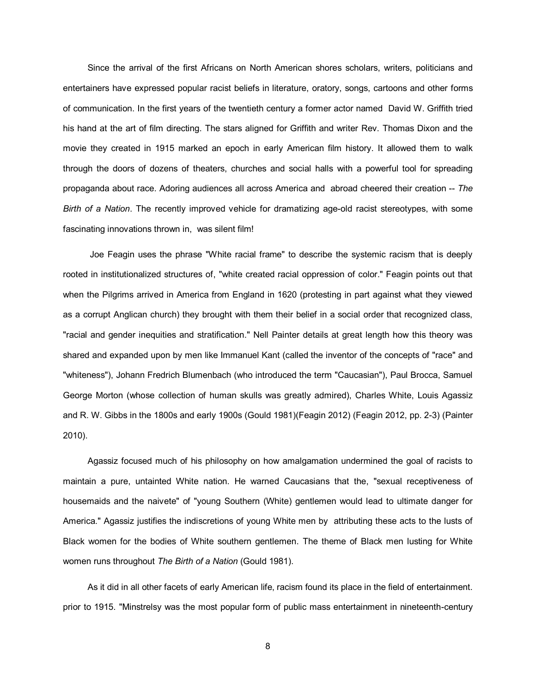Since the arrival of the first Africans on North American shores scholars, writers, politicians and entertainers have expressed popular racist beliefs in literature, oratory, songs, cartoons and other forms of communication. In the first years of the twentieth century a former actor named David W. Griffith tried his hand at the art of film directing. The stars aligned for Griffith and writer Rev. Thomas Dixon and the movie they created in 1915 marked an epoch in early American film history. It allowed them to walk through the doors of dozens of theaters, churches and social halls with a powerful tool for spreading propaganda about race. Adoring audiences all across America and abroad cheered their creation -- *The Birth of a Nation*. The recently improved vehicle for dramatizing age-old racist stereotypes, with some fascinating innovations thrown in, was silent film!

 Joe Feagin uses the phrase "White racial frame" to describe the systemic racism that is deeply rooted in institutionalized structures of, "white created racial oppression of color." Feagin points out that when the Pilgrims arrived in America from England in 1620 (protesting in part against what they viewed as a corrupt Anglican church) they brought with them their belief in a social order that recognized class, "racial and gender inequities and stratification." Nell Painter details at great length how this theory was shared and expanded upon by men like Immanuel Kant (called the inventor of the concepts of "race" and "whiteness"), Johann Fredrich Blumenbach (who introduced the term "Caucasian"), Paul Brocca, Samuel George Morton (whose collection of human skulls was greatly admired), Charles White, Louis Agassiz and R. W. Gibbs in the 1800s and early 1900s (Gould 1981)(Feagin 2012) (Feagin 2012, pp. 2-3) (Painter 2010).

 Agassiz focused much of his philosophy on how amalgamation undermined the goal of racists to maintain a pure, untainted White nation. He warned Caucasians that the, "sexual receptiveness of housemaids and the naivete" of "young Southern (White) gentlemen would lead to ultimate danger for America." Agassiz justifies the indiscretions of young White men by attributing these acts to the lusts of Black women for the bodies of White southern gentlemen. The theme of Black men lusting for White women runs throughout *The Birth of a Nation* (Gould 1981).

 As it did in all other facets of early American life, racism found its place in the field of entertainment. prior to 1915. "Minstrelsy was the most popular form of public mass entertainment in nineteenth-century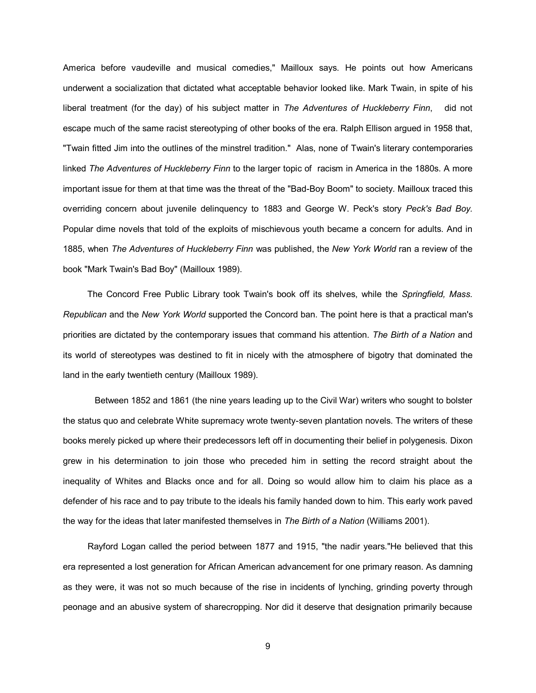America before vaudeville and musical comedies," Mailloux says. He points out how Americans underwent a socialization that dictated what acceptable behavior looked like. Mark Twain, in spite of his liberal treatment (for the day) of his subject matter in *The Adventures of Huckleberry Finn*, did not escape much of the same racist stereotyping of other books of the era. Ralph Ellison argued in 1958 that, "Twain fitted Jim into the outlines of the minstrel tradition." Alas, none of Twain's literary contemporaries linked *The Adventures of Huckleberry Finn* to the larger topic of racism in America in the 1880s. A more important issue for them at that time was the threat of the "Bad-Boy Boom" to society. Mailloux traced this overriding concern about juvenile delinquency to 1883 and George W. Peck's story *Peck's Bad Boy.* Popular dime novels that told of the exploits of mischievous youth became a concern for adults. And in 1885, when *The Adventures of Huckleberry Finn* was published, the *New York World* ran a review of the book "Mark Twain's Bad Boy" (Mailloux 1989).

 The Concord Free Public Library took Twain's book off its shelves, while the *Springfield, Mass. Republican* and the *New York World* supported the Concord ban. The point here is that a practical man's priorities are dictated by the contemporary issues that command his attention. *The Birth of a Nation* and its world of stereotypes was destined to fit in nicely with the atmosphere of bigotry that dominated the land in the early twentieth century (Mailloux 1989).

 Between 1852 and 1861 (the nine years leading up to the Civil War) writers who sought to bolster the status quo and celebrate White supremacy wrote twenty-seven plantation novels. The writers of these books merely picked up where their predecessors left off in documenting their belief in polygenesis. Dixon grew in his determination to join those who preceded him in setting the record straight about the inequality of Whites and Blacks once and for all. Doing so would allow him to claim his place as a defender of his race and to pay tribute to the ideals his family handed down to him. This early work paved the way for the ideas that later manifested themselves in *The Birth of a Nation* (Williams 2001).

 Rayford Logan called the period between 1877 and 1915, "the nadir years."He believed that this era represented a lost generation for African American advancement for one primary reason. As damning as they were, it was not so much because of the rise in incidents of lynching, grinding poverty through peonage and an abusive system of sharecropping. Nor did it deserve that designation primarily because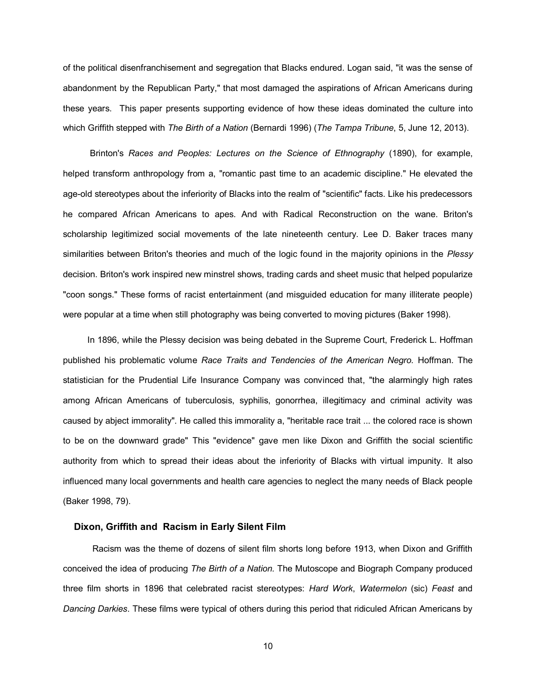of the political disenfranchisement and segregation that Blacks endured. Logan said, "it was the sense of abandonment by the Republican Party," that most damaged the aspirations of African Americans during these years. This paper presents supporting evidence of how these ideas dominated the culture into which Griffith stepped with *The Birth of a Nation* (Bernardi 1996) (*The Tampa Tribune*, 5, June 12, 2013).

 Brinton's *Races and Peoples: Lectures on the Science of Ethnography* (1890), for example, helped transform anthropology from a, "romantic past time to an academic discipline." He elevated the age-old stereotypes about the inferiority of Blacks into the realm of "scientific" facts. Like his predecessors he compared African Americans to apes. And with Radical Reconstruction on the wane. Briton's scholarship legitimized social movements of the late nineteenth century. Lee D. Baker traces many similarities between Briton's theories and much of the logic found in the majority opinions in the *Plessy* decision. Briton's work inspired new minstrel shows, trading cards and sheet music that helped popularize "coon songs." These forms of racist entertainment (and misguided education for many illiterate people) were popular at a time when still photography was being converted to moving pictures (Baker 1998).

 In 1896, while the Plessy decision was being debated in the Supreme Court, Frederick L. Hoffman published his problematic volume *Race Traits and Tendencies of the American Negro.* Hoffman. The statistician for the Prudential Life Insurance Company was convinced that, "the alarmingly high rates among African Americans of tuberculosis, syphilis, gonorrhea, illegitimacy and criminal activity was caused by abject immorality". He called this immorality a, "heritable race trait ... the colored race is shown to be on the downward grade" This "evidence" gave men like Dixon and Griffith the social scientific authority from which to spread their ideas about the inferiority of Blacks with virtual impunity. It also influenced many local governments and health care agencies to neglect the many needs of Black people (Baker 1998, 79).

#### **Dixon, Griffith and Racism in Early Silent Film**

 Racism was the theme of dozens of silent film shorts long before 1913, when Dixon and Griffith conceived the idea of producing *The Birth of a Nation.* The Mutoscope and Biograph Company produced three film shorts in 1896 that celebrated racist stereotypes: *Hard Work*, *Watermelon* (sic) *Feast* and *Dancing Darkies*. These films were typical of others during this period that ridiculed African Americans by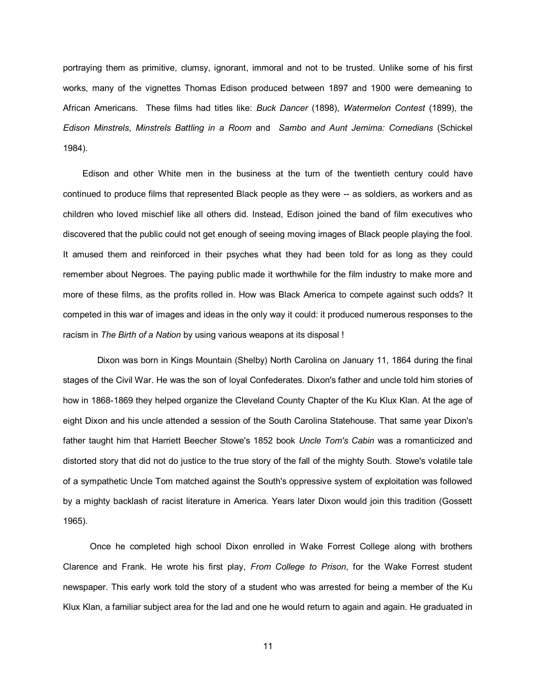portraying them as primitive, clumsy, ignorant, immoral and not to be trusted. Unlike some of his first works, many of the vignettes Thomas Edison produced between 1897 and 1900 were demeaning to African Americans. These films had titles like: *Buck Dancer* (1898), *Watermelon Contest* (1899), the *Edison Minstrels*, *Minstrels Battling in a Room* and *Sambo and Aunt Jemima: Comedians* (Schickel 1984).

 Edison and other White men in the business at the turn of the twentieth century could have continued to produce films that represented Black people as they were -- as soldiers, as workers and as children who loved mischief like all others did. Instead, Edison joined the band of film executives who discovered that the public could not get enough of seeing moving images of Black people playing the fool. It amused them and reinforced in their psyches what they had been told for as long as they could remember about Negroes. The paying public made it worthwhile for the film industry to make more and more of these films, as the profits rolled in. How was Black America to compete against such odds? It competed in this war of images and ideas in the only way it could: it produced numerous responses to the racism in *The Birth of a Nation* by using various weapons at its disposal !

 Dixon was born in Kings Mountain (Shelby) North Carolina on January 11, 1864 during the final stages of the Civil War. He was the son of loyal Confederates. Dixon's father and uncle told him stories of how in 1868-1869 they helped organize the Cleveland County Chapter of the Ku Klux Klan. At the age of eight Dixon and his uncle attended a session of the South Carolina Statehouse. That same year Dixon's father taught him that Harriett Beecher Stowe's 1852 book *Uncle Tom's Cabin* was a romanticized and distorted story that did not do justice to the true story of the fall of the mighty South. Stowe's volatile tale of a sympathetic Uncle Tom matched against the South's oppressive system of exploitation was followed by a mighty backlash of racist literature in America. Years later Dixon would join this tradition (Gossett 1965).

 Once he completed high school Dixon enrolled in Wake Forrest College along with brothers Clarence and Frank. He wrote his first play, *From College to Prison*, for the Wake Forrest student newspaper. This early work told the story of a student who was arrested for being a member of the Ku Klux Klan, a familiar subject area for the lad and one he would return to again and again. He graduated in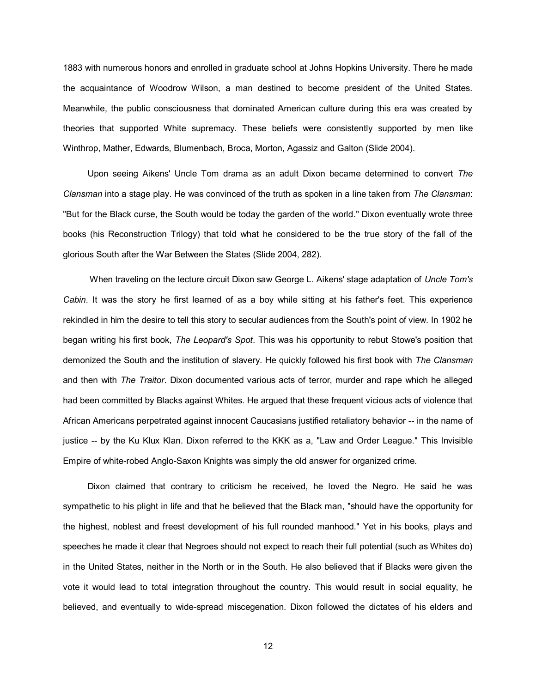1883 with numerous honors and enrolled in graduate school at Johns Hopkins University. There he made the acquaintance of Woodrow Wilson, a man destined to become president of the United States. Meanwhile, the public consciousness that dominated American culture during this era was created by theories that supported White supremacy. These beliefs were consistently supported by men like Winthrop, Mather, Edwards, Blumenbach, Broca, Morton, Agassiz and Galton (Slide 2004).

 Upon seeing Aikens' Uncle Tom drama as an adult Dixon became determined to convert *The Clansman* into a stage play. He was convinced of the truth as spoken in a line taken from *The Clansman*: "But for the Black curse, the South would be today the garden of the world." Dixon eventually wrote three books (his Reconstruction Trilogy) that told what he considered to be the true story of the fall of the glorious South after the War Between the States (Slide 2004, 282).

 When traveling on the lecture circuit Dixon saw George L. Aikens' stage adaptation of *Uncle Tom's Cabin*. It was the story he first learned of as a boy while sitting at his father's feet. This experience rekindled in him the desire to tell this story to secular audiences from the South's point of view. In 1902 he began writing his first book, *The Leopard's Spot*. This was his opportunity to rebut Stowe's position that demonized the South and the institution of slavery. He quickly followed his first book with *The Clansman* and then with *The Traitor*. Dixon documented various acts of terror, murder and rape which he alleged had been committed by Blacks against Whites. He argued that these frequent vicious acts of violence that African Americans perpetrated against innocent Caucasians justified retaliatory behavior -- in the name of justice -- by the Ku Klux Klan. Dixon referred to the KKK as a, "Law and Order League." This Invisible Empire of white-robed Anglo-Saxon Knights was simply the old answer for organized crime.

 Dixon claimed that contrary to criticism he received, he loved the Negro. He said he was sympathetic to his plight in life and that he believed that the Black man, "should have the opportunity for the highest, noblest and freest development of his full rounded manhood." Yet in his books, plays and speeches he made it clear that Negroes should not expect to reach their full potential (such as Whites do) in the United States, neither in the North or in the South. He also believed that if Blacks were given the vote it would lead to total integration throughout the country. This would result in social equality, he believed, and eventually to wide-spread miscegenation. Dixon followed the dictates of his elders and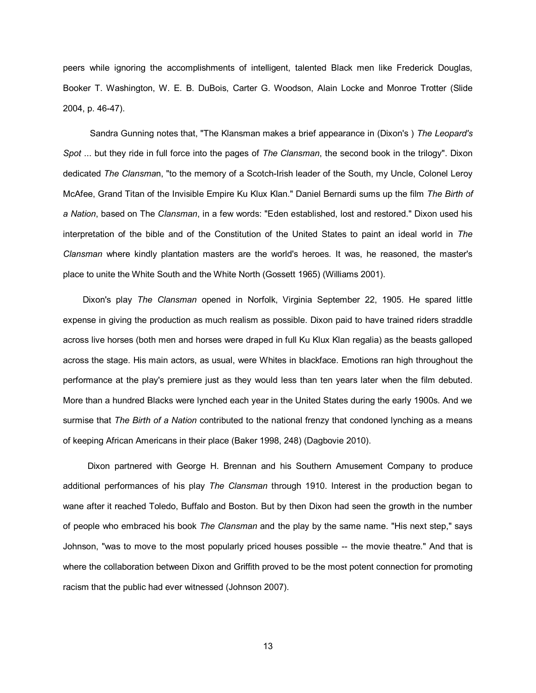peers while ignoring the accomplishments of intelligent, talented Black men like Frederick Douglas, Booker T. Washington, W. E. B. DuBois, Carter G. Woodson, Alain Locke and Monroe Trotter (Slide 2004, p. 46-47).

 Sandra Gunning notes that, "The Klansman makes a brief appearance in (Dixon's ) *The Leopard's Spot* ... but they ride in full force into the pages of *The Clansman*, the second book in the trilogy". Dixon dedicated *The Clansma*n, "to the memory of a Scotch-Irish leader of the South, my Uncle, Colonel Leroy McAfee, Grand Titan of the Invisible Empire Ku Klux Klan." Daniel Bernardi sums up the film *The Birth of a Nation*, based on The *Clansman*, in a few words: "Eden established, lost and restored." Dixon used his interpretation of the bible and of the Constitution of the United States to paint an ideal world in *The Clansman* where kindly plantation masters are the world's heroes. It was, he reasoned, the master's place to unite the White South and the White North (Gossett 1965) (Williams 2001).

 Dixon's play *The Clansman* opened in Norfolk, Virginia September 22, 1905. He spared little expense in giving the production as much realism as possible. Dixon paid to have trained riders straddle across live horses (both men and horses were draped in full Ku Klux Klan regalia) as the beasts galloped across the stage. His main actors, as usual, were Whites in blackface. Emotions ran high throughout the performance at the play's premiere just as they would less than ten years later when the film debuted. More than a hundred Blacks were lynched each year in the United States during the early 1900s. And we surmise that *The Birth of a Nation* contributed to the national frenzy that condoned lynching as a means of keeping African Americans in their place (Baker 1998, 248) (Dagbovie 2010).

 Dixon partnered with George H. Brennan and his Southern Amusement Company to produce additional performances of his play *The Clansman* through 1910. Interest in the production began to wane after it reached Toledo, Buffalo and Boston. But by then Dixon had seen the growth in the number of people who embraced his book *The Clansman* and the play by the same name. "His next step," says Johnson, "was to move to the most popularly priced houses possible -- the movie theatre." And that is where the collaboration between Dixon and Griffith proved to be the most potent connection for promoting racism that the public had ever witnessed (Johnson 2007).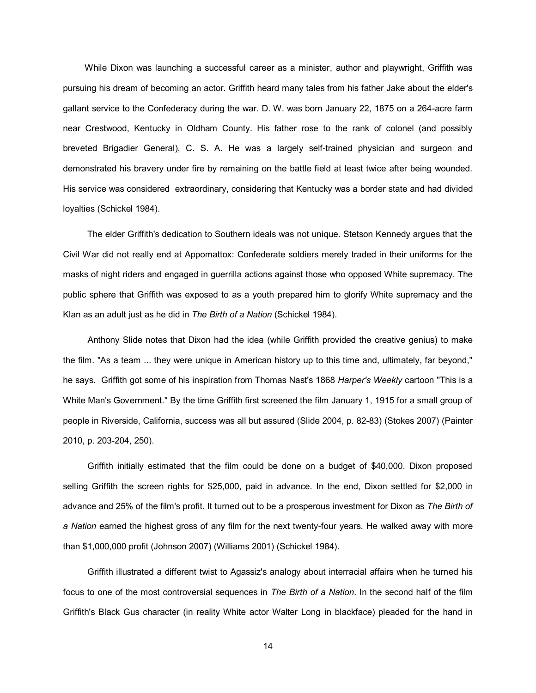While Dixon was launching a successful career as a minister, author and playwright, Griffith was pursuing his dream of becoming an actor. Griffith heard many tales from his father Jake about the elder's gallant service to the Confederacy during the war. D. W. was born January 22, 1875 on a 264-acre farm near Crestwood, Kentucky in Oldham County. His father rose to the rank of colonel (and possibly breveted Brigadier General), C. S. A. He was a largely self-trained physician and surgeon and demonstrated his bravery under fire by remaining on the battle field at least twice after being wounded. His service was considered extraordinary, considering that Kentucky was a border state and had divided loyalties (Schickel 1984).

 The elder Griffith's dedication to Southern ideals was not unique. Stetson Kennedy argues that the Civil War did not really end at Appomattox: Confederate soldiers merely traded in their uniforms for the masks of night riders and engaged in guerrilla actions against those who opposed White supremacy. The public sphere that Griffith was exposed to as a youth prepared him to glorify White supremacy and the Klan as an adult just as he did in *The Birth of a Nation* (Schickel 1984).

 Anthony Slide notes that Dixon had the idea (while Griffith provided the creative genius) to make the film. "As a team ... they were unique in American history up to this time and, ultimately, far beyond," he says. Griffith got some of his inspiration from Thomas Nast's 1868 *Harper's Weekly* cartoon "This is a White Man's Government." By the time Griffith first screened the film January 1, 1915 for a small group of people in Riverside, California, success was all but assured (Slide 2004, p. 82-83) (Stokes 2007) (Painter 2010, p. 203-204, 250).

 Griffith initially estimated that the film could be done on a budget of \$40,000. Dixon proposed selling Griffith the screen rights for \$25,000, paid in advance. In the end, Dixon settled for \$2,000 in advance and 25% of the film's profit. It turned out to be a prosperous investment for Dixon as *The Birth of a Nation* earned the highest gross of any film for the next twenty-four years. He walked away with more than \$1,000,000 profit (Johnson 2007) (Williams 2001) (Schickel 1984).

 Griffith illustrated a different twist to Agassiz's analogy about interracial affairs when he turned his focus to one of the most controversial sequences in *The Birth of a Nation*. In the second half of the film Griffith's Black Gus character (in reality White actor Walter Long in blackface) pleaded for the hand in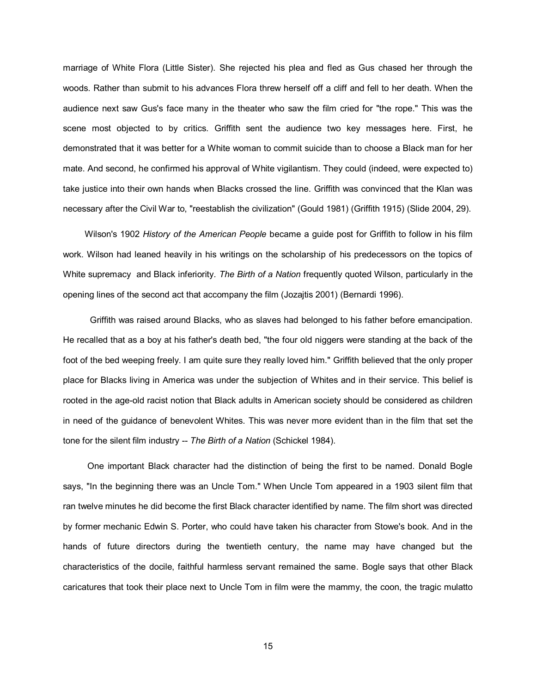marriage of White Flora (Little Sister). She rejected his plea and fled as Gus chased her through the woods. Rather than submit to his advances Flora threw herself off a cliff and fell to her death. When the audience next saw Gus's face many in the theater who saw the film cried for "the rope." This was the scene most objected to by critics. Griffith sent the audience two key messages here. First, he demonstrated that it was better for a White woman to commit suicide than to choose a Black man for her mate. And second, he confirmed his approval of White vigilantism. They could (indeed, were expected to) take justice into their own hands when Blacks crossed the line. Griffith was convinced that the Klan was necessary after the Civil War to, "reestablish the civilization" (Gould 1981) (Griffith 1915) (Slide 2004, 29).

 Wilson's 1902 *History of the American People* became a guide post for Griffith to follow in his film work. Wilson had leaned heavily in his writings on the scholarship of his predecessors on the topics of White supremacy and Black inferiority*. The Birth of a Nation* frequently quoted Wilson, particularly in the opening lines of the second act that accompany the film (Jozajtis 2001) (Bernardi 1996).

 Griffith was raised around Blacks, who as slaves had belonged to his father before emancipation. He recalled that as a boy at his father's death bed, "the four old niggers were standing at the back of the foot of the bed weeping freely. I am quite sure they really loved him." Griffith believed that the only proper place for Blacks living in America was under the subjection of Whites and in their service. This belief is rooted in the age-old racist notion that Black adults in American society should be considered as children in need of the guidance of benevolent Whites. This was never more evident than in the film that set the tone for the silent film industry -- *The Birth of a Nation* (Schickel 1984).

 One important Black character had the distinction of being the first to be named. Donald Bogle says, "In the beginning there was an Uncle Tom." When Uncle Tom appeared in a 1903 silent film that ran twelve minutes he did become the first Black character identified by name. The film short was directed by former mechanic Edwin S. Porter, who could have taken his character from Stowe's book. And in the hands of future directors during the twentieth century, the name may have changed but the characteristics of the docile, faithful harmless servant remained the same. Bogle says that other Black caricatures that took their place next to Uncle Tom in film were the mammy, the coon, the tragic mulatto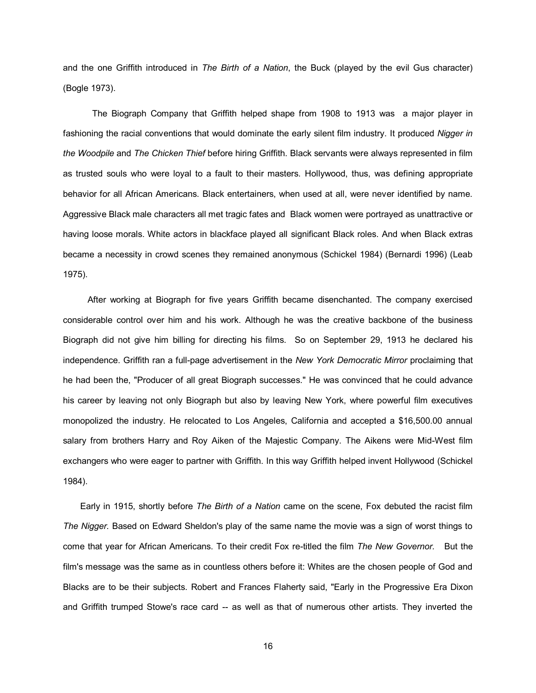and the one Griffith introduced in *The Birth of a Nation*, the Buck (played by the evil Gus character) (Bogle 1973).

 The Biograph Company that Griffith helped shape from 1908 to 1913 was a major player in fashioning the racial conventions that would dominate the early silent film industry. It produced *Nigger in the Woodpile* and *The Chicken Thief* before hiring Griffith. Black servants were always represented in film as trusted souls who were loyal to a fault to their masters. Hollywood, thus, was defining appropriate behavior for all African Americans. Black entertainers, when used at all, were never identified by name. Aggressive Black male characters all met tragic fates and Black women were portrayed as unattractive or having loose morals. White actors in blackface played all significant Black roles. And when Black extras became a necessity in crowd scenes they remained anonymous (Schickel 1984) (Bernardi 1996) (Leab 1975).

 After working at Biograph for five years Griffith became disenchanted. The company exercised considerable control over him and his work. Although he was the creative backbone of the business Biograph did not give him billing for directing his films. So on September 29, 1913 he declared his independence. Griffith ran a full-page advertisement in the *New York Democratic Mirror* proclaiming that he had been the, "Producer of all great Biograph successes." He was convinced that he could advance his career by leaving not only Biograph but also by leaving New York, where powerful film executives monopolized the industry. He relocated to Los Angeles, California and accepted a \$16,500.00 annual salary from brothers Harry and Roy Aiken of the Majestic Company. The Aikens were Mid-West film exchangers who were eager to partner with Griffith. In this way Griffith helped invent Hollywood (Schickel 1984).

 Early in 1915, shortly before *The Birth of a Nation* came on the scene, Fox debuted the racist film *The Nigger.* Based on Edward Sheldon's play of the same name the movie was a sign of worst things to come that year for African Americans. To their credit Fox re-titled the film *The New Governor.* But the film's message was the same as in countless others before it: Whites are the chosen people of God and Blacks are to be their subjects. Robert and Frances Flaherty said, "Early in the Progressive Era Dixon and Griffith trumped Stowe's race card -- as well as that of numerous other artists. They inverted the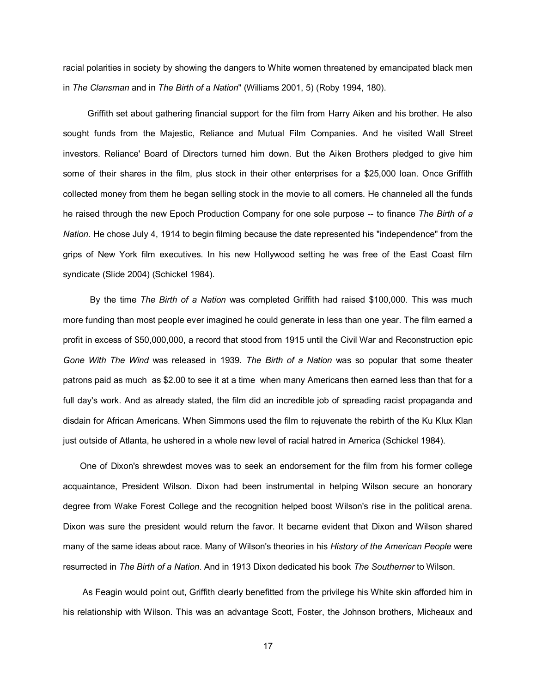racial polarities in society by showing the dangers to White women threatened by emancipated black men in *The Clansman* and in *The Birth of a Nation*" (Williams 2001, 5) (Roby 1994, 180).

 Griffith set about gathering financial support for the film from Harry Aiken and his brother. He also sought funds from the Majestic, Reliance and Mutual Film Companies. And he visited Wall Street investors. Reliance' Board of Directors turned him down. But the Aiken Brothers pledged to give him some of their shares in the film, plus stock in their other enterprises for a \$25,000 loan. Once Griffith collected money from them he began selling stock in the movie to all comers. He channeled all the funds he raised through the new Epoch Production Company for one sole purpose -- to finance *The Birth of a Nation.* He chose July 4, 1914 to begin filming because the date represented his "independence" from the grips of New York film executives. In his new Hollywood setting he was free of the East Coast film syndicate (Slide 2004) (Schickel 1984).

 By the time *The Birth of a Nation* was completed Griffith had raised \$100,000. This was much more funding than most people ever imagined he could generate in less than one year. The film earned a profit in excess of \$50,000,000, a record that stood from 1915 until the Civil War and Reconstruction epic *Gone With The Wind* was released in 1939. *The Birth of a Nation* was so popular that some theater patrons paid as much as \$2.00 to see it at a time when many Americans then earned less than that for a full day's work. And as already stated, the film did an incredible job of spreading racist propaganda and disdain for African Americans. When Simmons used the film to rejuvenate the rebirth of the Ku Klux Klan just outside of Atlanta, he ushered in a whole new level of racial hatred in America (Schickel 1984).

 One of Dixon's shrewdest moves was to seek an endorsement for the film from his former college acquaintance, President Wilson. Dixon had been instrumental in helping Wilson secure an honorary degree from Wake Forest College and the recognition helped boost Wilson's rise in the political arena. Dixon was sure the president would return the favor. It became evident that Dixon and Wilson shared many of the same ideas about race. Many of Wilson's theories in his *History of the American People* were resurrected in *The Birth of a Nation*. And in 1913 Dixon dedicated his book *The Southerner* to Wilson.

 As Feagin would point out, Griffith clearly benefitted from the privilege his White skin afforded him in his relationship with Wilson. This was an advantage Scott, Foster, the Johnson brothers, Micheaux and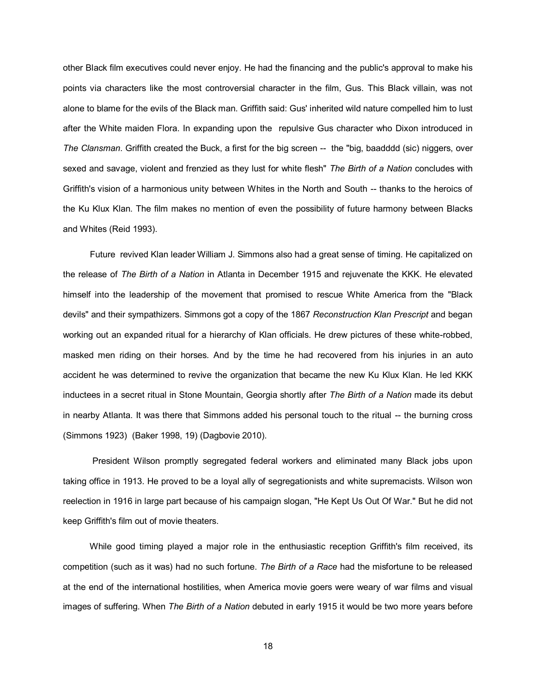other Black film executives could never enjoy. He had the financing and the public's approval to make his points via characters like the most controversial character in the film, Gus. This Black villain, was not alone to blame for the evils of the Black man. Griffith said: Gus' inherited wild nature compelled him to lust after the White maiden Flora. In expanding upon the repulsive Gus character who Dixon introduced in *The Clansman*. Griffith created the Buck, a first for the big screen -- the "big, baadddd (sic) niggers, over sexed and savage, violent and frenzied as they lust for white flesh" *The Birth of a Nation* concludes with Griffith's vision of a harmonious unity between Whites in the North and South -- thanks to the heroics of the Ku Klux Klan. The film makes no mention of even the possibility of future harmony between Blacks and Whites (Reid 1993).

 Future revived Klan leader William J. Simmons also had a great sense of timing. He capitalized on the release of *The Birth of a Nation* in Atlanta in December 1915 and rejuvenate the KKK. He elevated himself into the leadership of the movement that promised to rescue White America from the "Black devils" and their sympathizers. Simmons got a copy of the 1867 *Reconstruction Klan Prescript* and began working out an expanded ritual for a hierarchy of Klan officials. He drew pictures of these white-robbed, masked men riding on their horses. And by the time he had recovered from his injuries in an auto accident he was determined to revive the organization that became the new Ku Klux Klan. He led KKK inductees in a secret ritual in Stone Mountain, Georgia shortly after *The Birth of a Nation* made its debut in nearby Atlanta. It was there that Simmons added his personal touch to the ritual -- the burning cross (Simmons 1923) (Baker 1998, 19) (Dagbovie 2010).

 President Wilson promptly segregated federal workers and eliminated many Black jobs upon taking office in 1913. He proved to be a loyal ally of segregationists and white supremacists. Wilson won reelection in 1916 in large part because of his campaign slogan, "He Kept Us Out Of War." But he did not keep Griffith's film out of movie theaters.

 While good timing played a major role in the enthusiastic reception Griffith's film received, its competition (such as it was) had no such fortune. *The Birth of a Race* had the misfortune to be released at the end of the international hostilities, when America movie goers were weary of war films and visual images of suffering. When *The Birth of a Nation* debuted in early 1915 it would be two more years before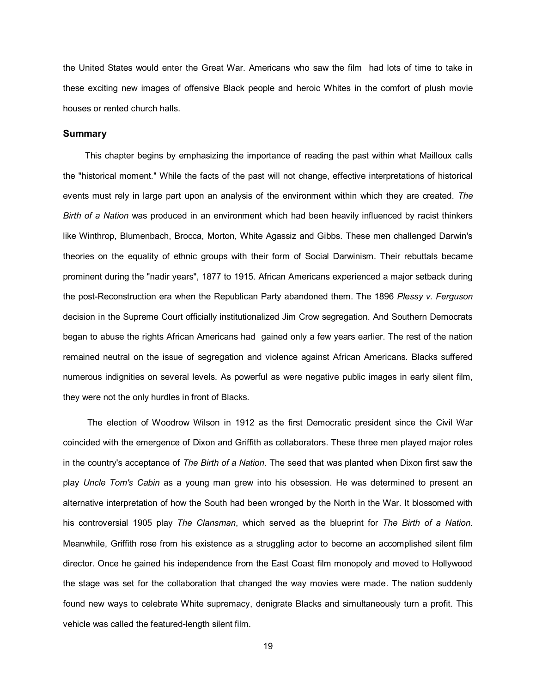the United States would enter the Great War. Americans who saw the film had lots of time to take in these exciting new images of offensive Black people and heroic Whites in the comfort of plush movie houses or rented church halls.

#### **Summary**

 This chapter begins by emphasizing the importance of reading the past within what Mailloux calls the "historical moment." While the facts of the past will not change, effective interpretations of historical events must rely in large part upon an analysis of the environment within which they are created. *The Birth of a Nation* was produced in an environment which had been heavily influenced by racist thinkers like Winthrop, Blumenbach, Brocca, Morton, White Agassiz and Gibbs. These men challenged Darwin's theories on the equality of ethnic groups with their form of Social Darwinism. Their rebuttals became prominent during the "nadir years", 1877 to 1915. African Americans experienced a major setback during the post-Reconstruction era when the Republican Party abandoned them. The 1896 *Plessy v. Ferguson* decision in the Supreme Court officially institutionalized Jim Crow segregation. And Southern Democrats began to abuse the rights African Americans had gained only a few years earlier. The rest of the nation remained neutral on the issue of segregation and violence against African Americans. Blacks suffered numerous indignities on several levels. As powerful as were negative public images in early silent film, they were not the only hurdles in front of Blacks.

 The election of Woodrow Wilson in 1912 as the first Democratic president since the Civil War coincided with the emergence of Dixon and Griffith as collaborators. These three men played major roles in the country's acceptance of *The Birth of a Nation.* The seed that was planted when Dixon first saw the play *Uncle Tom's Cabin* as a young man grew into his obsession. He was determined to present an alternative interpretation of how the South had been wronged by the North in the War. It blossomed with his controversial 1905 play *The Clansman*, which served as the blueprint for *The Birth of a Nation*. Meanwhile, Griffith rose from his existence as a struggling actor to become an accomplished silent film director. Once he gained his independence from the East Coast film monopoly and moved to Hollywood the stage was set for the collaboration that changed the way movies were made. The nation suddenly found new ways to celebrate White supremacy, denigrate Blacks and simultaneously turn a profit. This vehicle was called the featured-length silent film.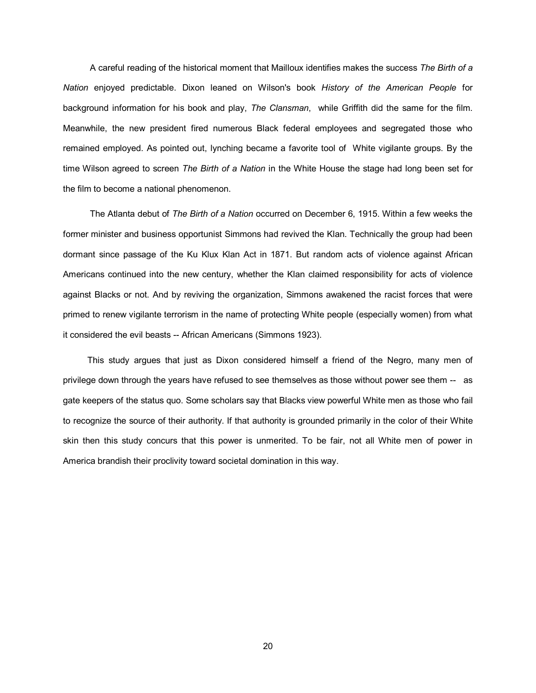A careful reading of the historical moment that Mailloux identifies makes the success *The Birth of a Nation* enjoyed predictable. Dixon leaned on Wilson's book *History of the American People* for background information for his book and play, *The Clansman*, while Griffith did the same for the film. Meanwhile, the new president fired numerous Black federal employees and segregated those who remained employed. As pointed out, lynching became a favorite tool of White vigilante groups. By the time Wilson agreed to screen *The Birth of a Nation* in the White House the stage had long been set for the film to become a national phenomenon.

 The Atlanta debut of *The Birth of a Nation* occurred on December 6, 1915. Within a few weeks the former minister and business opportunist Simmons had revived the Klan. Technically the group had been dormant since passage of the Ku Klux Klan Act in 1871. But random acts of violence against African Americans continued into the new century, whether the Klan claimed responsibility for acts of violence against Blacks or not. And by reviving the organization, Simmons awakened the racist forces that were primed to renew vigilante terrorism in the name of protecting White people (especially women) from what it considered the evil beasts -- African Americans (Simmons 1923).

 This study argues that just as Dixon considered himself a friend of the Negro, many men of privilege down through the years have refused to see themselves as those without power see them -- as gate keepers of the status quo. Some scholars say that Blacks view powerful White men as those who fail to recognize the source of their authority. If that authority is grounded primarily in the color of their White skin then this study concurs that this power is unmerited. To be fair, not all White men of power in America brandish their proclivity toward societal domination in this way.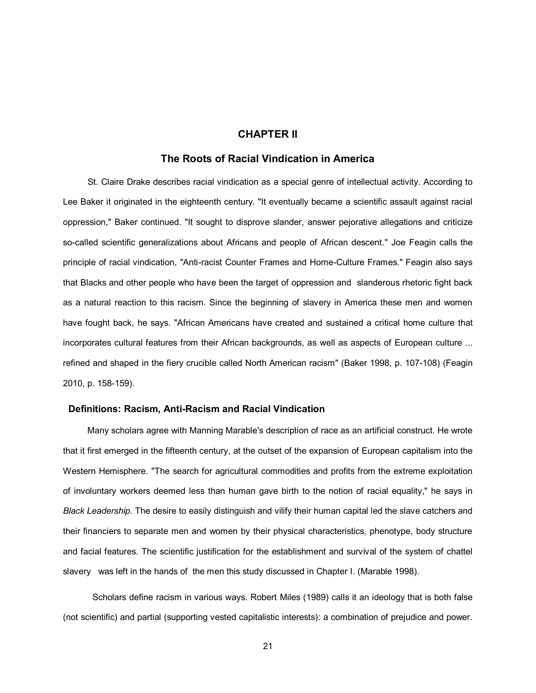#### **CHAPTER II**

## **The Roots of Racial Vindication in America**

 St. Claire Drake describes racial vindication as a special genre of intellectual activity. According to Lee Baker it originated in the eighteenth century. "It eventually became a scientific assault against racial oppression," Baker continued. "It sought to disprove slander, answer pejorative allegations and criticize so-called scientific generalizations about Africans and people of African descent." Joe Feagin calls the principle of racial vindication, "Anti-racist Counter Frames and Home-Culture Frames." Feagin also says that Blacks and other people who have been the target of oppression and slanderous rhetoric fight back as a natural reaction to this racism. Since the beginning of slavery in America these men and women have fought back, he says. "African Americans have created and sustained a critical home culture that incorporates cultural features from their African backgrounds, as well as aspects of European culture ... refined and shaped in the fiery crucible called North American racism" (Baker 1998, p. 107-108) (Feagin 2010, p. 158-159).

#### **Definitions: Racism, Anti-Racism and Racial Vindication**

 Many scholars agree with Manning Marable's description of race as an artificial construct. He wrote that it first emerged in the fifteenth century, at the outset of the expansion of European capitalism into the Western Hemisphere. "The search for agricultural commodities and profits from the extreme exploitation of involuntary workers deemed less than human gave birth to the notion of racial equality," he says in *Black Leadership*. The desire to easily distinguish and vilify their human capital led the slave catchers and their financiers to separate men and women by their physical characteristics, phenotype, body structure and facial features. The scientific justification for the establishment and survival of the system of chattel slavery was left in the hands of the men this study discussed in Chapter I. (Marable 1998).

 Scholars define racism in various ways. Robert Miles (1989) calls it an ideology that is both false (not scientific) and partial (supporting vested capitalistic interests): a combination of prejudice and power.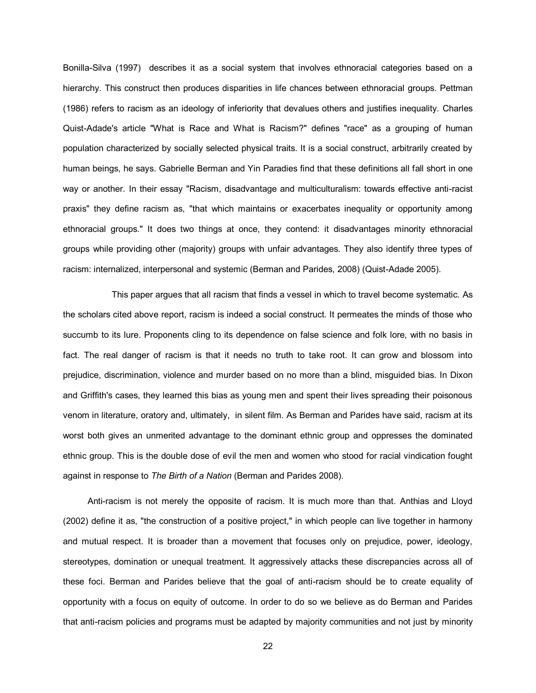Bonilla-Silva (1997) describes it as a social system that involves ethnoracial categories based on a hierarchy. This construct then produces disparities in life chances between ethnoracial groups. Pettman (1986) refers to racism as an ideology of inferiority that devalues others and justifies inequality. Charles Quist-Adade's article "What is Race and What is Racism?" defines "race" as a grouping of human population characterized by socially selected physical traits. It is a social construct, arbitrarily created by human beings, he says. Gabrielle Berman and Yin Paradies find that these definitions all fall short in one way or another. In their essay "Racism, disadvantage and multiculturalism: towards effective anti-racist praxis" they define racism as, "that which maintains or exacerbates inequality or opportunity among ethnoracial groups." It does two things at once, they contend: it disadvantages minority ethnoracial groups while providing other (majority) groups with unfair advantages. They also identify three types of racism: internalized, interpersonal and systemic (Berman and Parides, 2008) (Quist-Adade 2005).

 This paper argues that all racism that finds a vessel in which to travel become systematic. As the scholars cited above report, racism is indeed a social construct. It permeates the minds of those who succumb to its lure. Proponents cling to its dependence on false science and folk lore, with no basis in fact. The real danger of racism is that it needs no truth to take root. It can grow and blossom into prejudice, discrimination, violence and murder based on no more than a blind, misguided bias. In Dixon and Griffith's cases, they learned this bias as young men and spent their lives spreading their poisonous venom in literature, oratory and, ultimately, in silent film. As Berman and Parides have said, racism at its worst both gives an unmerited advantage to the dominant ethnic group and oppresses the dominated ethnic group. This is the double dose of evil the men and women who stood for racial vindication fought against in response to *The Birth of a Nation* (Berman and Parides 2008).

 Anti-racism is not merely the opposite of racism. It is much more than that. Anthias and Lloyd (2002) define it as, "the construction of a positive project," in which people can live together in harmony and mutual respect. It is broader than a movement that focuses only on prejudice, power, ideology, stereotypes, domination or unequal treatment. It aggressively attacks these discrepancies across all of these foci. Berman and Parides believe that the goal of anti-racism should be to create equality of opportunity with a focus on equity of outcome. In order to do so we believe as do Berman and Parides that anti-racism policies and programs must be adapted by majority communities and not just by minority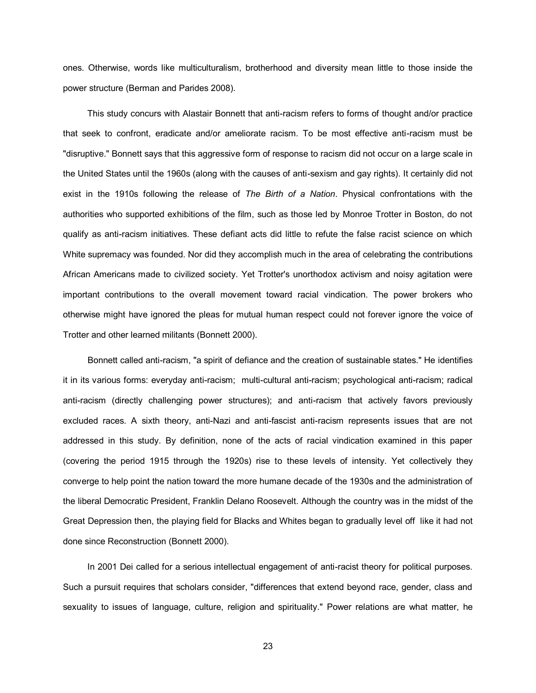ones. Otherwise, words like multiculturalism, brotherhood and diversity mean little to those inside the power structure (Berman and Parides 2008).

 This study concurs with Alastair Bonnett that anti-racism refers to forms of thought and/or practice that seek to confront, eradicate and/or ameliorate racism. To be most effective anti-racism must be "disruptive." Bonnett says that this aggressive form of response to racism did not occur on a large scale in the United States until the 1960s (along with the causes of anti-sexism and gay rights). It certainly did not exist in the 1910s following the release of *The Birth of a Nation*. Physical confrontations with the authorities who supported exhibitions of the film, such as those led by Monroe Trotter in Boston, do not qualify as anti-racism initiatives. These defiant acts did little to refute the false racist science on which White supremacy was founded. Nor did they accomplish much in the area of celebrating the contributions African Americans made to civilized society. Yet Trotter's unorthodox activism and noisy agitation were important contributions to the overall movement toward racial vindication. The power brokers who otherwise might have ignored the pleas for mutual human respect could not forever ignore the voice of Trotter and other learned militants (Bonnett 2000).

 Bonnett called anti-racism, "a spirit of defiance and the creation of sustainable states." He identifies it in its various forms: everyday anti-racism; multi-cultural anti-racism; psychological anti-racism; radical anti-racism (directly challenging power structures); and anti-racism that actively favors previously excluded races. A sixth theory, anti-Nazi and anti-fascist anti-racism represents issues that are not addressed in this study. By definition, none of the acts of racial vindication examined in this paper (covering the period 1915 through the 1920s) rise to these levels of intensity. Yet collectively they converge to help point the nation toward the more humane decade of the 1930s and the administration of the liberal Democratic President, Franklin Delano Roosevelt. Although the country was in the midst of the Great Depression then, the playing field for Blacks and Whites began to gradually level off like it had not done since Reconstruction (Bonnett 2000).

 In 2001 Dei called for a serious intellectual engagement of anti-racist theory for political purposes. Such a pursuit requires that scholars consider, "differences that extend beyond race, gender, class and sexuality to issues of language, culture, religion and spirituality." Power relations are what matter, he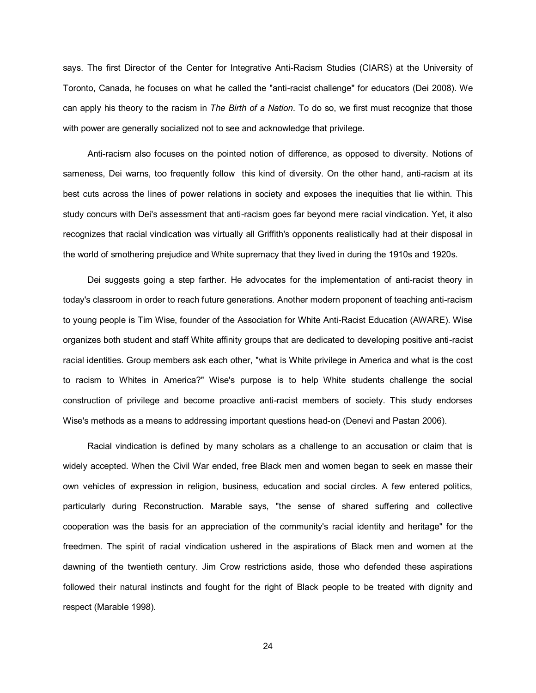says. The first Director of the Center for Integrative Anti-Racism Studies (CIARS) at the University of Toronto, Canada, he focuses on what he called the "anti-racist challenge" for educators (Dei 2008). We can apply his theory to the racism in *The Birth of a Nation*. To do so, we first must recognize that those with power are generally socialized not to see and acknowledge that privilege.

 Anti-racism also focuses on the pointed notion of difference, as opposed to diversity. Notions of sameness, Dei warns, too frequently follow this kind of diversity. On the other hand, anti-racism at its best cuts across the lines of power relations in society and exposes the inequities that lie within. This study concurs with Dei's assessment that anti-racism goes far beyond mere racial vindication. Yet, it also recognizes that racial vindication was virtually all Griffith's opponents realistically had at their disposal in the world of smothering prejudice and White supremacy that they lived in during the 1910s and 1920s.

 Dei suggests going a step farther. He advocates for the implementation of anti-racist theory in today's classroom in order to reach future generations. Another modern proponent of teaching anti-racism to young people is Tim Wise, founder of the Association for White Anti-Racist Education (AWARE). Wise organizes both student and staff White affinity groups that are dedicated to developing positive anti-racist racial identities. Group members ask each other, "what is White privilege in America and what is the cost to racism to Whites in America?" Wise's purpose is to help White students challenge the social construction of privilege and become proactive anti-racist members of society. This study endorses Wise's methods as a means to addressing important questions head-on (Denevi and Pastan 2006).

 Racial vindication is defined by many scholars as a challenge to an accusation or claim that is widely accepted. When the Civil War ended, free Black men and women began to seek en masse their own vehicles of expression in religion, business, education and social circles. A few entered politics, particularly during Reconstruction. Marable says, "the sense of shared suffering and collective cooperation was the basis for an appreciation of the community's racial identity and heritage" for the freedmen. The spirit of racial vindication ushered in the aspirations of Black men and women at the dawning of the twentieth century. Jim Crow restrictions aside, those who defended these aspirations followed their natural instincts and fought for the right of Black people to be treated with dignity and respect (Marable 1998).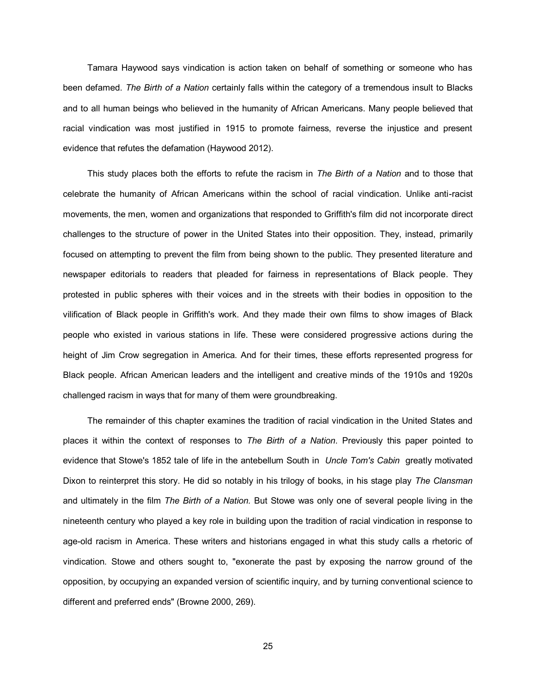Tamara Haywood says vindication is action taken on behalf of something or someone who has been defamed. *The Birth of a Nation* certainly falls within the category of a tremendous insult to Blacks and to all human beings who believed in the humanity of African Americans. Many people believed that racial vindication was most justified in 1915 to promote fairness, reverse the injustice and present evidence that refutes the defamation (Haywood 2012).

 This study places both the efforts to refute the racism in *The Birth of a Nation* and to those that celebrate the humanity of African Americans within the school of racial vindication. Unlike anti-racist movements, the men, women and organizations that responded to Griffith's film did not incorporate direct challenges to the structure of power in the United States into their opposition. They, instead, primarily focused on attempting to prevent the film from being shown to the public. They presented literature and newspaper editorials to readers that pleaded for fairness in representations of Black people. They protested in public spheres with their voices and in the streets with their bodies in opposition to the vilification of Black people in Griffith's work. And they made their own films to show images of Black people who existed in various stations in life. These were considered progressive actions during the height of Jim Crow segregation in America. And for their times, these efforts represented progress for Black people. African American leaders and the intelligent and creative minds of the 1910s and 1920s challenged racism in ways that for many of them were groundbreaking.

 The remainder of this chapter examines the tradition of racial vindication in the United States and places it within the context of responses to *The Birth of a Nation*. Previously this paper pointed to evidence that Stowe's 1852 tale of life in the antebellum South in *Uncle Tom's Cabin* greatly motivated Dixon to reinterpret this story. He did so notably in his trilogy of books, in his stage play *The Clansman*  and ultimately in the film *The Birth of a Nation.* But Stowe was only one of several people living in the nineteenth century who played a key role in building upon the tradition of racial vindication in response to age-old racism in America. These writers and historians engaged in what this study calls a rhetoric of vindication. Stowe and others sought to, "exonerate the past by exposing the narrow ground of the opposition, by occupying an expanded version of scientific inquiry, and by turning conventional science to different and preferred ends" (Browne 2000, 269).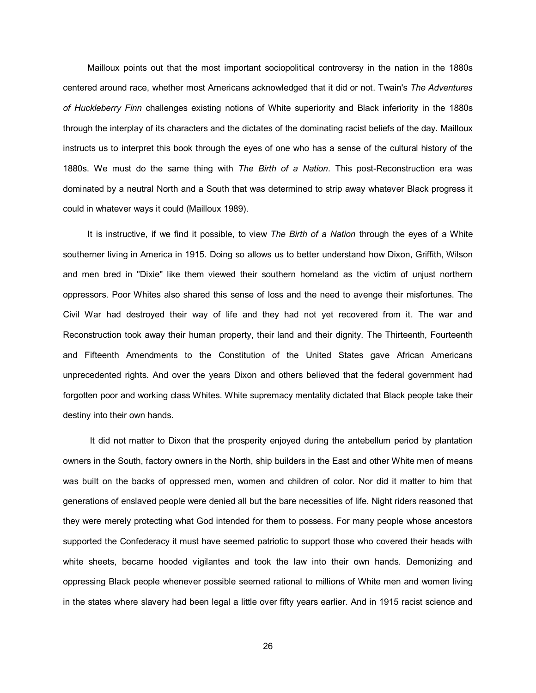Mailloux points out that the most important sociopolitical controversy in the nation in the 1880s centered around race, whether most Americans acknowledged that it did or not. Twain's *The Adventures of Huckleberry Finn* challenges existing notions of White superiority and Black inferiority in the 1880s through the interplay of its characters and the dictates of the dominating racist beliefs of the day. Mailloux instructs us to interpret this book through the eyes of one who has a sense of the cultural history of the 1880s. We must do the same thing with *The Birth of a Nation*. This post-Reconstruction era was dominated by a neutral North and a South that was determined to strip away whatever Black progress it could in whatever ways it could (Mailloux 1989).

 It is instructive, if we find it possible, to view *The Birth of a Nation* through the eyes of a White southerner living in America in 1915. Doing so allows us to better understand how Dixon, Griffith, Wilson and men bred in "Dixie" like them viewed their southern homeland as the victim of unjust northern oppressors. Poor Whites also shared this sense of loss and the need to avenge their misfortunes. The Civil War had destroyed their way of life and they had not yet recovered from it. The war and Reconstruction took away their human property, their land and their dignity. The Thirteenth, Fourteenth and Fifteenth Amendments to the Constitution of the United States gave African Americans unprecedented rights. And over the years Dixon and others believed that the federal government had forgotten poor and working class Whites. White supremacy mentality dictated that Black people take their destiny into their own hands.

 It did not matter to Dixon that the prosperity enjoyed during the antebellum period by plantation owners in the South, factory owners in the North, ship builders in the East and other White men of means was built on the backs of oppressed men, women and children of color. Nor did it matter to him that generations of enslaved people were denied all but the bare necessities of life. Night riders reasoned that they were merely protecting what God intended for them to possess. For many people whose ancestors supported the Confederacy it must have seemed patriotic to support those who covered their heads with white sheets, became hooded vigilantes and took the law into their own hands. Demonizing and oppressing Black people whenever possible seemed rational to millions of White men and women living in the states where slavery had been legal a little over fifty years earlier. And in 1915 racist science and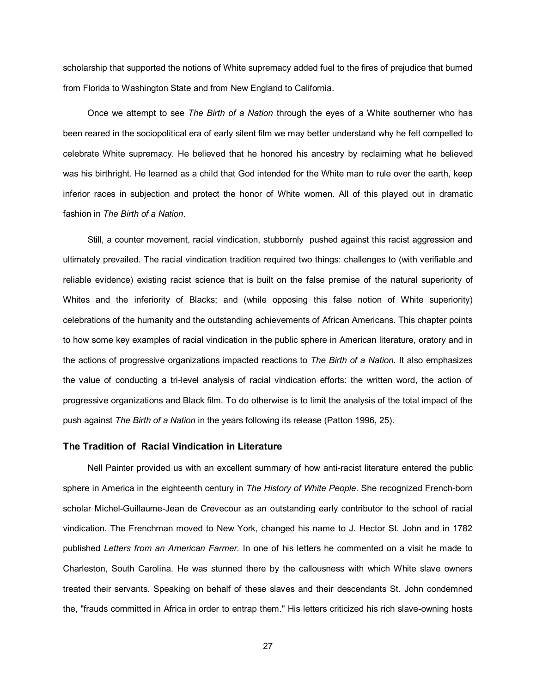scholarship that supported the notions of White supremacy added fuel to the fires of prejudice that burned from Florida to Washington State and from New England to California.

 Once we attempt to see *The Birth of a Nation* through the eyes of a White southerner who has been reared in the sociopolitical era of early silent film we may better understand why he felt compelled to celebrate White supremacy. He believed that he honored his ancestry by reclaiming what he believed was his birthright. He learned as a child that God intended for the White man to rule over the earth, keep inferior races in subjection and protect the honor of White women. All of this played out in dramatic fashion in *The Birth of a Nation*.

 Still, a counter movement, racial vindication, stubbornly pushed against this racist aggression and ultimately prevailed. The racial vindication tradition required two things: challenges to (with verifiable and reliable evidence) existing racist science that is built on the false premise of the natural superiority of Whites and the inferiority of Blacks; and (while opposing this false notion of White superiority) celebrations of the humanity and the outstanding achievements of African Americans. This chapter points to how some key examples of racial vindication in the public sphere in American literature, oratory and in the actions of progressive organizations impacted reactions to *The Birth of a Nation.* It also emphasizes the value of conducting a tri-level analysis of racial vindication efforts: the written word, the action of progressive organizations and Black film. To do otherwise is to limit the analysis of the total impact of the push against *The Birth of a Nation* in the years following its release (Patton 1996, 25).

#### **The Tradition of Racial Vindication in Literature**

 Nell Painter provided us with an excellent summary of how anti-racist literature entered the public sphere in America in the eighteenth century in *The History of White People*. She recognized French-born scholar Michel-Guillaume-Jean de Crevecour as an outstanding early contributor to the school of racial vindication. The Frenchman moved to New York, changed his name to J. Hector St. John and in 1782 published *Letters from an American Farmer.* In one of his letters he commented on a visit he made to Charleston, South Carolina. He was stunned there by the callousness with which White slave owners treated their servants. Speaking on behalf of these slaves and their descendants St. John condemned the, "frauds committed in Africa in order to entrap them." His letters criticized his rich slave-owning hosts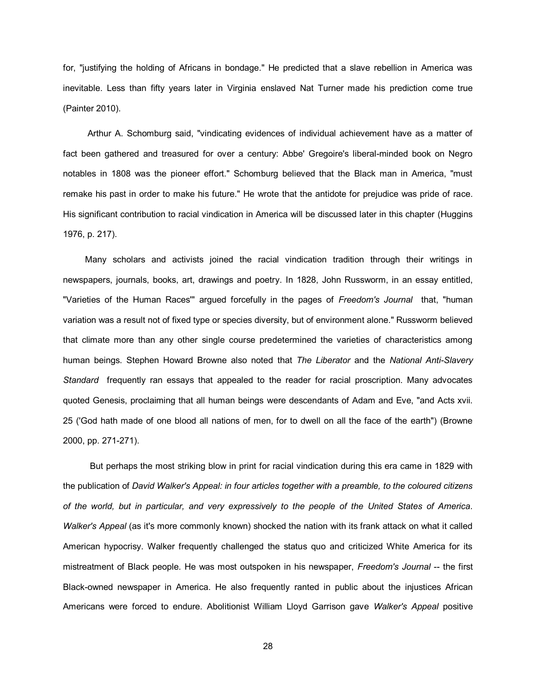for, "justifying the holding of Africans in bondage." He predicted that a slave rebellion in America was inevitable. Less than fifty years later in Virginia enslaved Nat Turner made his prediction come true (Painter 2010).

 Arthur A. Schomburg said, "vindicating evidences of individual achievement have as a matter of fact been gathered and treasured for over a century: Abbe' Gregoire's liberal-minded book on Negro notables in 1808 was the pioneer effort." Schomburg believed that the Black man in America, "must remake his past in order to make his future." He wrote that the antidote for prejudice was pride of race. His significant contribution to racial vindication in America will be discussed later in this chapter (Huggins 1976, p. 217).

 Many scholars and activists joined the racial vindication tradition through their writings in newspapers, journals, books, art, drawings and poetry. In 1828, John Russworm, in an essay entitled, "Varieties of the Human Races'" argued forcefully in the pages of *Freedom's Journal* that, "human variation was a result not of fixed type or species diversity, but of environment alone." Russworm believed that climate more than any other single course predetermined the varieties of characteristics among human beings. Stephen Howard Browne also noted that *The Liberator* and the *National Anti-Slavery Standard* frequently ran essays that appealed to the reader for racial proscription. Many advocates quoted Genesis, proclaiming that all human beings were descendants of Adam and Eve, "and Acts xvii. 25 ('God hath made of one blood all nations of men, for to dwell on all the face of the earth") (Browne 2000, pp. 271-271).

 But perhaps the most striking blow in print for racial vindication during this era came in 1829 with the publication of *David Walker's Appeal: in four articles together with a preamble, to the coloured citizens of the world, but in particular, and very expressively to the people of the United States of America*. *Walker's Appeal* (as it's more commonly known) shocked the nation with its frank attack on what it called American hypocrisy. Walker frequently challenged the status quo and criticized White America for its mistreatment of Black people. He was most outspoken in his newspaper, *Freedom's Journal* -- the first Black-owned newspaper in America. He also frequently ranted in public about the injustices African Americans were forced to endure. Abolitionist William Lloyd Garrison gave *Walker's Appeal* positive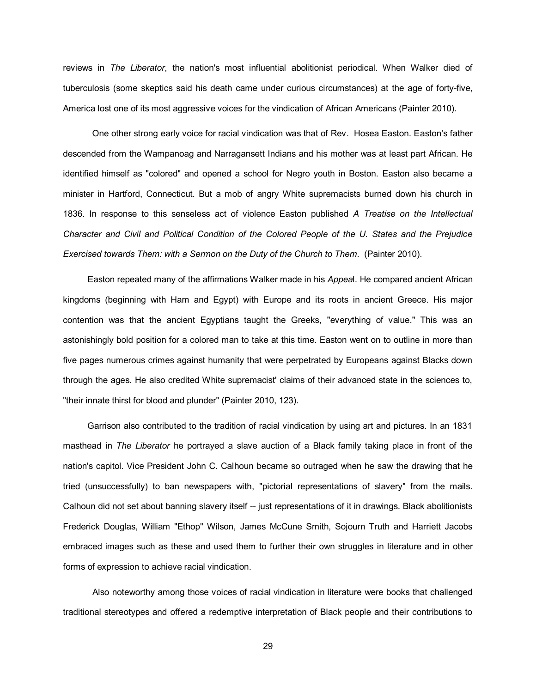reviews in *The Liberator*, the nation's most influential abolitionist periodical. When Walker died of tuberculosis (some skeptics said his death came under curious circumstances) at the age of forty-five, America lost one of its most aggressive voices for the vindication of African Americans (Painter 2010).

 One other strong early voice for racial vindication was that of Rev. Hosea Easton. Easton's father descended from the Wampanoag and Narragansett Indians and his mother was at least part African. He identified himself as "colored" and opened a school for Negro youth in Boston. Easton also became a minister in Hartford, Connecticut. But a mob of angry White supremacists burned down his church in 1836. In response to this senseless act of violence Easton published *A Treatise on the Intellectual Character and Civil and Political Condition of the Colored People of the U. States and the Prejudice Exercised towards Them: with a Sermon on the Duty of the Church to Them*. (Painter 2010).

 Easton repeated many of the affirmations Walker made in his *Appea*l. He compared ancient African kingdoms (beginning with Ham and Egypt) with Europe and its roots in ancient Greece. His major contention was that the ancient Egyptians taught the Greeks, "everything of value." This was an astonishingly bold position for a colored man to take at this time. Easton went on to outline in more than five pages numerous crimes against humanity that were perpetrated by Europeans against Blacks down through the ages. He also credited White supremacist' claims of their advanced state in the sciences to, "their innate thirst for blood and plunder" (Painter 2010, 123).

 Garrison also contributed to the tradition of racial vindication by using art and pictures. In an 1831 masthead in *The Liberator* he portrayed a slave auction of a Black family taking place in front of the nation's capitol. Vice President John C. Calhoun became so outraged when he saw the drawing that he tried (unsuccessfully) to ban newspapers with, "pictorial representations of slavery" from the mails. Calhoun did not set about banning slavery itself -- just representations of it in drawings. Black abolitionists Frederick Douglas, William "Ethop" Wilson, James McCune Smith, Sojourn Truth and Harriett Jacobs embraced images such as these and used them to further their own struggles in literature and in other forms of expression to achieve racial vindication.

 Also noteworthy among those voices of racial vindication in literature were books that challenged traditional stereotypes and offered a redemptive interpretation of Black people and their contributions to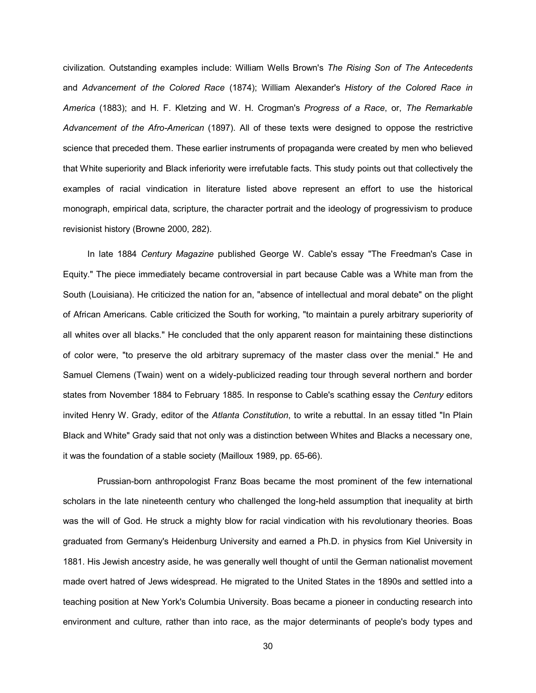civilization. Outstanding examples include: William Wells Brown's *The Rising Son of The Antecedents* and *Advancement of the Colored Race* (1874); William Alexander's *History of the Colored Race in America* (1883); and H. F. Kletzing and W. H. Crogman's *Progress of a Race*, or, *The Remarkable Advancement of the Afro-American* (1897). All of these texts were designed to oppose the restrictive science that preceded them. These earlier instruments of propaganda were created by men who believed that White superiority and Black inferiority were irrefutable facts. This study points out that collectively the examples of racial vindication in literature listed above represent an effort to use the historical monograph, empirical data, scripture, the character portrait and the ideology of progressivism to produce revisionist history (Browne 2000, 282).

 In late 1884 *Century Magazine* published George W. Cable's essay "The Freedman's Case in Equity." The piece immediately became controversial in part because Cable was a White man from the South (Louisiana). He criticized the nation for an, "absence of intellectual and moral debate" on the plight of African Americans. Cable criticized the South for working, "to maintain a purely arbitrary superiority of all whites over all blacks." He concluded that the only apparent reason for maintaining these distinctions of color were, "to preserve the old arbitrary supremacy of the master class over the menial." He and Samuel Clemens (Twain) went on a widely-publicized reading tour through several northern and border states from November 1884 to February 1885. In response to Cable's scathing essay the *Century* editors invited Henry W. Grady, editor of the *Atlanta Constitution*, to write a rebuttal. In an essay titled "In Plain Black and White" Grady said that not only was a distinction between Whites and Blacks a necessary one, it was the foundation of a stable society (Mailloux 1989, pp. 65-66).

 Prussian-born anthropologist Franz Boas became the most prominent of the few international scholars in the late nineteenth century who challenged the long-held assumption that inequality at birth was the will of God. He struck a mighty blow for racial vindication with his revolutionary theories. Boas graduated from Germany's Heidenburg University and earned a Ph.D. in physics from Kiel University in 1881. His Jewish ancestry aside, he was generally well thought of until the German nationalist movement made overt hatred of Jews widespread. He migrated to the United States in the 1890s and settled into a teaching position at New York's Columbia University. Boas became a pioneer in conducting research into environment and culture, rather than into race, as the major determinants of people's body types and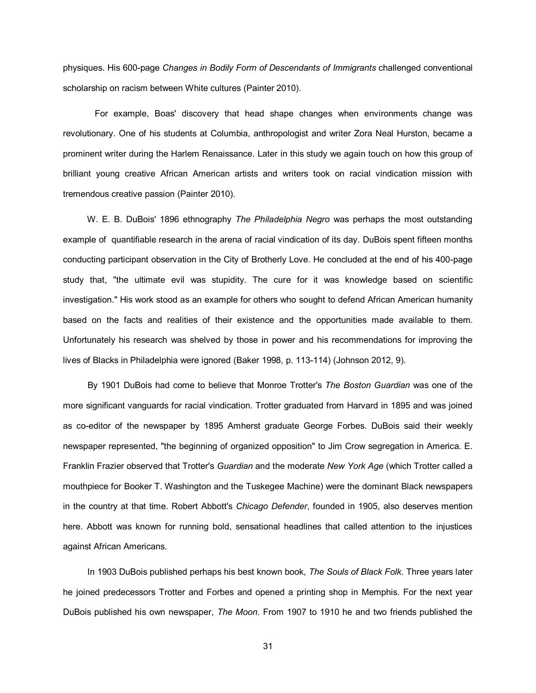physiques. His 600-page *Changes in Bodily Form of Descendants of Immigrants* challenged conventional scholarship on racism between White cultures (Painter 2010).

 For example, Boas' discovery that head shape changes when environments change was revolutionary. One of his students at Columbia, anthropologist and writer Zora Neal Hurston, became a prominent writer during the Harlem Renaissance. Later in this study we again touch on how this group of brilliant young creative African American artists and writers took on racial vindication mission with tremendous creative passion (Painter 2010).

 W. E. B. DuBois' 1896 ethnography *The Philadelphia Negro* was perhaps the most outstanding example of quantifiable research in the arena of racial vindication of its day. DuBois spent fifteen months conducting participant observation in the City of Brotherly Love. He concluded at the end of his 400-page study that, "the ultimate evil was stupidity. The cure for it was knowledge based on scientific investigation." His work stood as an example for others who sought to defend African American humanity based on the facts and realities of their existence and the opportunities made available to them. Unfortunately his research was shelved by those in power and his recommendations for improving the lives of Blacks in Philadelphia were ignored (Baker 1998, p. 113-114) (Johnson 2012, 9).

 By 1901 DuBois had come to believe that Monroe Trotter's *The Boston Guardian* was one of the more significant vanguards for racial vindication. Trotter graduated from Harvard in 1895 and was joined as co-editor of the newspaper by 1895 Amherst graduate George Forbes. DuBois said their weekly newspaper represented, "the beginning of organized opposition" to Jim Crow segregation in America. E. Franklin Frazier observed that Trotter's *Guardian* and the moderate *New York Age* (which Trotter called a mouthpiece for Booker T. Washington and the Tuskegee Machine) were the dominant Black newspapers in the country at that time. Robert Abbott's *Chicago Defender*, founded in 1905, also deserves mention here. Abbott was known for running bold, sensational headlines that called attention to the injustices against African Americans.

 In 1903 DuBois published perhaps his best known book, *The Souls of Black Folk*. Three years later he joined predecessors Trotter and Forbes and opened a printing shop in Memphis. For the next year DuBois published his own newspaper, *The Moon*. From 1907 to 1910 he and two friends published the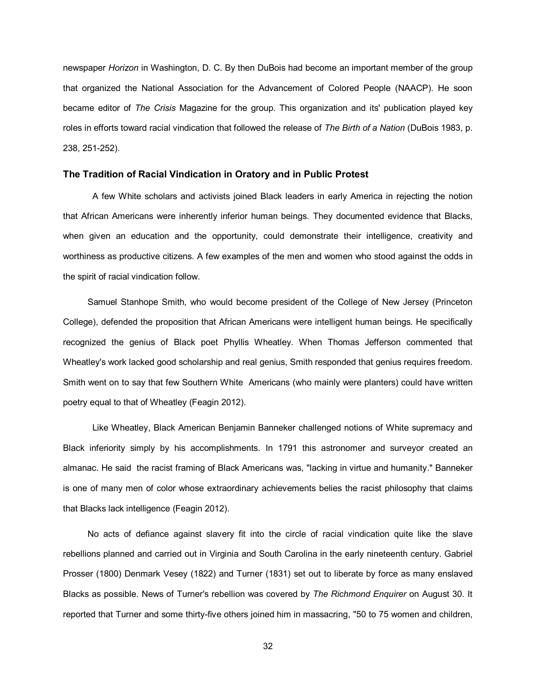newspaper *Horizon* in Washington, D. C. By then DuBois had become an important member of the group that organized the National Association for the Advancement of Colored People (NAACP). He soon became editor of *The Crisis* Magazine for the group. This organization and its' publication played key roles in efforts toward racial vindication that followed the release of *The Birth of a Nation* (DuBois 1983, p. 238, 251-252).

### **The Tradition of Racial Vindication in Oratory and in Public Protest**

 A few White scholars and activists joined Black leaders in early America in rejecting the notion that African Americans were inherently inferior human beings. They documented evidence that Blacks, when given an education and the opportunity, could demonstrate their intelligence, creativity and worthiness as productive citizens. A few examples of the men and women who stood against the odds in the spirit of racial vindication follow.

 Samuel Stanhope Smith, who would become president of the College of New Jersey (Princeton College), defended the proposition that African Americans were intelligent human beings. He specifically recognized the genius of Black poet Phyllis Wheatley. When Thomas Jefferson commented that Wheatley's work lacked good scholarship and real genius, Smith responded that genius requires freedom. Smith went on to say that few Southern White Americans (who mainly were planters) could have written poetry equal to that of Wheatley (Feagin 2012).

 Like Wheatley, Black American Benjamin Banneker challenged notions of White supremacy and Black inferiority simply by his accomplishments. In 1791 this astronomer and surveyor created an almanac. He said the racist framing of Black Americans was, "lacking in virtue and humanity." Banneker is one of many men of color whose extraordinary achievements belies the racist philosophy that claims that Blacks lack intelligence (Feagin 2012).

 No acts of defiance against slavery fit into the circle of racial vindication quite like the slave rebellions planned and carried out in Virginia and South Carolina in the early nineteenth century. Gabriel Prosser (1800) Denmark Vesey (1822) and Turner (1831) set out to liberate by force as many enslaved Blacks as possible. News of Turner's rebellion was covered by *The Richmond Enquirer* on August 30. It reported that Turner and some thirty-five others joined him in massacring, "50 to 75 women and children,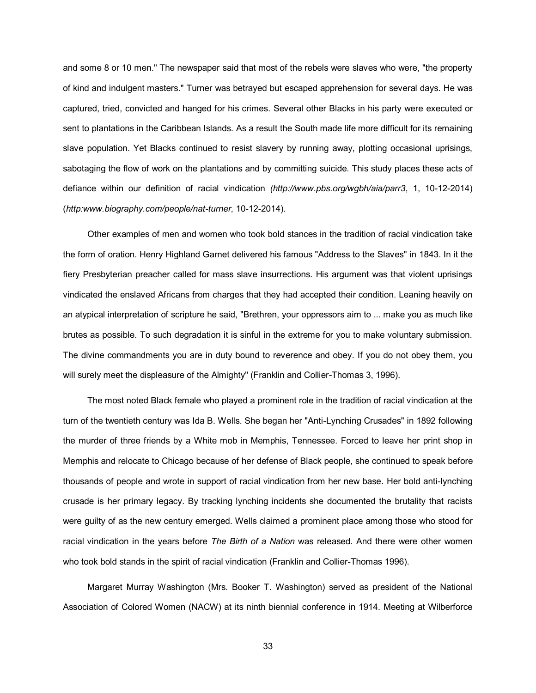and some 8 or 10 men." The newspaper said that most of the rebels were slaves who were, "the property of kind and indulgent masters." Turner was betrayed but escaped apprehension for several days. He was captured, tried, convicted and hanged for his crimes. Several other Blacks in his party were executed or sent to plantations in the Caribbean Islands. As a result the South made life more difficult for its remaining slave population. Yet Blacks continued to resist slavery by running away, plotting occasional uprisings, sabotaging the flow of work on the plantations and by committing suicide. This study places these acts of defiance within our definition of racial vindication *(http://www.pbs.org/wgbh/aia/parr3*, 1, 10-12-2014) (*http:www.biography.com/people/nat-turner*, 10-12-2014).

 Other examples of men and women who took bold stances in the tradition of racial vindication take the form of oration. Henry Highland Garnet delivered his famous "Address to the Slaves" in 1843. In it the fiery Presbyterian preacher called for mass slave insurrections. His argument was that violent uprisings vindicated the enslaved Africans from charges that they had accepted their condition. Leaning heavily on an atypical interpretation of scripture he said, "Brethren, your oppressors aim to ... make you as much like brutes as possible. To such degradation it is sinful in the extreme for you to make voluntary submission. The divine commandments you are in duty bound to reverence and obey. If you do not obey them, you will surely meet the displeasure of the Almighty" (Franklin and Collier-Thomas 3, 1996).

 The most noted Black female who played a prominent role in the tradition of racial vindication at the turn of the twentieth century was Ida B. Wells. She began her "Anti-Lynching Crusades" in 1892 following the murder of three friends by a White mob in Memphis, Tennessee. Forced to leave her print shop in Memphis and relocate to Chicago because of her defense of Black people, she continued to speak before thousands of people and wrote in support of racial vindication from her new base. Her bold anti-lynching crusade is her primary legacy. By tracking lynching incidents she documented the brutality that racists were guilty of as the new century emerged. Wells claimed a prominent place among those who stood for racial vindication in the years before *The Birth of a Nation* was released. And there were other women who took bold stands in the spirit of racial vindication (Franklin and Collier-Thomas 1996).

 Margaret Murray Washington (Mrs. Booker T. Washington) served as president of the National Association of Colored Women (NACW) at its ninth biennial conference in 1914. Meeting at Wilberforce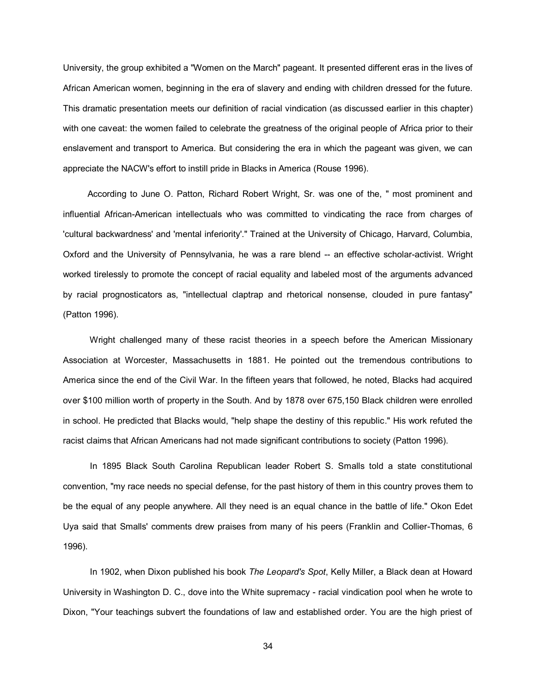University, the group exhibited a "Women on the March" pageant. It presented different eras in the lives of African American women, beginning in the era of slavery and ending with children dressed for the future. This dramatic presentation meets our definition of racial vindication (as discussed earlier in this chapter) with one caveat: the women failed to celebrate the greatness of the original people of Africa prior to their enslavement and transport to America. But considering the era in which the pageant was given, we can appreciate the NACW's effort to instill pride in Blacks in America (Rouse 1996).

 According to June O. Patton, Richard Robert Wright, Sr. was one of the, " most prominent and influential African-American intellectuals who was committed to vindicating the race from charges of 'cultural backwardness' and 'mental inferiority'." Trained at the University of Chicago, Harvard, Columbia, Oxford and the University of Pennsylvania, he was a rare blend -- an effective scholar-activist. Wright worked tirelessly to promote the concept of racial equality and labeled most of the arguments advanced by racial prognosticators as, "intellectual claptrap and rhetorical nonsense, clouded in pure fantasy" (Patton 1996).

 Wright challenged many of these racist theories in a speech before the American Missionary Association at Worcester, Massachusetts in 1881. He pointed out the tremendous contributions to America since the end of the Civil War. In the fifteen years that followed, he noted, Blacks had acquired over \$100 million worth of property in the South. And by 1878 over 675,150 Black children were enrolled in school. He predicted that Blacks would, "help shape the destiny of this republic." His work refuted the racist claims that African Americans had not made significant contributions to society (Patton 1996).

 In 1895 Black South Carolina Republican leader Robert S. Smalls told a state constitutional convention, "my race needs no special defense, for the past history of them in this country proves them to be the equal of any people anywhere. All they need is an equal chance in the battle of life." Okon Edet Uya said that Smalls' comments drew praises from many of his peers (Franklin and Collier-Thomas, 6 1996).

 In 1902, when Dixon published his book *The Leopard's Spot*, Kelly Miller, a Black dean at Howard University in Washington D. C., dove into the White supremacy - racial vindication pool when he wrote to Dixon, "Your teachings subvert the foundations of law and established order. You are the high priest of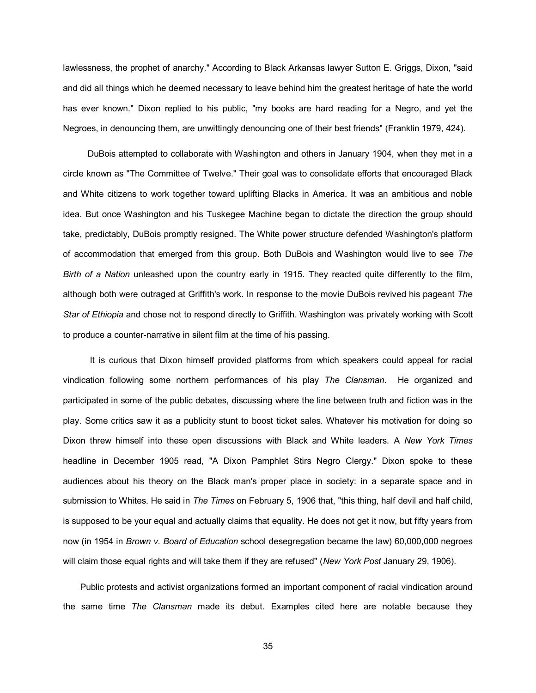lawlessness, the prophet of anarchy." According to Black Arkansas lawyer Sutton E. Griggs, Dixon, "said and did all things which he deemed necessary to leave behind him the greatest heritage of hate the world has ever known." Dixon replied to his public, "my books are hard reading for a Negro, and yet the Negroes, in denouncing them, are unwittingly denouncing one of their best friends" (Franklin 1979, 424).

 DuBois attempted to collaborate with Washington and others in January 1904, when they met in a circle known as "The Committee of Twelve." Their goal was to consolidate efforts that encouraged Black and White citizens to work together toward uplifting Blacks in America. It was an ambitious and noble idea. But once Washington and his Tuskegee Machine began to dictate the direction the group should take, predictably, DuBois promptly resigned. The White power structure defended Washington's platform of accommodation that emerged from this group. Both DuBois and Washington would live to see *The Birth of a Nation* unleashed upon the country early in 1915. They reacted quite differently to the film, although both were outraged at Griffith's work. In response to the movie DuBois revived his pageant *The Star of Ethiopia* and chose not to respond directly to Griffith. Washington was privately working with Scott to produce a counter-narrative in silent film at the time of his passing.

 It is curious that Dixon himself provided platforms from which speakers could appeal for racial vindication following some northern performances of his play *The Clansman*. He organized and participated in some of the public debates, discussing where the line between truth and fiction was in the play. Some critics saw it as a publicity stunt to boost ticket sales. Whatever his motivation for doing so Dixon threw himself into these open discussions with Black and White leaders. A *New York Times*  headline in December 1905 read, "A Dixon Pamphlet Stirs Negro Clergy." Dixon spoke to these audiences about his theory on the Black man's proper place in society: in a separate space and in submission to Whites. He said in *The Times* on February 5, 1906 that, "this thing, half devil and half child, is supposed to be your equal and actually claims that equality. He does not get it now, but fifty years from now (in 1954 in *Brown v. Board of Education* school desegregation became the law) 60,000,000 negroes will claim those equal rights and will take them if they are refused" (*New York Post* January 29, 1906).

 Public protests and activist organizations formed an important component of racial vindication around the same time *The Clansman* made its debut. Examples cited here are notable because they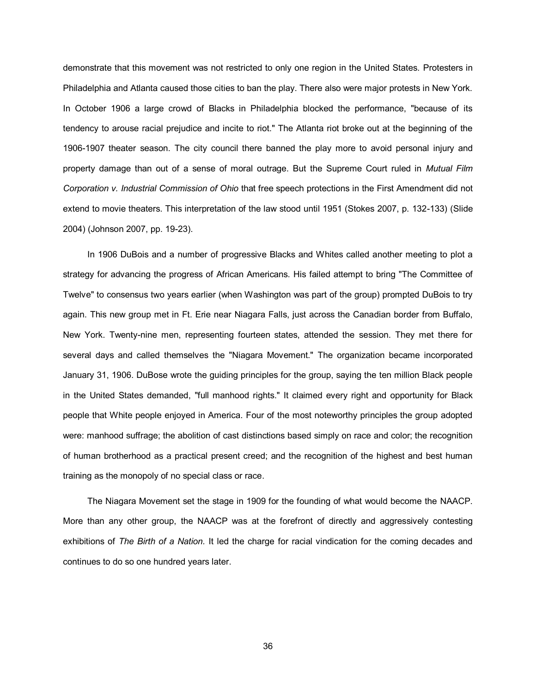demonstrate that this movement was not restricted to only one region in the United States. Protesters in Philadelphia and Atlanta caused those cities to ban the play. There also were major protests in New York. In October 1906 a large crowd of Blacks in Philadelphia blocked the performance, "because of its tendency to arouse racial prejudice and incite to riot." The Atlanta riot broke out at the beginning of the 1906-1907 theater season. The city council there banned the play more to avoid personal injury and property damage than out of a sense of moral outrage. But the Supreme Court ruled in *Mutual Film Corporation v. Industrial Commission of Ohio* that free speech protections in the First Amendment did not extend to movie theaters. This interpretation of the law stood until 1951 (Stokes 2007, p. 132-133) (Slide 2004) (Johnson 2007, pp. 19-23).

 In 1906 DuBois and a number of progressive Blacks and Whites called another meeting to plot a strategy for advancing the progress of African Americans. His failed attempt to bring "The Committee of Twelve" to consensus two years earlier (when Washington was part of the group) prompted DuBois to try again. This new group met in Ft. Erie near Niagara Falls, just across the Canadian border from Buffalo, New York. Twenty-nine men, representing fourteen states, attended the session. They met there for several days and called themselves the "Niagara Movement." The organization became incorporated January 31, 1906. DuBose wrote the guiding principles for the group, saying the ten million Black people in the United States demanded, "full manhood rights." It claimed every right and opportunity for Black people that White people enjoyed in America. Four of the most noteworthy principles the group adopted were: manhood suffrage; the abolition of cast distinctions based simply on race and color; the recognition of human brotherhood as a practical present creed; and the recognition of the highest and best human training as the monopoly of no special class or race.

 The Niagara Movement set the stage in 1909 for the founding of what would become the NAACP. More than any other group, the NAACP was at the forefront of directly and aggressively contesting exhibitions of *The Birth of a Nation.* It led the charge for racial vindication for the coming decades and continues to do so one hundred years later.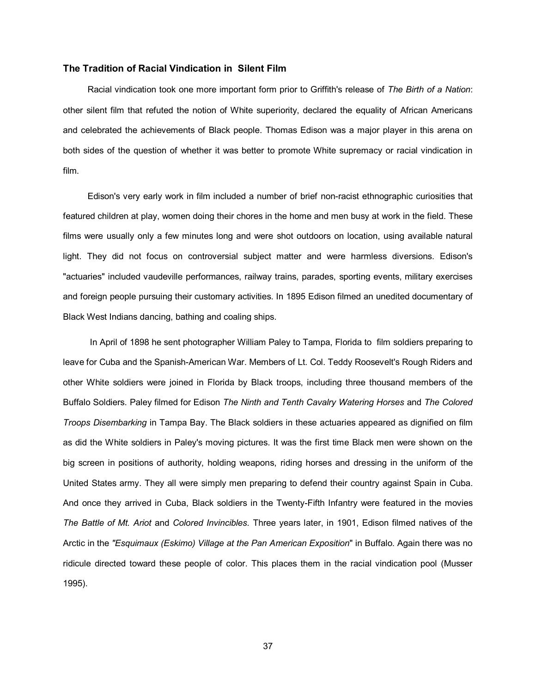## **The Tradition of Racial Vindication in Silent Film**

 Racial vindication took one more important form prior to Griffith's release of *The Birth of a Nation*: other silent film that refuted the notion of White superiority, declared the equality of African Americans and celebrated the achievements of Black people. Thomas Edison was a major player in this arena on both sides of the question of whether it was better to promote White supremacy or racial vindication in film.

 Edison's very early work in film included a number of brief non-racist ethnographic curiosities that featured children at play, women doing their chores in the home and men busy at work in the field. These films were usually only a few minutes long and were shot outdoors on location, using available natural light. They did not focus on controversial subject matter and were harmless diversions. Edison's "actuaries" included vaudeville performances, railway trains, parades, sporting events, military exercises and foreign people pursuing their customary activities. In 1895 Edison filmed an unedited documentary of Black West Indians dancing, bathing and coaling ships.

 In April of 1898 he sent photographer William Paley to Tampa, Florida to film soldiers preparing to leave for Cuba and the Spanish-American War. Members of Lt. Col. Teddy Roosevelt's Rough Riders and other White soldiers were joined in Florida by Black troops, including three thousand members of the Buffalo Soldiers. Paley filmed for Edison *The Ninth and Tenth Cavalry Watering Horses* and *The Colored Troops Disembarking* in Tampa Bay. The Black soldiers in these actuaries appeared as dignified on film as did the White soldiers in Paley's moving pictures. It was the first time Black men were shown on the big screen in positions of authority, holding weapons, riding horses and dressing in the uniform of the United States army. They all were simply men preparing to defend their country against Spain in Cuba. And once they arrived in Cuba, Black soldiers in the Twenty-Fifth Infantry were featured in the movies *The Battle of Mt. Ariot* and *Colored Invincibles.* Three years later, in 1901, Edison filmed natives of the Arctic in the *"Esquimaux (Eskimo) Village at the Pan American Exposition*" in Buffalo. Again there was no ridicule directed toward these people of color. This places them in the racial vindication pool (Musser 1995).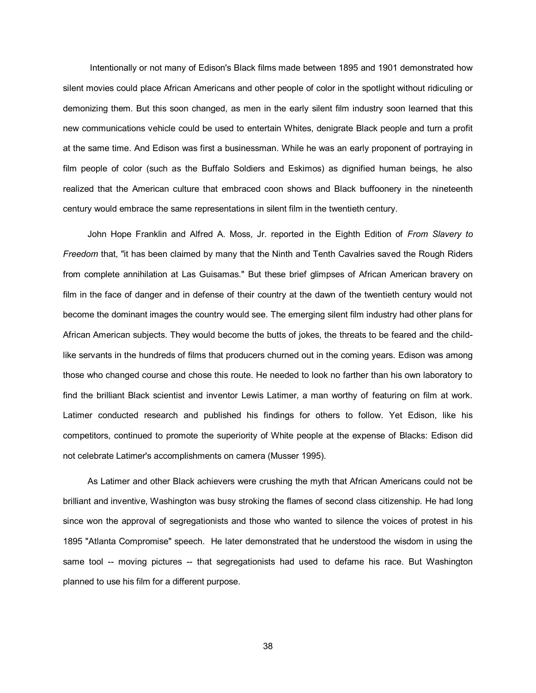Intentionally or not many of Edison's Black films made between 1895 and 1901 demonstrated how silent movies could place African Americans and other people of color in the spotlight without ridiculing or demonizing them. But this soon changed, as men in the early silent film industry soon learned that this new communications vehicle could be used to entertain Whites, denigrate Black people and turn a profit at the same time. And Edison was first a businessman. While he was an early proponent of portraying in film people of color (such as the Buffalo Soldiers and Eskimos) as dignified human beings, he also realized that the American culture that embraced coon shows and Black buffoonery in the nineteenth century would embrace the same representations in silent film in the twentieth century.

 John Hope Franklin and Alfred A. Moss, Jr. reported in the Eighth Edition of *From Slavery to Freedom* that, "it has been claimed by many that the Ninth and Tenth Cavalries saved the Rough Riders from complete annihilation at Las Guisamas." But these brief glimpses of African American bravery on film in the face of danger and in defense of their country at the dawn of the twentieth century would not become the dominant images the country would see. The emerging silent film industry had other plans for African American subjects. They would become the butts of jokes, the threats to be feared and the childlike servants in the hundreds of films that producers churned out in the coming years. Edison was among those who changed course and chose this route. He needed to look no farther than his own laboratory to find the brilliant Black scientist and inventor Lewis Latimer, a man worthy of featuring on film at work. Latimer conducted research and published his findings for others to follow. Yet Edison, like his competitors, continued to promote the superiority of White people at the expense of Blacks: Edison did not celebrate Latimer's accomplishments on camera (Musser 1995).

 As Latimer and other Black achievers were crushing the myth that African Americans could not be brilliant and inventive, Washington was busy stroking the flames of second class citizenship. He had long since won the approval of segregationists and those who wanted to silence the voices of protest in his 1895 "Atlanta Compromise" speech. He later demonstrated that he understood the wisdom in using the same tool -- moving pictures -- that segregationists had used to defame his race. But Washington planned to use his film for a different purpose.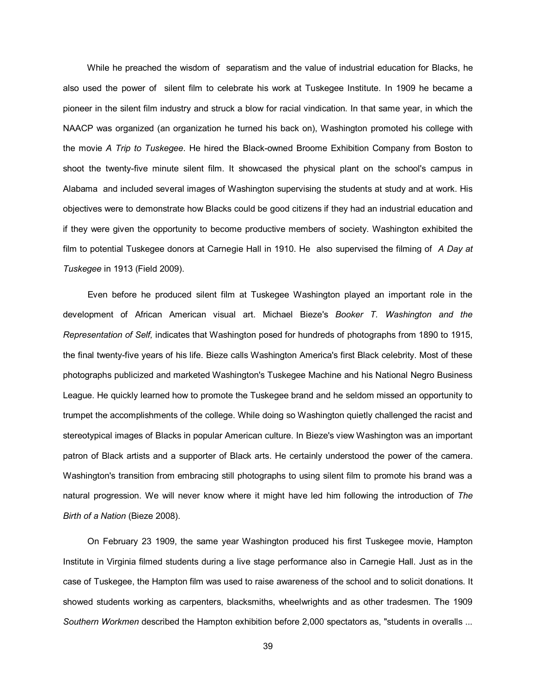While he preached the wisdom of separatism and the value of industrial education for Blacks, he also used the power of silent film to celebrate his work at Tuskegee Institute. In 1909 he became a pioneer in the silent film industry and struck a blow for racial vindication. In that same year, in which the NAACP was organized (an organization he turned his back on), Washington promoted his college with the movie *A Trip to Tuskegee*. He hired the Black-owned Broome Exhibition Company from Boston to shoot the twenty-five minute silent film. It showcased the physical plant on the school's campus in Alabama and included several images of Washington supervising the students at study and at work. His objectives were to demonstrate how Blacks could be good citizens if they had an industrial education and if they were given the opportunity to become productive members of society. Washington exhibited the film to potential Tuskegee donors at Carnegie Hall in 1910. He also supervised the filming of *A Day at Tuskegee* in 1913 (Field 2009).

 Even before he produced silent film at Tuskegee Washington played an important role in the development of African American visual art. Michael Bieze's *Booker T. Washington and the Representation of Self,* indicates that Washington posed for hundreds of photographs from 1890 to 1915, the final twenty-five years of his life. Bieze calls Washington America's first Black celebrity. Most of these photographs publicized and marketed Washington's Tuskegee Machine and his National Negro Business League. He quickly learned how to promote the Tuskegee brand and he seldom missed an opportunity to trumpet the accomplishments of the college. While doing so Washington quietly challenged the racist and stereotypical images of Blacks in popular American culture. In Bieze's view Washington was an important patron of Black artists and a supporter of Black arts. He certainly understood the power of the camera. Washington's transition from embracing still photographs to using silent film to promote his brand was a natural progression. We will never know where it might have led him following the introduction of *The Birth of a Nation* (Bieze 2008).

 On February 23 1909, the same year Washington produced his first Tuskegee movie, Hampton Institute in Virginia filmed students during a live stage performance also in Carnegie Hall. Just as in the case of Tuskegee, the Hampton film was used to raise awareness of the school and to solicit donations. It showed students working as carpenters, blacksmiths, wheelwrights and as other tradesmen. The 1909 *Southern Workmen* described the Hampton exhibition before 2,000 spectators as, "students in overalls ...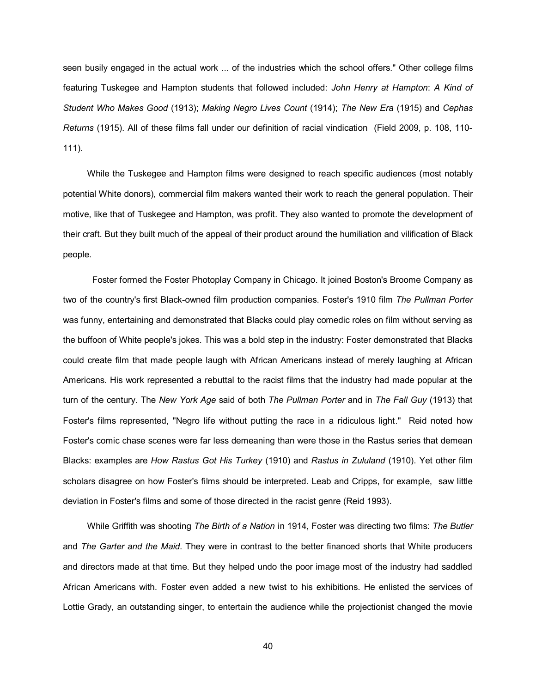seen busily engaged in the actual work ... of the industries which the school offers." Other college films featuring Tuskegee and Hampton students that followed included: *John Henry at Hampton*: *A Kind of Student Who Makes Good* (1913); *Making Negro Lives Count* (1914); *The New Era* (1915) and *Cephas Returns* (1915). All of these films fall under our definition of racial vindication (Field 2009, p. 108, 110- 111).

 While the Tuskegee and Hampton films were designed to reach specific audiences (most notably potential White donors), commercial film makers wanted their work to reach the general population. Their motive, like that of Tuskegee and Hampton, was profit. They also wanted to promote the development of their craft. But they built much of the appeal of their product around the humiliation and vilification of Black people.

 Foster formed the Foster Photoplay Company in Chicago. It joined Boston's Broome Company as two of the country's first Black-owned film production companies. Foster's 1910 film *The Pullman Porter*  was funny, entertaining and demonstrated that Blacks could play comedic roles on film without serving as the buffoon of White people's jokes. This was a bold step in the industry: Foster demonstrated that Blacks could create film that made people laugh with African Americans instead of merely laughing at African Americans. His work represented a rebuttal to the racist films that the industry had made popular at the turn of the century. The *New York Age* said of both *The Pullman Porter* and in *The Fall Guy* (1913) that Foster's films represented, "Negro life without putting the race in a ridiculous light." Reid noted how Foster's comic chase scenes were far less demeaning than were those in the Rastus series that demean Blacks: examples are *How Rastus Got His Turkey* (1910) and *Rastus in Zululand* (1910). Yet other film scholars disagree on how Foster's films should be interpreted. Leab and Cripps, for example, saw little deviation in Foster's films and some of those directed in the racist genre (Reid 1993).

 While Griffith was shooting *The Birth of a Nation* in 1914, Foster was directing two films: *The Butler*  and *The Garter and the Maid*. They were in contrast to the better financed shorts that White producers and directors made at that time. But they helped undo the poor image most of the industry had saddled African Americans with. Foster even added a new twist to his exhibitions. He enlisted the services of Lottie Grady, an outstanding singer, to entertain the audience while the projectionist changed the movie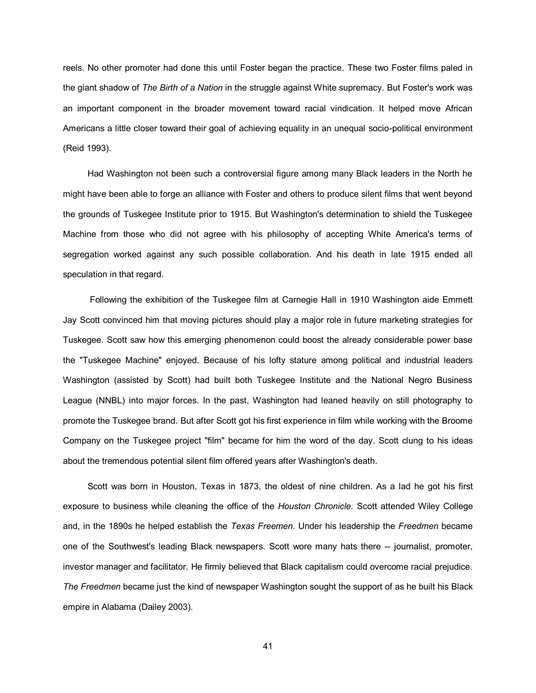reels. No other promoter had done this until Foster began the practice. These two Foster films paled in the giant shadow of *The Birth of a Nation* in the struggle against White supremacy. But Foster's work was an important component in the broader movement toward racial vindication. It helped move African Americans a little closer toward their goal of achieving equality in an unequal socio-political environment (Reid 1993).

 Had Washington not been such a controversial figure among many Black leaders in the North he might have been able to forge an alliance with Foster and others to produce silent films that went beyond the grounds of Tuskegee Institute prior to 1915. But Washington's determination to shield the Tuskegee Machine from those who did not agree with his philosophy of accepting White America's terms of segregation worked against any such possible collaboration. And his death in late 1915 ended all speculation in that regard.

 Following the exhibition of the Tuskegee film at Carnegie Hall in 1910 Washington aide Emmett Jay Scott convinced him that moving pictures should play a major role in future marketing strategies for Tuskegee. Scott saw how this emerging phenomenon could boost the already considerable power base the "Tuskegee Machine" enjoyed. Because of his lofty stature among political and industrial leaders Washington (assisted by Scott) had built both Tuskegee Institute and the National Negro Business League (NNBL) into major forces. In the past, Washington had leaned heavily on still photography to promote the Tuskegee brand. But after Scott got his first experience in film while working with the Broome Company on the Tuskegee project "film" became for him the word of the day. Scott clung to his ideas about the tremendous potential silent film offered years after Washington's death.

 Scott was born in Houston, Texas in 1873, the oldest of nine children. As a lad he got his first exposure to business while cleaning the office of the *Houston Chronicle.* Scott attended Wiley College and, in the 1890s he helped establish the *Texas Freemen*. Under his leadership the *Freedmen* became one of the Southwest's leading Black newspapers. Scott wore many hats there -- journalist, promoter, investor manager and facilitator. He firmly believed that Black capitalism could overcome racial prejudice. *The Freedmen* became just the kind of newspaper Washington sought the support of as he built his Black empire in Alabama (Dailey 2003).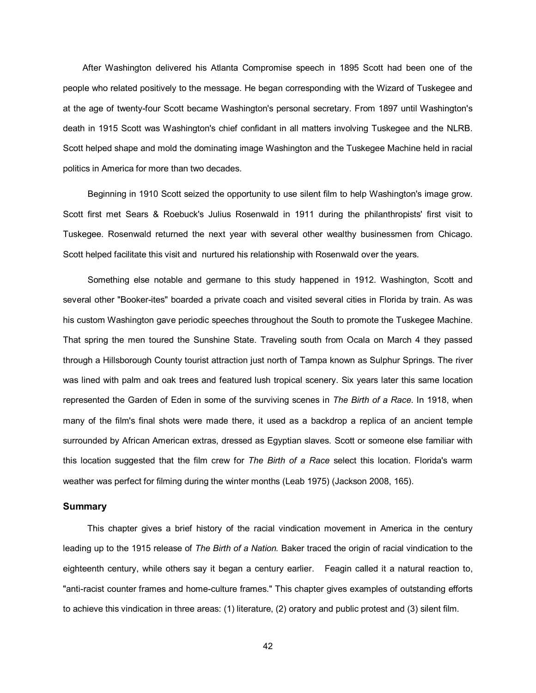After Washington delivered his Atlanta Compromise speech in 1895 Scott had been one of the people who related positively to the message. He began corresponding with the Wizard of Tuskegee and at the age of twenty-four Scott became Washington's personal secretary. From 1897 until Washington's death in 1915 Scott was Washington's chief confidant in all matters involving Tuskegee and the NLRB. Scott helped shape and mold the dominating image Washington and the Tuskegee Machine held in racial politics in America for more than two decades.

 Beginning in 1910 Scott seized the opportunity to use silent film to help Washington's image grow. Scott first met Sears & Roebuck's Julius Rosenwald in 1911 during the philanthropists' first visit to Tuskegee. Rosenwald returned the next year with several other wealthy businessmen from Chicago. Scott helped facilitate this visit and nurtured his relationship with Rosenwald over the years.

 Something else notable and germane to this study happened in 1912. Washington, Scott and several other "Booker-ites" boarded a private coach and visited several cities in Florida by train. As was his custom Washington gave periodic speeches throughout the South to promote the Tuskegee Machine. That spring the men toured the Sunshine State. Traveling south from Ocala on March 4 they passed through a Hillsborough County tourist attraction just north of Tampa known as Sulphur Springs. The river was lined with palm and oak trees and featured lush tropical scenery. Six years later this same location represented the Garden of Eden in some of the surviving scenes in *The Birth of a Race*. In 1918, when many of the film's final shots were made there, it used as a backdrop a replica of an ancient temple surrounded by African American extras, dressed as Egyptian slaves. Scott or someone else familiar with this location suggested that the film crew for *The Birth of a Race* select this location. Florida's warm weather was perfect for filming during the winter months (Leab 1975) (Jackson 2008, 165).

### **Summary**

 This chapter gives a brief history of the racial vindication movement in America in the century leading up to the 1915 release of *The Birth of a Nation.* Baker traced the origin of racial vindication to the eighteenth century, while others say it began a century earlier. Feagin called it a natural reaction to, "anti-racist counter frames and home-culture frames." This chapter gives examples of outstanding efforts to achieve this vindication in three areas: (1) literature, (2) oratory and public protest and (3) silent film.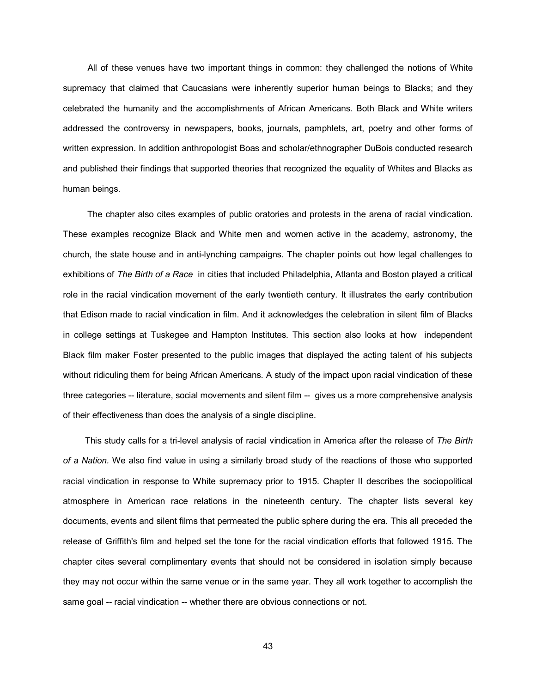All of these venues have two important things in common: they challenged the notions of White supremacy that claimed that Caucasians were inherently superior human beings to Blacks; and they celebrated the humanity and the accomplishments of African Americans. Both Black and White writers addressed the controversy in newspapers, books, journals, pamphlets, art, poetry and other forms of written expression. In addition anthropologist Boas and scholar/ethnographer DuBois conducted research and published their findings that supported theories that recognized the equality of Whites and Blacks as human beings.

 The chapter also cites examples of public oratories and protests in the arena of racial vindication. These examples recognize Black and White men and women active in the academy, astronomy, the church, the state house and in anti-lynching campaigns. The chapter points out how legal challenges to exhibitions of *The Birth of a Race* in cities that included Philadelphia, Atlanta and Boston played a critical role in the racial vindication movement of the early twentieth century. It illustrates the early contribution that Edison made to racial vindication in film. And it acknowledges the celebration in silent film of Blacks in college settings at Tuskegee and Hampton Institutes. This section also looks at how independent Black film maker Foster presented to the public images that displayed the acting talent of his subjects without ridiculing them for being African Americans. A study of the impact upon racial vindication of these three categories -- literature, social movements and silent film -- gives us a more comprehensive analysis of their effectiveness than does the analysis of a single discipline.

 This study calls for a tri-level analysis of racial vindication in America after the release of *The Birth of a Nation.* We also find value in using a similarly broad study of the reactions of those who supported racial vindication in response to White supremacy prior to 1915. Chapter II describes the sociopolitical atmosphere in American race relations in the nineteenth century. The chapter lists several key documents, events and silent films that permeated the public sphere during the era. This all preceded the release of Griffith's film and helped set the tone for the racial vindication efforts that followed 1915. The chapter cites several complimentary events that should not be considered in isolation simply because they may not occur within the same venue or in the same year. They all work together to accomplish the same goal -- racial vindication -- whether there are obvious connections or not.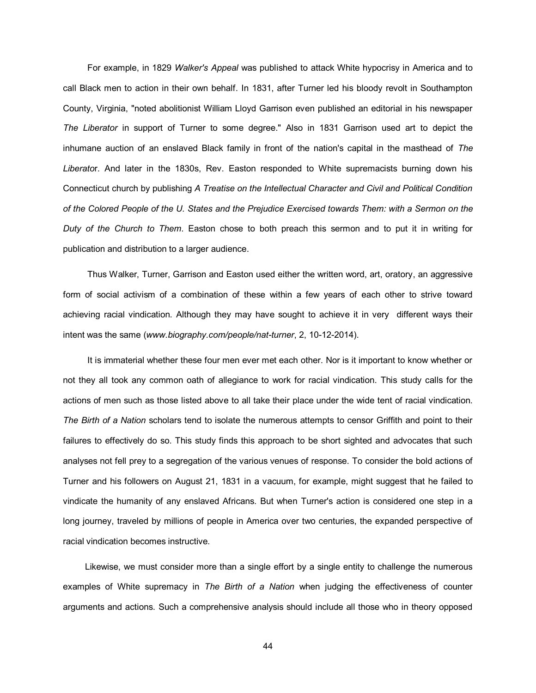For example, in 1829 *Walker's Appeal* was published to attack White hypocrisy in America and to call Black men to action in their own behalf. In 1831, after Turner led his bloody revolt in Southampton County, Virginia, "noted abolitionist William Lloyd Garrison even published an editorial in his newspaper *The Liberator* in support of Turner to some degree." Also in 1831 Garrison used art to depict the inhumane auction of an enslaved Black family in front of the nation's capital in the masthead of *The Liberato*r. And later in the 1830s, Rev. Easton responded to White supremacists burning down his Connecticut church by publishing *A Treatise on the Intellectual Character and Civil and Political Condition of the Colored People of the U. States and the Prejudice Exercised towards Them: with a Sermon on the Duty of the Church to Them*. Easton chose to both preach this sermon and to put it in writing for publication and distribution to a larger audience.

 Thus Walker, Turner, Garrison and Easton used either the written word, art, oratory, an aggressive form of social activism of a combination of these within a few years of each other to strive toward achieving racial vindication. Although they may have sought to achieve it in very different ways their intent was the same (*www.biography.com/people/nat-turner*, 2, 10-12-2014).

 It is immaterial whether these four men ever met each other. Nor is it important to know whether or not they all took any common oath of allegiance to work for racial vindication. This study calls for the actions of men such as those listed above to all take their place under the wide tent of racial vindication. *The Birth of a Nation* scholars tend to isolate the numerous attempts to censor Griffith and point to their failures to effectively do so. This study finds this approach to be short sighted and advocates that such analyses not fell prey to a segregation of the various venues of response. To consider the bold actions of Turner and his followers on August 21, 1831 in a vacuum, for example, might suggest that he failed to vindicate the humanity of any enslaved Africans. But when Turner's action is considered one step in a long journey, traveled by millions of people in America over two centuries, the expanded perspective of racial vindication becomes instructive.

 Likewise, we must consider more than a single effort by a single entity to challenge the numerous examples of White supremacy in *The Birth of a Nation* when judging the effectiveness of counter arguments and actions. Such a comprehensive analysis should include all those who in theory opposed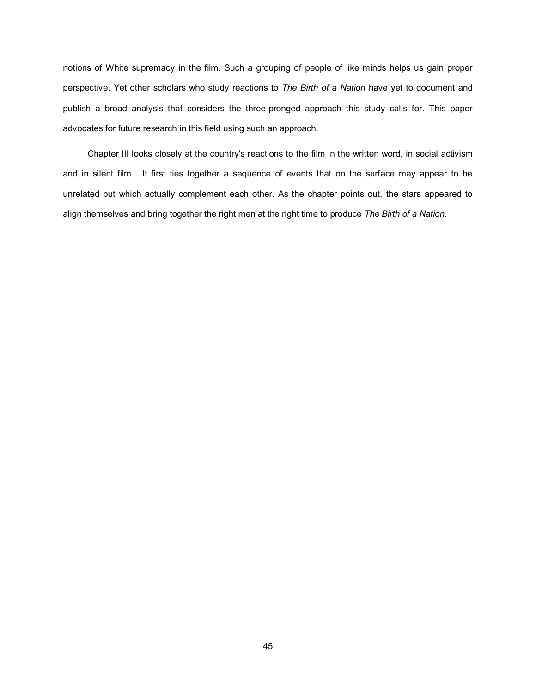notions of White supremacy in the film. Such a grouping of people of like minds helps us gain proper perspective. Yet other scholars who study reactions to *The Birth of a Nation* have yet to document and publish a broad analysis that considers the three-pronged approach this study calls for. This paper advocates for future research in this field using such an approach.

 Chapter III looks closely at the country's reactions to the film in the written word, in social activism and in silent film. It first ties together a sequence of events that on the surface may appear to be unrelated but which actually complement each other. As the chapter points out, the stars appeared to align themselves and bring together the right men at the right time to produce *The Birth of a Nation*.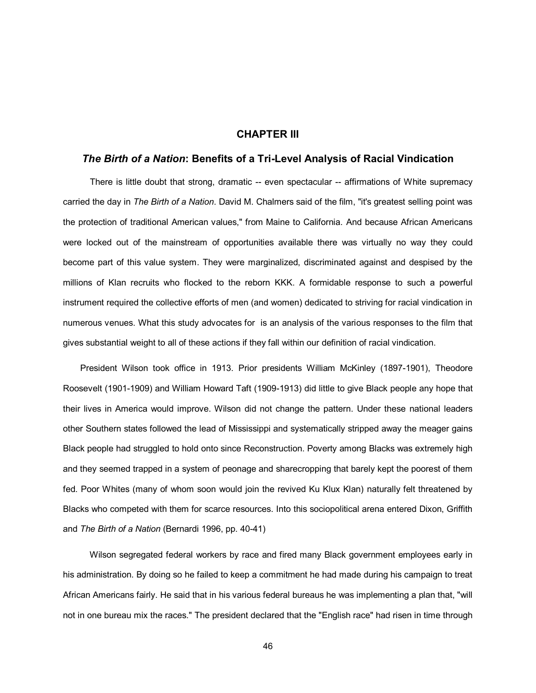## **CHAPTER III**

# *The Birth of a Nation***: Benefits of a Tri-Level Analysis of Racial Vindication**

 There is little doubt that strong, dramatic -- even spectacular -- affirmations of White supremacy carried the day in *The Birth of a Nation*. David M. Chalmers said of the film, "it's greatest selling point was the protection of traditional American values," from Maine to California. And because African Americans were locked out of the mainstream of opportunities available there was virtually no way they could become part of this value system. They were marginalized, discriminated against and despised by the millions of Klan recruits who flocked to the reborn KKK. A formidable response to such a powerful instrument required the collective efforts of men (and women) dedicated to striving for racial vindication in numerous venues. What this study advocates for is an analysis of the various responses to the film that gives substantial weight to all of these actions if they fall within our definition of racial vindication.

 President Wilson took office in 1913. Prior presidents William McKinley (1897-1901), Theodore Roosevelt (1901-1909) and William Howard Taft (1909-1913) did little to give Black people any hope that their lives in America would improve. Wilson did not change the pattern. Under these national leaders other Southern states followed the lead of Mississippi and systematically stripped away the meager gains Black people had struggled to hold onto since Reconstruction. Poverty among Blacks was extremely high and they seemed trapped in a system of peonage and sharecropping that barely kept the poorest of them fed. Poor Whites (many of whom soon would join the revived Ku Klux Klan) naturally felt threatened by Blacks who competed with them for scarce resources. Into this sociopolitical arena entered Dixon, Griffith and *The Birth of a Nation* (Bernardi 1996, pp. 40-41)

 Wilson segregated federal workers by race and fired many Black government employees early in his administration. By doing so he failed to keep a commitment he had made during his campaign to treat African Americans fairly. He said that in his various federal bureaus he was implementing a plan that, "will not in one bureau mix the races." The president declared that the "English race" had risen in time through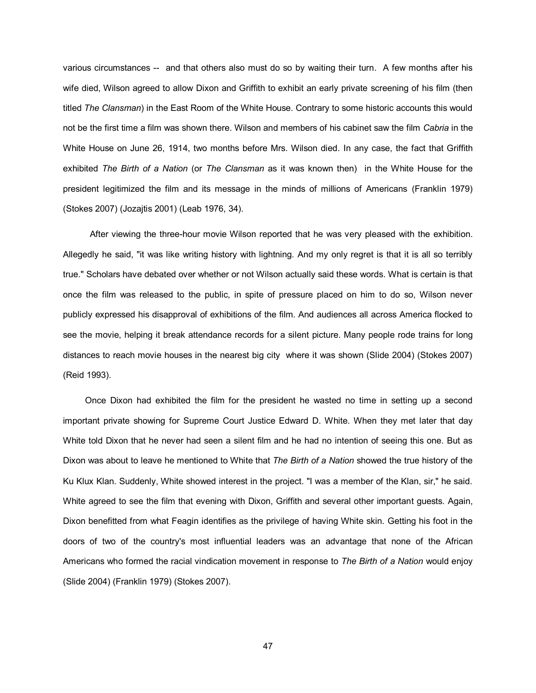various circumstances -- and that others also must do so by waiting their turn. A few months after his wife died, Wilson agreed to allow Dixon and Griffith to exhibit an early private screening of his film (then titled *The Clansman*) in the East Room of the White House. Contrary to some historic accounts this would not be the first time a film was shown there. Wilson and members of his cabinet saw the film *Cabria* in the White House on June 26, 1914, two months before Mrs. Wilson died. In any case, the fact that Griffith exhibited *The Birth of a Nation* (or *The Clansman* as it was known then) in the White House for the president legitimized the film and its message in the minds of millions of Americans (Franklin 1979) (Stokes 2007) (Jozajtis 2001) (Leab 1976, 34).

 After viewing the three-hour movie Wilson reported that he was very pleased with the exhibition. Allegedly he said, "it was like writing history with lightning. And my only regret is that it is all so terribly true." Scholars have debated over whether or not Wilson actually said these words. What is certain is that once the film was released to the public, in spite of pressure placed on him to do so, Wilson never publicly expressed his disapproval of exhibitions of the film. And audiences all across America flocked to see the movie, helping it break attendance records for a silent picture. Many people rode trains for long distances to reach movie houses in the nearest big city where it was shown (Slide 2004) (Stokes 2007) (Reid 1993).

 Once Dixon had exhibited the film for the president he wasted no time in setting up a second important private showing for Supreme Court Justice Edward D. White. When they met later that day White told Dixon that he never had seen a silent film and he had no intention of seeing this one. But as Dixon was about to leave he mentioned to White that *The Birth of a Nation* showed the true history of the Ku Klux Klan. Suddenly, White showed interest in the project. "I was a member of the Klan, sir," he said. White agreed to see the film that evening with Dixon, Griffith and several other important guests. Again, Dixon benefitted from what Feagin identifies as the privilege of having White skin. Getting his foot in the doors of two of the country's most influential leaders was an advantage that none of the African Americans who formed the racial vindication movement in response to *The Birth of a Nation* would enjoy (Slide 2004) (Franklin 1979) (Stokes 2007).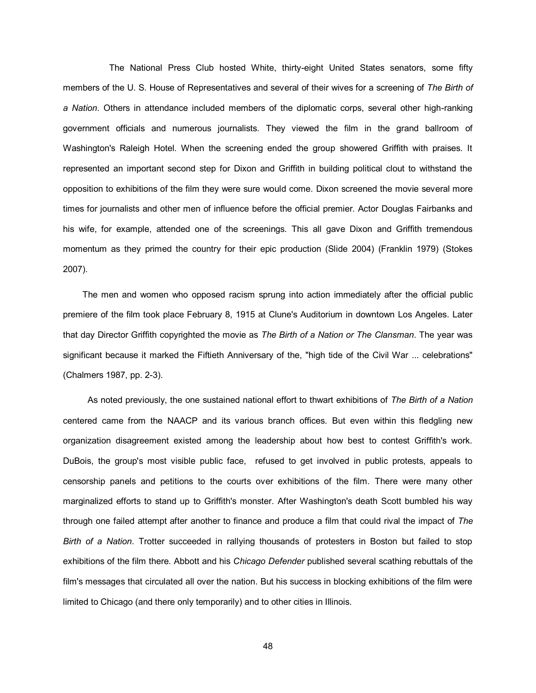The National Press Club hosted White, thirty-eight United States senators, some fifty members of the U. S. House of Representatives and several of their wives for a screening of *The Birth of a Nation*. Others in attendance included members of the diplomatic corps, several other high-ranking government officials and numerous journalists. They viewed the film in the grand ballroom of Washington's Raleigh Hotel. When the screening ended the group showered Griffith with praises. It represented an important second step for Dixon and Griffith in building political clout to withstand the opposition to exhibitions of the film they were sure would come. Dixon screened the movie several more times for journalists and other men of influence before the official premier. Actor Douglas Fairbanks and his wife, for example, attended one of the screenings. This all gave Dixon and Griffith tremendous momentum as they primed the country for their epic production (Slide 2004) (Franklin 1979) (Stokes 2007).

 The men and women who opposed racism sprung into action immediately after the official public premiere of the film took place February 8, 1915 at Clune's Auditorium in downtown Los Angeles. Later that day Director Griffith copyrighted the movie as *The Birth of a Nation or The Clansman*. The year was significant because it marked the Fiftieth Anniversary of the, "high tide of the Civil War ... celebrations" (Chalmers 1987, pp. 2-3).

 As noted previously, the one sustained national effort to thwart exhibitions of *The Birth of a Nation* centered came from the NAACP and its various branch offices. But even within this fledgling new organization disagreement existed among the leadership about how best to contest Griffith's work. DuBois, the group's most visible public face, refused to get involved in public protests, appeals to censorship panels and petitions to the courts over exhibitions of the film. There were many other marginalized efforts to stand up to Griffith's monster. After Washington's death Scott bumbled his way through one failed attempt after another to finance and produce a film that could rival the impact of *The Birth of a Nation*. Trotter succeeded in rallying thousands of protesters in Boston but failed to stop exhibitions of the film there. Abbott and his *Chicago Defender* published several scathing rebuttals of the film's messages that circulated all over the nation. But his success in blocking exhibitions of the film were limited to Chicago (and there only temporarily) and to other cities in Illinois.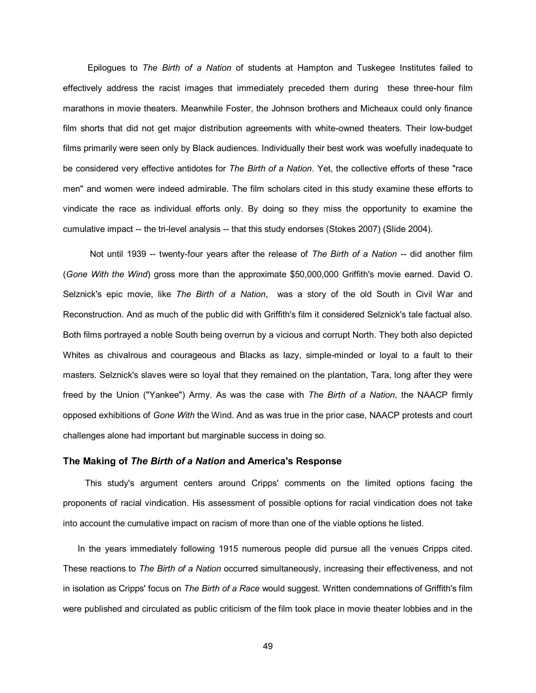Epilogues to *The Birth of a Nation* of students at Hampton and Tuskegee Institutes failed to effectively address the racist images that immediately preceded them during these three-hour film marathons in movie theaters. Meanwhile Foster, the Johnson brothers and Micheaux could only finance film shorts that did not get major distribution agreements with white-owned theaters. Their low-budget films primarily were seen only by Black audiences. Individually their best work was woefully inadequate to be considered very effective antidotes for *The Birth of a Nation*. Yet, the collective efforts of these "race men" and women were indeed admirable. The film scholars cited in this study examine these efforts to vindicate the race as individual efforts only. By doing so they miss the opportunity to examine the cumulative impact -- the tri-level analysis -- that this study endorses (Stokes 2007) (Slide 2004).

 Not until 1939 -- twenty-four years after the release of *The Birth of a Nation* -- did another film (*Gone With the Wind*) gross more than the approximate \$50,000,000 Griffith's movie earned. David O. Selznick's epic movie, like *The Birth of a Nation*, was a story of the old South in Civil War and Reconstruction. And as much of the public did with Griffith's film it considered Selznick's tale factual also. Both films portrayed a noble South being overrun by a vicious and corrupt North. They both also depicted Whites as chivalrous and courageous and Blacks as lazy, simple-minded or loyal to a fault to their masters. Selznick's slaves were so loyal that they remained on the plantation, Tara, long after they were freed by the Union ("Yankee") Army. As was the case with *The Birth of a Nation*, the NAACP firmly opposed exhibitions of *Gone With* the Wind. And as was true in the prior case, NAACP protests and court challenges alone had important but marginable success in doing so.

### **The Making of** *The Birth of a Nation* **and America's Response**

 This study's argument centers around Cripps' comments on the limited options facing the proponents of racial vindication. His assessment of possible options for racial vindication does not take into account the cumulative impact on racism of more than one of the viable options he listed.

 In the years immediately following 1915 numerous people did pursue all the venues Cripps cited. These reactions to *The Birth of a Nation* occurred simultaneously, increasing their effectiveness, and not in isolation as Cripps' focus on *The Birth of a Race* would suggest. Written condemnations of Griffith's film were published and circulated as public criticism of the film took place in movie theater lobbies and in the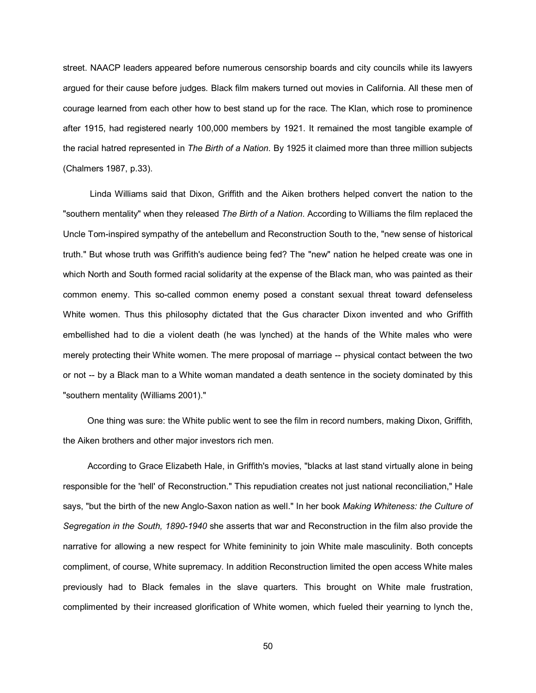street. NAACP leaders appeared before numerous censorship boards and city councils while its lawyers argued for their cause before judges. Black film makers turned out movies in California. All these men of courage learned from each other how to best stand up for the race. The Klan, which rose to prominence after 1915, had registered nearly 100,000 members by 1921. It remained the most tangible example of the racial hatred represented in *The Birth of a Nation*. By 1925 it claimed more than three million subjects (Chalmers 1987, p.33).

 Linda Williams said that Dixon, Griffith and the Aiken brothers helped convert the nation to the "southern mentality" when they released *The Birth of a Nation*. According to Williams the film replaced the Uncle Tom-inspired sympathy of the antebellum and Reconstruction South to the, "new sense of historical truth." But whose truth was Griffith's audience being fed? The "new" nation he helped create was one in which North and South formed racial solidarity at the expense of the Black man, who was painted as their common enemy. This so-called common enemy posed a constant sexual threat toward defenseless White women. Thus this philosophy dictated that the Gus character Dixon invented and who Griffith embellished had to die a violent death (he was lynched) at the hands of the White males who were merely protecting their White women. The mere proposal of marriage -- physical contact between the two or not -- by a Black man to a White woman mandated a death sentence in the society dominated by this "southern mentality (Williams 2001)."

 One thing was sure: the White public went to see the film in record numbers, making Dixon, Griffith, the Aiken brothers and other major investors rich men.

 According to Grace Elizabeth Hale, in Griffith's movies, "blacks at last stand virtually alone in being responsible for the 'hell' of Reconstruction." This repudiation creates not just national reconciliation," Hale says, "but the birth of the new Anglo-Saxon nation as well." In her book *Making Whiteness: the Culture of Segregation in the South, 1890-1940* she asserts that war and Reconstruction in the film also provide the narrative for allowing a new respect for White femininity to join White male masculinity. Both concepts compliment, of course, White supremacy. In addition Reconstruction limited the open access White males previously had to Black females in the slave quarters. This brought on White male frustration, complimented by their increased glorification of White women, which fueled their yearning to lynch the,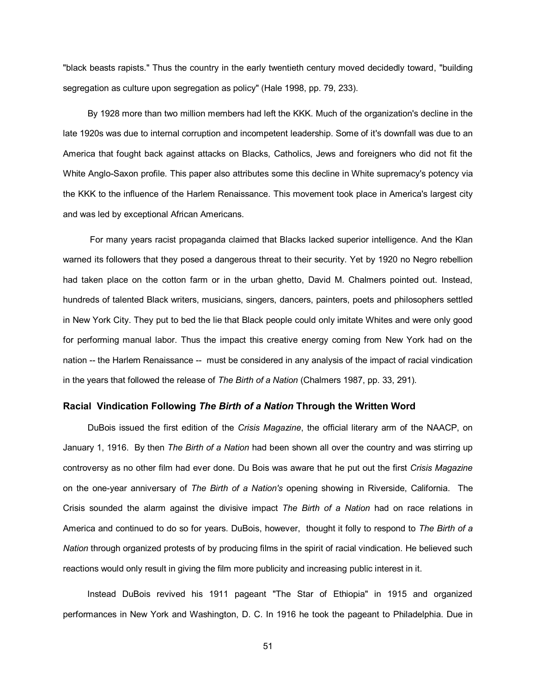"black beasts rapists." Thus the country in the early twentieth century moved decidedly toward, "building segregation as culture upon segregation as policy" (Hale 1998, pp. 79, 233).

 By 1928 more than two million members had left the KKK. Much of the organization's decline in the late 1920s was due to internal corruption and incompetent leadership. Some of it's downfall was due to an America that fought back against attacks on Blacks, Catholics, Jews and foreigners who did not fit the White Anglo-Saxon profile. This paper also attributes some this decline in White supremacy's potency via the KKK to the influence of the Harlem Renaissance. This movement took place in America's largest city and was led by exceptional African Americans.

 For many years racist propaganda claimed that Blacks lacked superior intelligence. And the Klan warned its followers that they posed a dangerous threat to their security. Yet by 1920 no Negro rebellion had taken place on the cotton farm or in the urban ghetto, David M. Chalmers pointed out. Instead, hundreds of talented Black writers, musicians, singers, dancers, painters, poets and philosophers settled in New York City. They put to bed the lie that Black people could only imitate Whites and were only good for performing manual labor. Thus the impact this creative energy coming from New York had on the nation -- the Harlem Renaissance -- must be considered in any analysis of the impact of racial vindication in the years that followed the release of *The Birth of a Nation* (Chalmers 1987, pp. 33, 291).

### **Racial Vindication Following** *The Birth of a Nation* **Through the Written Word**

 DuBois issued the first edition of the *Crisis Magazine*, the official literary arm of the NAACP, on January 1, 1916. By then *The Birth of a Nation* had been shown all over the country and was stirring up controversy as no other film had ever done. Du Bois was aware that he put out the first *Crisis Magazine* on the one-year anniversary of *The Birth of a Nation's* opening showing in Riverside, California. The Crisis sounded the alarm against the divisive impact *The Birth of a Nation* had on race relations in America and continued to do so for years. DuBois, however, thought it folly to respond to *The Birth of a Nation* through organized protests of by producing films in the spirit of racial vindication. He believed such reactions would only result in giving the film more publicity and increasing public interest in it.

 Instead DuBois revived his 1911 pageant "The Star of Ethiopia" in 1915 and organized performances in New York and Washington, D. C. In 1916 he took the pageant to Philadelphia. Due in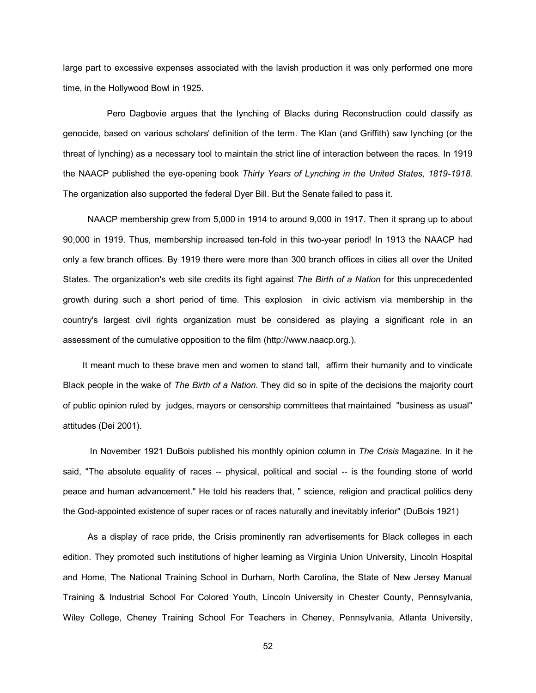large part to excessive expenses associated with the lavish production it was only performed one more time, in the Hollywood Bowl in 1925.

 Pero Dagbovie argues that the lynching of Blacks during Reconstruction could classify as genocide, based on various scholars' definition of the term. The Klan (and Griffith) saw lynching (or the threat of lynching) as a necessary tool to maintain the strict line of interaction between the races. In 1919 the NAACP published the eye-opening book *Thirty Years of Lynching in the United States, 1819-1918.* The organization also supported the federal Dyer Bill. But the Senate failed to pass it.

 NAACP membership grew from 5,000 in 1914 to around 9,000 in 1917. Then it sprang up to about 90,000 in 1919. Thus, membership increased ten-fold in this two-year period! In 1913 the NAACP had only a few branch offices. By 1919 there were more than 300 branch offices in cities all over the United States. The organization's web site credits its fight against *The Birth of a Nation* for this unprecedented growth during such a short period of time. This explosion in civic activism via membership in the country's largest civil rights organization must be considered as playing a significant role in an assessment of the cumulative opposition to the film (http://www.naacp.org.).

 It meant much to these brave men and women to stand tall, affirm their humanity and to vindicate Black people in the wake of *The Birth of a Nation*. They did so in spite of the decisions the majority court of public opinion ruled by judges, mayors or censorship committees that maintained "business as usual" attitudes (Dei 2001).

 In November 1921 DuBois published his monthly opinion column in *The Crisis* Magazine. In it he said, "The absolute equality of races -- physical, political and social -- is the founding stone of world peace and human advancement." He told his readers that, " science, religion and practical politics deny the God-appointed existence of super races or of races naturally and inevitably inferior" (DuBois 1921)

 As a display of race pride, the Crisis prominently ran advertisements for Black colleges in each edition. They promoted such institutions of higher learning as Virginia Union University, Lincoln Hospital and Home, The National Training School in Durham, North Carolina, the State of New Jersey Manual Training & Industrial School For Colored Youth, Lincoln University in Chester County, Pennsylvania, Wiley College, Cheney Training School For Teachers in Cheney, Pennsylvania, Atlanta University,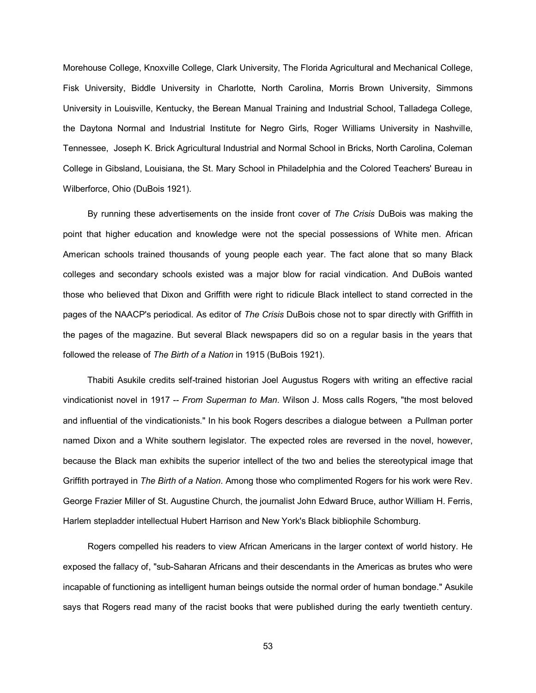Morehouse College, Knoxville College, Clark University, The Florida Agricultural and Mechanical College, Fisk University, Biddle University in Charlotte, North Carolina, Morris Brown University, Simmons University in Louisville, Kentucky, the Berean Manual Training and Industrial School, Talladega College, the Daytona Normal and Industrial Institute for Negro Girls, Roger Williams University in Nashville, Tennessee, Joseph K. Brick Agricultural Industrial and Normal School in Bricks, North Carolina, Coleman College in Gibsland, Louisiana, the St. Mary School in Philadelphia and the Colored Teachers' Bureau in Wilberforce, Ohio (DuBois 1921).

 By running these advertisements on the inside front cover of *The Crisis* DuBois was making the point that higher education and knowledge were not the special possessions of White men. African American schools trained thousands of young people each year. The fact alone that so many Black colleges and secondary schools existed was a major blow for racial vindication. And DuBois wanted those who believed that Dixon and Griffith were right to ridicule Black intellect to stand corrected in the pages of the NAACP's periodical. As editor of *The Crisis* DuBois chose not to spar directly with Griffith in the pages of the magazine. But several Black newspapers did so on a regular basis in the years that followed the release of *The Birth of a Nation* in 1915 (BuBois 1921).

 Thabiti Asukile credits self-trained historian Joel Augustus Rogers with writing an effective racial vindicationist novel in 1917 -- *From Superman to Man.* Wilson J. Moss calls Rogers, "the most beloved and influential of the vindicationists." In his book Rogers describes a dialogue between a Pullman porter named Dixon and a White southern legislator. The expected roles are reversed in the novel, however, because the Black man exhibits the superior intellect of the two and belies the stereotypical image that Griffith portrayed in *The Birth of a Nation*. Among those who complimented Rogers for his work were Rev. George Frazier Miller of St. Augustine Church, the journalist John Edward Bruce, author William H. Ferris, Harlem stepladder intellectual Hubert Harrison and New York's Black bibliophile Schomburg.

 Rogers compelled his readers to view African Americans in the larger context of world history. He exposed the fallacy of, "sub-Saharan Africans and their descendants in the Americas as brutes who were incapable of functioning as intelligent human beings outside the normal order of human bondage." Asukile says that Rogers read many of the racist books that were published during the early twentieth century.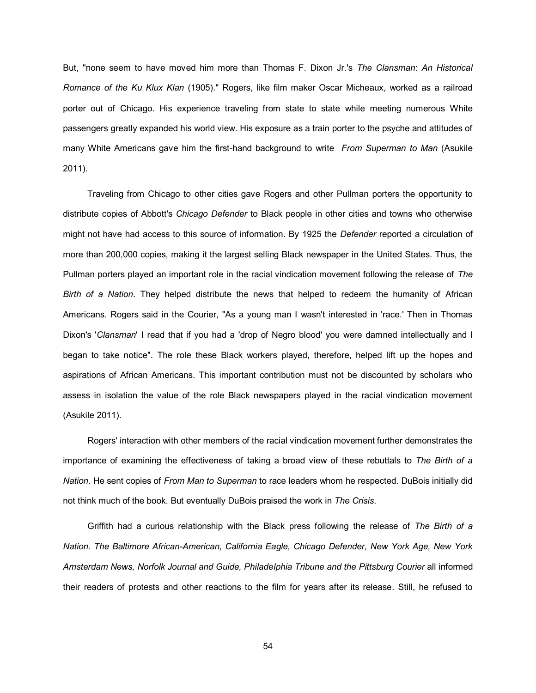But, "none seem to have moved him more than Thomas F. Dixon Jr.'s *The Clansman*: *An Historical Romance of the Ku Klux Klan* (1905)." Rogers, like film maker Oscar Micheaux, worked as a railroad porter out of Chicago. His experience traveling from state to state while meeting numerous White passengers greatly expanded his world view. His exposure as a train porter to the psyche and attitudes of many White Americans gave him the first-hand background to write *From Superman to Man* (Asukile 2011).

 Traveling from Chicago to other cities gave Rogers and other Pullman porters the opportunity to distribute copies of Abbott's *Chicago Defender* to Black people in other cities and towns who otherwise might not have had access to this source of information. By 1925 the *Defender* reported a circulation of more than 200,000 copies, making it the largest selling Black newspaper in the United States. Thus, the Pullman porters played an important role in the racial vindication movement following the release of *The Birth of a Nation*. They helped distribute the news that helped to redeem the humanity of African Americans. Rogers said in the Courier, "As a young man I wasn't interested in 'race.' Then in Thomas Dixon's '*Clansman*' I read that if you had a 'drop of Negro blood' you were damned intellectually and I began to take notice". The role these Black workers played, therefore, helped lift up the hopes and aspirations of African Americans. This important contribution must not be discounted by scholars who assess in isolation the value of the role Black newspapers played in the racial vindication movement (Asukile 2011).

 Rogers' interaction with other members of the racial vindication movement further demonstrates the importance of examining the effectiveness of taking a broad view of these rebuttals to *The Birth of a Nation*. He sent copies of *From Man to Superman* to race leaders whom he respected. DuBois initially did not think much of the book. But eventually DuBois praised the work in *The Crisis*.

 Griffith had a curious relationship with the Black press following the release of *The Birth of a Nation*. *The Baltimore African-American, California Eagle, Chicago Defender, New York Age, New York*  Amsterdam News, Norfolk Journal and Guide, Philadelphia Tribune and the Pittsburg Courier all informed their readers of protests and other reactions to the film for years after its release. Still, he refused to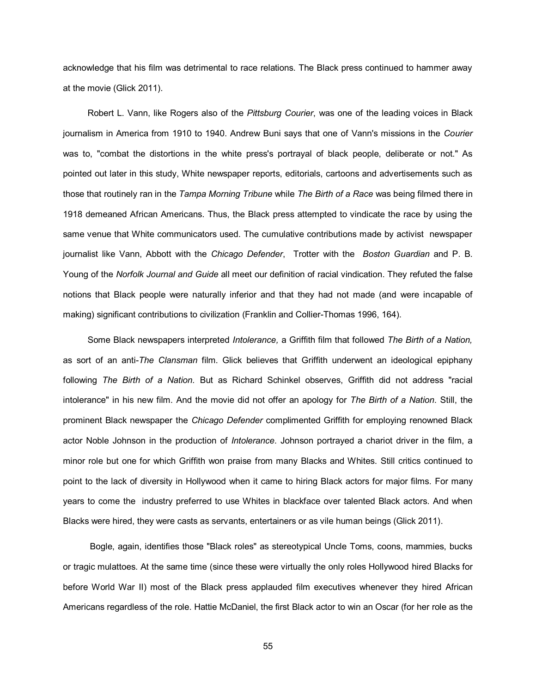acknowledge that his film was detrimental to race relations. The Black press continued to hammer away at the movie (Glick 2011).

 Robert L. Vann, like Rogers also of the *Pittsburg Courier*, was one of the leading voices in Black journalism in America from 1910 to 1940. Andrew Buni says that one of Vann's missions in the *Courier* was to, "combat the distortions in the white press's portrayal of black people, deliberate or not." As pointed out later in this study, White newspaper reports, editorials, cartoons and advertisements such as those that routinely ran in the *Tampa Morning Tribune* while *The Birth of a Race* was being filmed there in 1918 demeaned African Americans. Thus, the Black press attempted to vindicate the race by using the same venue that White communicators used. The cumulative contributions made by activist newspaper journalist like Vann, Abbott with the *Chicago Defender*, Trotter with the *Boston Guardian* and P. B. Young of the *Norfolk Journal and Guide* all meet our definition of racial vindication. They refuted the false notions that Black people were naturally inferior and that they had not made (and were incapable of making) significant contributions to civilization (Franklin and Collier-Thomas 1996, 164).

 Some Black newspapers interpreted *Intolerance,* a Griffith film that followed *The Birth of a Nation,* as sort of an anti-*The Clansman* film. Glick believes that Griffith underwent an ideological epiphany following *The Birth of a Nation.* But as Richard Schinkel observes, Griffith did not address "racial intolerance" in his new film. And the movie did not offer an apology for *The Birth of a Nation*. Still, the prominent Black newspaper the *Chicago Defender* complimented Griffith for employing renowned Black actor Noble Johnson in the production of *Intolerance*. Johnson portrayed a chariot driver in the film, a minor role but one for which Griffith won praise from many Blacks and Whites. Still critics continued to point to the lack of diversity in Hollywood when it came to hiring Black actors for major films. For many years to come the industry preferred to use Whites in blackface over talented Black actors. And when Blacks were hired, they were casts as servants, entertainers or as vile human beings (Glick 2011).

 Bogle, again, identifies those "Black roles" as stereotypical Uncle Toms, coons, mammies, bucks or tragic mulattoes. At the same time (since these were virtually the only roles Hollywood hired Blacks for before World War II) most of the Black press applauded film executives whenever they hired African Americans regardless of the role. Hattie McDaniel, the first Black actor to win an Oscar (for her role as the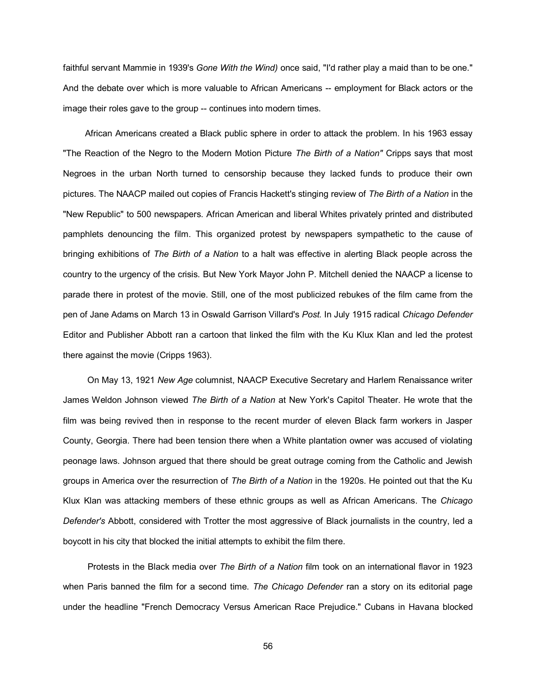faithful servant Mammie in 1939's *Gone With the Wind)* once said, "I'd rather play a maid than to be one." And the debate over which is more valuable to African Americans -- employment for Black actors or the image their roles gave to the group -- continues into modern times.

 African Americans created a Black public sphere in order to attack the problem. In his 1963 essay "The Reaction of the Negro to the Modern Motion Picture *The Birth of a Nation"* Cripps says that most Negroes in the urban North turned to censorship because they lacked funds to produce their own pictures. The NAACP mailed out copies of Francis Hackett's stinging review of *The Birth of a Nation* in the "New Republic" to 500 newspapers. African American and liberal Whites privately printed and distributed pamphlets denouncing the film. This organized protest by newspapers sympathetic to the cause of bringing exhibitions of *The Birth of a Nation* to a halt was effective in alerting Black people across the country to the urgency of the crisis. But New York Mayor John P. Mitchell denied the NAACP a license to parade there in protest of the movie. Still, one of the most publicized rebukes of the film came from the pen of Jane Adams on March 13 in Oswald Garrison Villard's *Post.* In July 1915 radical *Chicago Defender* Editor and Publisher Abbott ran a cartoon that linked the film with the Ku Klux Klan and led the protest there against the movie (Cripps 1963).

 On May 13, 1921 *New Age* columnist, NAACP Executive Secretary and Harlem Renaissance writer James Weldon Johnson viewed *The Birth of a Nation* at New York's Capitol Theater. He wrote that the film was being revived then in response to the recent murder of eleven Black farm workers in Jasper County, Georgia. There had been tension there when a White plantation owner was accused of violating peonage laws. Johnson argued that there should be great outrage coming from the Catholic and Jewish groups in America over the resurrection of *The Birth of a Nation* in the 1920s. He pointed out that the Ku Klux Klan was attacking members of these ethnic groups as well as African Americans. The *Chicago Defender's* Abbott, considered with Trotter the most aggressive of Black journalists in the country, led a boycott in his city that blocked the initial attempts to exhibit the film there.

 Protests in the Black media over *The Birth of a Nation* film took on an international flavor in 1923 when Paris banned the film for a second time. *The Chicago Defender* ran a story on its editorial page under the headline "French Democracy Versus American Race Prejudice." Cubans in Havana blocked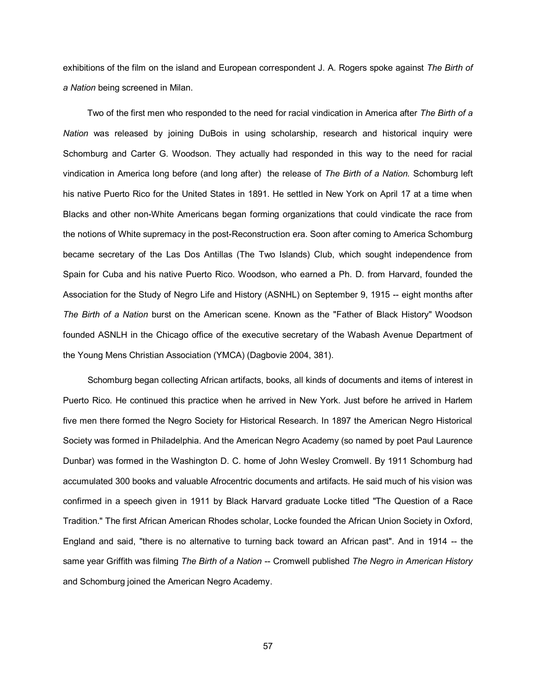exhibitions of the film on the island and European correspondent J. A. Rogers spoke against *The Birth of a Nation* being screened in Milan.

 Two of the first men who responded to the need for racial vindication in America after *The Birth of a Nation* was released by joining DuBois in using scholarship, research and historical inquiry were Schomburg and Carter G. Woodson. They actually had responded in this way to the need for racial vindication in America long before (and long after) the release of *The Birth of a Nation.* Schomburg left his native Puerto Rico for the United States in 1891. He settled in New York on April 17 at a time when Blacks and other non-White Americans began forming organizations that could vindicate the race from the notions of White supremacy in the post-Reconstruction era. Soon after coming to America Schomburg became secretary of the Las Dos Antillas (The Two Islands) Club, which sought independence from Spain for Cuba and his native Puerto Rico. Woodson, who earned a Ph. D. from Harvard, founded the Association for the Study of Negro Life and History (ASNHL) on September 9, 1915 -- eight months after *The Birth of a Nation* burst on the American scene. Known as the "Father of Black History" Woodson founded ASNLH in the Chicago office of the executive secretary of the Wabash Avenue Department of the Young Mens Christian Association (YMCA) (Dagbovie 2004, 381).

 Schomburg began collecting African artifacts, books, all kinds of documents and items of interest in Puerto Rico. He continued this practice when he arrived in New York. Just before he arrived in Harlem five men there formed the Negro Society for Historical Research. In 1897 the American Negro Historical Society was formed in Philadelphia. And the American Negro Academy (so named by poet Paul Laurence Dunbar) was formed in the Washington D. C. home of John Wesley Cromwell. By 1911 Schomburg had accumulated 300 books and valuable Afrocentric documents and artifacts. He said much of his vision was confirmed in a speech given in 1911 by Black Harvard graduate Locke titled "The Question of a Race Tradition." The first African American Rhodes scholar, Locke founded the African Union Society in Oxford, England and said, "there is no alternative to turning back toward an African past". And in 1914 -- the same year Griffith was filming *The Birth of a Nation* -- Cromwell published *The Negro in American History* and Schomburg joined the American Negro Academy.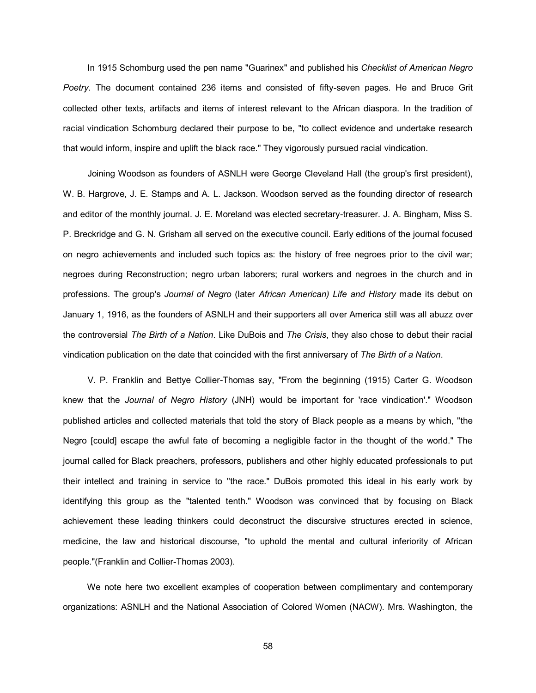In 1915 Schomburg used the pen name "Guarinex" and published his *Checklist of American Negro Poetry*. The document contained 236 items and consisted of fifty-seven pages. He and Bruce Grit collected other texts, artifacts and items of interest relevant to the African diaspora. In the tradition of racial vindication Schomburg declared their purpose to be, "to collect evidence and undertake research that would inform, inspire and uplift the black race." They vigorously pursued racial vindication.

 Joining Woodson as founders of ASNLH were George Cleveland Hall (the group's first president), W. B. Hargrove, J. E. Stamps and A. L. Jackson. Woodson served as the founding director of research and editor of the monthly journal. J. E. Moreland was elected secretary-treasurer. J. A. Bingham, Miss S. P. Breckridge and G. N. Grisham all served on the executive council. Early editions of the journal focused on negro achievements and included such topics as: the history of free negroes prior to the civil war; negroes during Reconstruction; negro urban laborers; rural workers and negroes in the church and in professions. The group's *Journal of Negro* (later *African American) Life and History* made its debut on January 1, 1916, as the founders of ASNLH and their supporters all over America still was all abuzz over the controversial *The Birth of a Nation*. Like DuBois and *The Crisis*, they also chose to debut their racial vindication publication on the date that coincided with the first anniversary of *The Birth of a Nation*.

 V. P. Franklin and Bettye Collier-Thomas say, "From the beginning (1915) Carter G. Woodson knew that the *Journal of Negro History* (JNH) would be important for 'race vindication'." Woodson published articles and collected materials that told the story of Black people as a means by which, "the Negro [could] escape the awful fate of becoming a negligible factor in the thought of the world." The journal called for Black preachers, professors, publishers and other highly educated professionals to put their intellect and training in service to "the race." DuBois promoted this ideal in his early work by identifying this group as the "talented tenth." Woodson was convinced that by focusing on Black achievement these leading thinkers could deconstruct the discursive structures erected in science, medicine, the law and historical discourse, "to uphold the mental and cultural inferiority of African people."(Franklin and Collier-Thomas 2003).

 We note here two excellent examples of cooperation between complimentary and contemporary organizations: ASNLH and the National Association of Colored Women (NACW). Mrs. Washington, the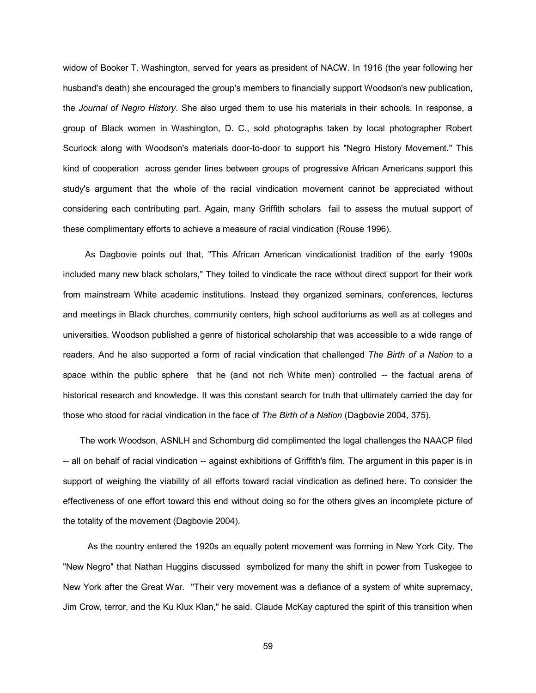widow of Booker T. Washington, served for years as president of NACW. In 1916 (the year following her husband's death) she encouraged the group's members to financially support Woodson's new publication, the *Journal of Negro History*. She also urged them to use his materials in their schools. In response, a group of Black women in Washington, D. C., sold photographs taken by local photographer Robert Scurlock along with Woodson's materials door-to-door to support his "Negro History Movement." This kind of cooperation across gender lines between groups of progressive African Americans support this study's argument that the whole of the racial vindication movement cannot be appreciated without considering each contributing part. Again, many Griffith scholars fail to assess the mutual support of these complimentary efforts to achieve a measure of racial vindication (Rouse 1996).

 As Dagbovie points out that, "This African American vindicationist tradition of the early 1900s included many new black scholars," They toiled to vindicate the race without direct support for their work from mainstream White academic institutions. Instead they organized seminars, conferences, lectures and meetings in Black churches, community centers, high school auditoriums as well as at colleges and universities. Woodson published a genre of historical scholarship that was accessible to a wide range of readers. And he also supported a form of racial vindication that challenged *The Birth of a Nation* to a space within the public sphere that he (and not rich White men) controlled -- the factual arena of historical research and knowledge. It was this constant search for truth that ultimately carried the day for those who stood for racial vindication in the face of *The Birth of a Nation* (Dagbovie 2004, 375).

 The work Woodson, ASNLH and Schomburg did complimented the legal challenges the NAACP filed -- all on behalf of racial vindication -- against exhibitions of Griffith's film. The argument in this paper is in support of weighing the viability of all efforts toward racial vindication as defined here. To consider the effectiveness of one effort toward this end without doing so for the others gives an incomplete picture of the totality of the movement (Dagbovie 2004).

 As the country entered the 1920s an equally potent movement was forming in New York City. The "New Negro" that Nathan Huggins discussed symbolized for many the shift in power from Tuskegee to New York after the Great War. "Their very movement was a defiance of a system of white supremacy, Jim Crow, terror, and the Ku Klux Klan," he said. Claude McKay captured the spirit of this transition when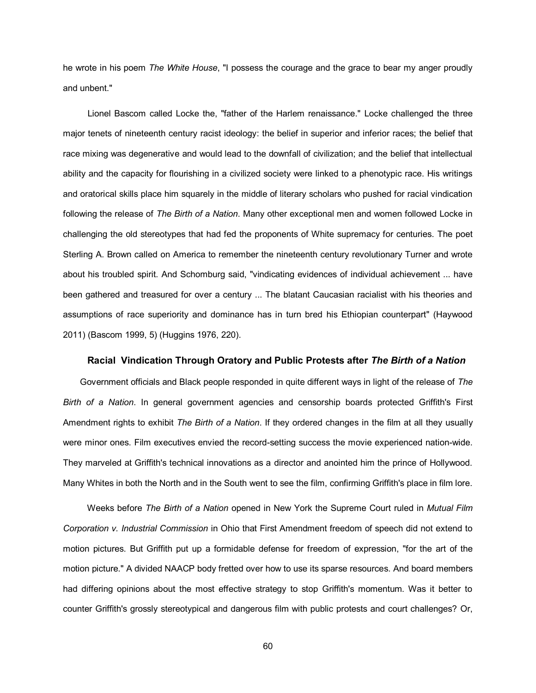he wrote in his poem *The White House*, "I possess the courage and the grace to bear my anger proudly and unbent."

 Lionel Bascom called Locke the, "father of the Harlem renaissance." Locke challenged the three major tenets of nineteenth century racist ideology: the belief in superior and inferior races; the belief that race mixing was degenerative and would lead to the downfall of civilization; and the belief that intellectual ability and the capacity for flourishing in a civilized society were linked to a phenotypic race. His writings and oratorical skills place him squarely in the middle of literary scholars who pushed for racial vindication following the release of *The Birth of a Nation*. Many other exceptional men and women followed Locke in challenging the old stereotypes that had fed the proponents of White supremacy for centuries. The poet Sterling A. Brown called on America to remember the nineteenth century revolutionary Turner and wrote about his troubled spirit. And Schomburg said, "vindicating evidences of individual achievement ... have been gathered and treasured for over a century ... The blatant Caucasian racialist with his theories and assumptions of race superiority and dominance has in turn bred his Ethiopian counterpart" (Haywood 2011) (Bascom 1999, 5) (Huggins 1976, 220).

### **Racial Vindication Through Oratory and Public Protests after** *The Birth of a Nation*

 Government officials and Black people responded in quite different ways in light of the release of *The Birth of a Nation*. In general government agencies and censorship boards protected Griffith's First Amendment rights to exhibit *The Birth of a Nation*. If they ordered changes in the film at all they usually were minor ones. Film executives envied the record-setting success the movie experienced nation-wide. They marveled at Griffith's technical innovations as a director and anointed him the prince of Hollywood. Many Whites in both the North and in the South went to see the film, confirming Griffith's place in film lore.

 Weeks before *The Birth of a Nation* opened in New York the Supreme Court ruled in *Mutual Film Corporation v. Industrial Commission* in Ohio that First Amendment freedom of speech did not extend to motion pictures. But Griffith put up a formidable defense for freedom of expression, "for the art of the motion picture." A divided NAACP body fretted over how to use its sparse resources. And board members had differing opinions about the most effective strategy to stop Griffith's momentum. Was it better to counter Griffith's grossly stereotypical and dangerous film with public protests and court challenges? Or,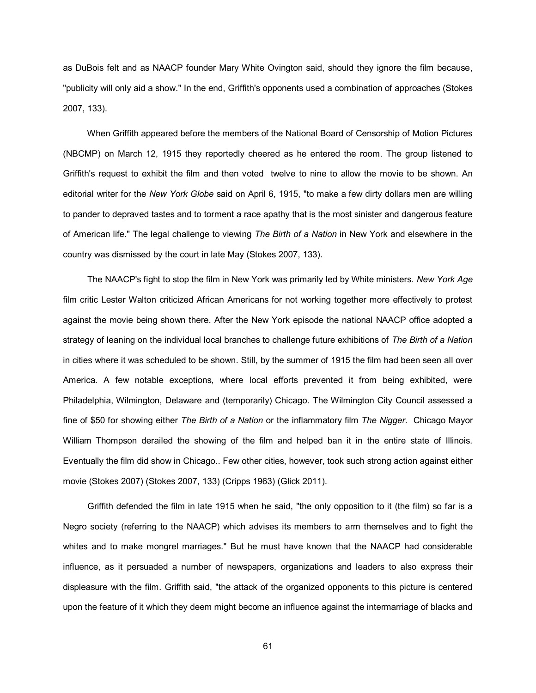as DuBois felt and as NAACP founder Mary White Ovington said, should they ignore the film because, "publicity will only aid a show." In the end, Griffith's opponents used a combination of approaches (Stokes 2007, 133).

 When Griffith appeared before the members of the National Board of Censorship of Motion Pictures (NBCMP) on March 12, 1915 they reportedly cheered as he entered the room. The group listened to Griffith's request to exhibit the film and then voted twelve to nine to allow the movie to be shown. An editorial writer for the *New York Globe* said on April 6, 1915, "to make a few dirty dollars men are willing to pander to depraved tastes and to torment a race apathy that is the most sinister and dangerous feature of American life." The legal challenge to viewing *The Birth of a Nation* in New York and elsewhere in the country was dismissed by the court in late May (Stokes 2007, 133).

 The NAACP's fight to stop the film in New York was primarily led by White ministers*. New York Age* film critic Lester Walton criticized African Americans for not working together more effectively to protest against the movie being shown there. After the New York episode the national NAACP office adopted a strategy of leaning on the individual local branches to challenge future exhibitions of *The Birth of a Nation* in cities where it was scheduled to be shown. Still, by the summer of 1915 the film had been seen all over America. A few notable exceptions, where local efforts prevented it from being exhibited, were Philadelphia, Wilmington, Delaware and (temporarily) Chicago. The Wilmington City Council assessed a fine of \$50 for showing either *The Birth of a Nation* or the inflammatory film *The Nigger*. Chicago Mayor William Thompson derailed the showing of the film and helped ban it in the entire state of Illinois. Eventually the film did show in Chicago.. Few other cities, however, took such strong action against either movie (Stokes 2007) (Stokes 2007, 133) (Cripps 1963) (Glick 2011).

 Griffith defended the film in late 1915 when he said, "the only opposition to it (the film) so far is a Negro society (referring to the NAACP) which advises its members to arm themselves and to fight the whites and to make mongrel marriages." But he must have known that the NAACP had considerable influence, as it persuaded a number of newspapers, organizations and leaders to also express their displeasure with the film. Griffith said, "the attack of the organized opponents to this picture is centered upon the feature of it which they deem might become an influence against the intermarriage of blacks and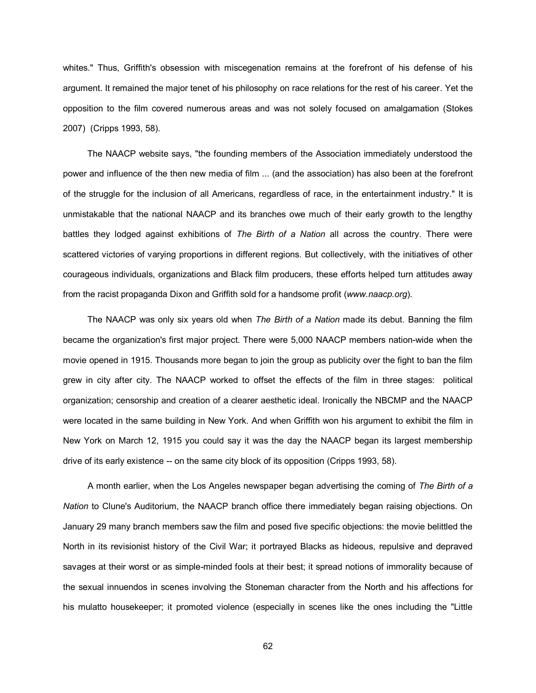whites." Thus, Griffith's obsession with miscegenation remains at the forefront of his defense of his argument. It remained the major tenet of his philosophy on race relations for the rest of his career. Yet the opposition to the film covered numerous areas and was not solely focused on amalgamation (Stokes 2007) (Cripps 1993, 58).

 The NAACP website says, "the founding members of the Association immediately understood the power and influence of the then new media of film ... (and the association) has also been at the forefront of the struggle for the inclusion of all Americans, regardless of race, in the entertainment industry." It is unmistakable that the national NAACP and its branches owe much of their early growth to the lengthy battles they lodged against exhibitions of *The Birth of a Nation* all across the country. There were scattered victories of varying proportions in different regions. But collectively, with the initiatives of other courageous individuals, organizations and Black film producers, these efforts helped turn attitudes away from the racist propaganda Dixon and Griffith sold for a handsome profit (*www.naacp.org*).

 The NAACP was only six years old when *The Birth of a Nation* made its debut. Banning the film became the organization's first major project. There were 5,000 NAACP members nation-wide when the movie opened in 1915. Thousands more began to join the group as publicity over the fight to ban the film grew in city after city. The NAACP worked to offset the effects of the film in three stages: political organization; censorship and creation of a clearer aesthetic ideal. Ironically the NBCMP and the NAACP were located in the same building in New York. And when Griffith won his argument to exhibit the film in New York on March 12, 1915 you could say it was the day the NAACP began its largest membership drive of its early existence -- on the same city block of its opposition (Cripps 1993, 58).

 A month earlier, when the Los Angeles newspaper began advertising the coming of *The Birth of a Nation* to Clune's Auditorium, the NAACP branch office there immediately began raising objections. On January 29 many branch members saw the film and posed five specific objections: the movie belittled the North in its revisionist history of the Civil War; it portrayed Blacks as hideous, repulsive and depraved savages at their worst or as simple-minded fools at their best; it spread notions of immorality because of the sexual innuendos in scenes involving the Stoneman character from the North and his affections for his mulatto housekeeper; it promoted violence (especially in scenes like the ones including the "Little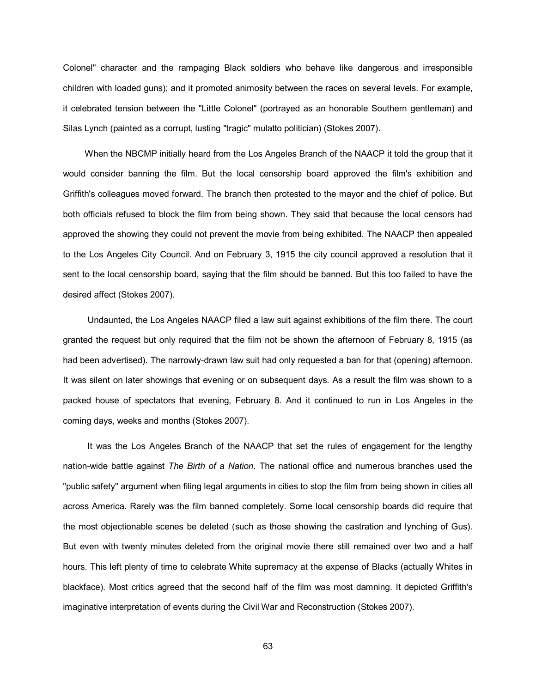Colonel" character and the rampaging Black soldiers who behave like dangerous and irresponsible children with loaded guns); and it promoted animosity between the races on several levels. For example, it celebrated tension between the "Little Colonel" (portrayed as an honorable Southern gentleman) and Silas Lynch (painted as a corrupt, lusting "tragic" mulatto politician) (Stokes 2007).

 When the NBCMP initially heard from the Los Angeles Branch of the NAACP it told the group that it would consider banning the film. But the local censorship board approved the film's exhibition and Griffith's colleagues moved forward. The branch then protested to the mayor and the chief of police. But both officials refused to block the film from being shown. They said that because the local censors had approved the showing they could not prevent the movie from being exhibited. The NAACP then appealed to the Los Angeles City Council. And on February 3, 1915 the city council approved a resolution that it sent to the local censorship board, saying that the film should be banned. But this too failed to have the desired affect (Stokes 2007).

 Undaunted, the Los Angeles NAACP filed a law suit against exhibitions of the film there. The court granted the request but only required that the film not be shown the afternoon of February 8, 1915 (as had been advertised). The narrowly-drawn law suit had only requested a ban for that (opening) afternoon. It was silent on later showings that evening or on subsequent days. As a result the film was shown to a packed house of spectators that evening, February 8. And it continued to run in Los Angeles in the coming days, weeks and months (Stokes 2007).

 It was the Los Angeles Branch of the NAACP that set the rules of engagement for the lengthy nation-wide battle against *The Birth of a Nation*. The national office and numerous branches used the "public safety" argument when filing legal arguments in cities to stop the film from being shown in cities all across America. Rarely was the film banned completely. Some local censorship boards did require that the most objectionable scenes be deleted (such as those showing the castration and lynching of Gus). But even with twenty minutes deleted from the original movie there still remained over two and a half hours. This left plenty of time to celebrate White supremacy at the expense of Blacks (actually Whites in blackface). Most critics agreed that the second half of the film was most damning. It depicted Griffith's imaginative interpretation of events during the Civil War and Reconstruction (Stokes 2007).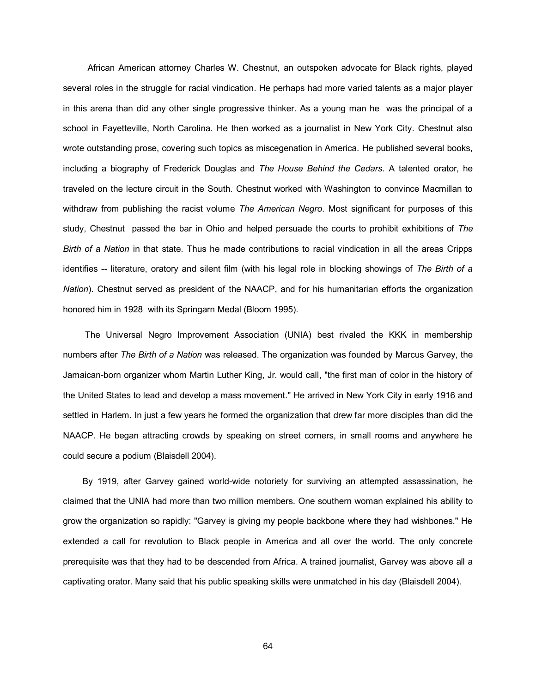African American attorney Charles W. Chestnut, an outspoken advocate for Black rights, played several roles in the struggle for racial vindication. He perhaps had more varied talents as a major player in this arena than did any other single progressive thinker. As a young man he was the principal of a school in Fayetteville, North Carolina. He then worked as a journalist in New York City. Chestnut also wrote outstanding prose, covering such topics as miscegenation in America. He published several books, including a biography of Frederick Douglas and *The House Behind the Cedars*. A talented orator, he traveled on the lecture circuit in the South. Chestnut worked with Washington to convince Macmillan to withdraw from publishing the racist volume *The American Negro*. Most significant for purposes of this study, Chestnut passed the bar in Ohio and helped persuade the courts to prohibit exhibitions of *The Birth of a Nation* in that state. Thus he made contributions to racial vindication in all the areas Cripps identifies -- literature, oratory and silent film (with his legal role in blocking showings of *The Birth of a Nation*). Chestnut served as president of the NAACP, and for his humanitarian efforts the organization honored him in 1928 with its Springarn Medal (Bloom 1995).

 The Universal Negro Improvement Association (UNIA) best rivaled the KKK in membership numbers after *The Birth of a Nation* was released. The organization was founded by Marcus Garvey, the Jamaican-born organizer whom Martin Luther King, Jr. would call, "the first man of color in the history of the United States to lead and develop a mass movement." He arrived in New York City in early 1916 and settled in Harlem. In just a few years he formed the organization that drew far more disciples than did the NAACP. He began attracting crowds by speaking on street corners, in small rooms and anywhere he could secure a podium (Blaisdell 2004).

 By 1919, after Garvey gained world-wide notoriety for surviving an attempted assassination, he claimed that the UNIA had more than two million members. One southern woman explained his ability to grow the organization so rapidly: "Garvey is giving my people backbone where they had wishbones." He extended a call for revolution to Black people in America and all over the world. The only concrete prerequisite was that they had to be descended from Africa. A trained journalist, Garvey was above all a captivating orator. Many said that his public speaking skills were unmatched in his day (Blaisdell 2004).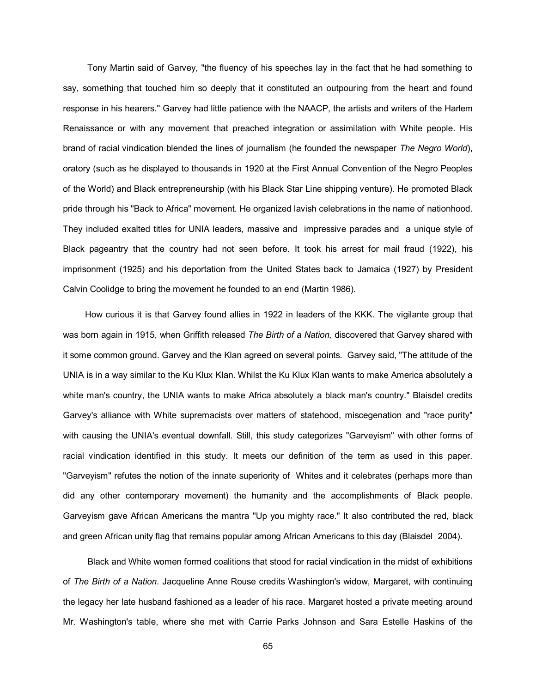Tony Martin said of Garvey, "the fluency of his speeches lay in the fact that he had something to say, something that touched him so deeply that it constituted an outpouring from the heart and found response in his hearers." Garvey had little patience with the NAACP, the artists and writers of the Harlem Renaissance or with any movement that preached integration or assimilation with White people. His brand of racial vindication blended the lines of journalism (he founded the newspaper *The Negro World*), oratory (such as he displayed to thousands in 1920 at the First Annual Convention of the Negro Peoples of the World) and Black entrepreneurship (with his Black Star Line shipping venture). He promoted Black pride through his "Back to Africa" movement. He organized lavish celebrations in the name of nationhood. They included exalted titles for UNIA leaders, massive and impressive parades and a unique style of Black pageantry that the country had not seen before. It took his arrest for mail fraud (1922), his imprisonment (1925) and his deportation from the United States back to Jamaica (1927) by President Calvin Coolidge to bring the movement he founded to an end (Martin 1986).

 How curious it is that Garvey found allies in 1922 in leaders of the KKK. The vigilante group that was born again in 1915, when Griffith released *The Birth of a Nation,* discovered that Garvey shared with it some common ground. Garvey and the Klan agreed on several points. Garvey said, "The attitude of the UNIA is in a way similar to the Ku Klux Klan. Whilst the Ku Klux Klan wants to make America absolutely a white man's country, the UNIA wants to make Africa absolutely a black man's country." Blaisdel credits Garvey's alliance with White supremacists over matters of statehood, miscegenation and "race purity" with causing the UNIA's eventual downfall. Still, this study categorizes "Garveyism" with other forms of racial vindication identified in this study. It meets our definition of the term as used in this paper. "Garveyism" refutes the notion of the innate superiority of Whites and it celebrates (perhaps more than did any other contemporary movement) the humanity and the accomplishments of Black people. Garveyism gave African Americans the mantra "Up you mighty race." It also contributed the red, black and green African unity flag that remains popular among African Americans to this day (Blaisdel 2004).

 Black and White women formed coalitions that stood for racial vindication in the midst of exhibitions of *The Birth of a Nation*. Jacqueline Anne Rouse credits Washington's widow, Margaret, with continuing the legacy her late husband fashioned as a leader of his race. Margaret hosted a private meeting around Mr. Washington's table, where she met with Carrie Parks Johnson and Sara Estelle Haskins of the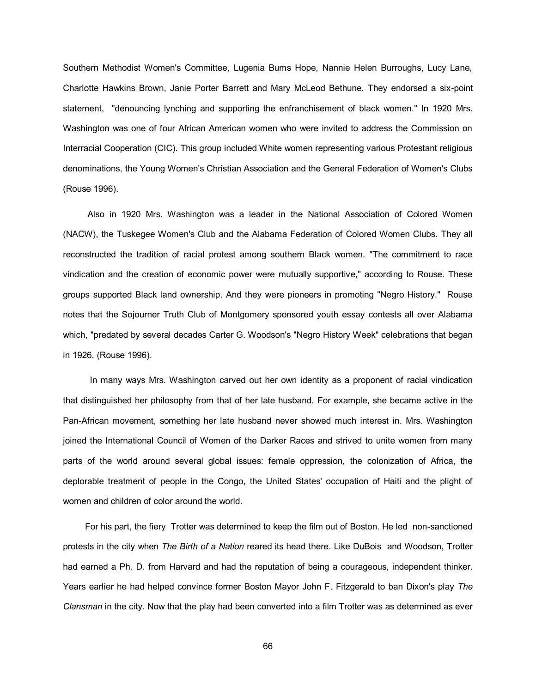Southern Methodist Women's Committee, Lugenia Bums Hope, Nannie Helen Burroughs, Lucy Lane, Charlotte Hawkins Brown, Janie Porter Barrett and Mary McLeod Bethune. They endorsed a six-point statement, "denouncing lynching and supporting the enfranchisement of black women." In 1920 Mrs. Washington was one of four African American women who were invited to address the Commission on Interracial Cooperation (CIC). This group included White women representing various Protestant religious denominations, the Young Women's Christian Association and the General Federation of Women's Clubs (Rouse 1996).

 Also in 1920 Mrs. Washington was a leader in the National Association of Colored Women (NACW), the Tuskegee Women's Club and the Alabama Federation of Colored Women Clubs. They all reconstructed the tradition of racial protest among southern Black women. "The commitment to race vindication and the creation of economic power were mutually supportive," according to Rouse. These groups supported Black land ownership. And they were pioneers in promoting "Negro History." Rouse notes that the Sojourner Truth Club of Montgomery sponsored youth essay contests all over Alabama which, "predated by several decades Carter G. Woodson's "Negro History Week" celebrations that began in 1926. (Rouse 1996).

 In many ways Mrs. Washington carved out her own identity as a proponent of racial vindication that distinguished her philosophy from that of her late husband. For example, she became active in the Pan-African movement, something her late husband never showed much interest in. Mrs. Washington joined the International Council of Women of the Darker Races and strived to unite women from many parts of the world around several global issues: female oppression, the colonization of Africa, the deplorable treatment of people in the Congo, the United States' occupation of Haiti and the plight of women and children of color around the world.

 For his part, the fiery Trotter was determined to keep the film out of Boston. He led non-sanctioned protests in the city when *The Birth of a Nation* reared its head there. Like DuBois and Woodson, Trotter had earned a Ph. D. from Harvard and had the reputation of being a courageous, independent thinker. Years earlier he had helped convince former Boston Mayor John F. Fitzgerald to ban Dixon's play *The Clansman* in the city. Now that the play had been converted into a film Trotter was as determined as ever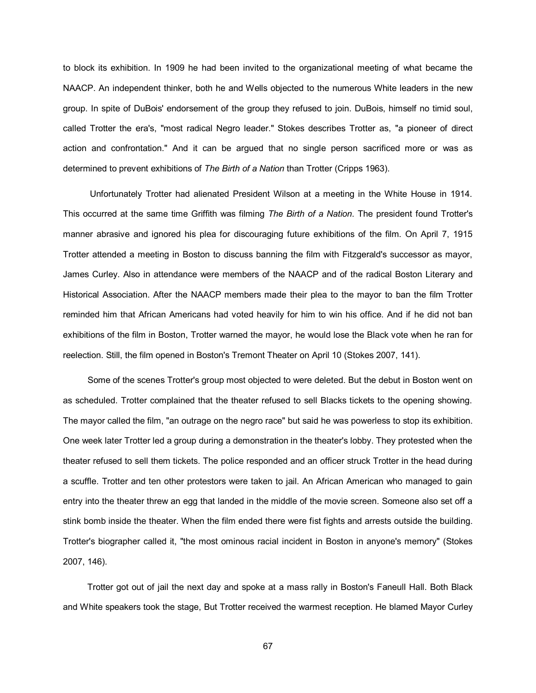to block its exhibition. In 1909 he had been invited to the organizational meeting of what became the NAACP. An independent thinker, both he and Wells objected to the numerous White leaders in the new group. In spite of DuBois' endorsement of the group they refused to join. DuBois, himself no timid soul, called Trotter the era's, "most radical Negro leader." Stokes describes Trotter as, "a pioneer of direct action and confrontation." And it can be argued that no single person sacrificed more or was as determined to prevent exhibitions of *The Birth of a Nation* than Trotter (Cripps 1963).

 Unfortunately Trotter had alienated President Wilson at a meeting in the White House in 1914. This occurred at the same time Griffith was filming *The Birth of a Nation*. The president found Trotter's manner abrasive and ignored his plea for discouraging future exhibitions of the film. On April 7, 1915 Trotter attended a meeting in Boston to discuss banning the film with Fitzgerald's successor as mayor, James Curley. Also in attendance were members of the NAACP and of the radical Boston Literary and Historical Association. After the NAACP members made their plea to the mayor to ban the film Trotter reminded him that African Americans had voted heavily for him to win his office. And if he did not ban exhibitions of the film in Boston, Trotter warned the mayor, he would lose the Black vote when he ran for reelection. Still, the film opened in Boston's Tremont Theater on April 10 (Stokes 2007, 141).

 Some of the scenes Trotter's group most objected to were deleted. But the debut in Boston went on as scheduled. Trotter complained that the theater refused to sell Blacks tickets to the opening showing. The mayor called the film, "an outrage on the negro race" but said he was powerless to stop its exhibition. One week later Trotter led a group during a demonstration in the theater's lobby. They protested when the theater refused to sell them tickets. The police responded and an officer struck Trotter in the head during a scuffle. Trotter and ten other protestors were taken to jail. An African American who managed to gain entry into the theater threw an egg that landed in the middle of the movie screen. Someone also set off a stink bomb inside the theater. When the film ended there were fist fights and arrests outside the building. Trotter's biographer called it, "the most ominous racial incident in Boston in anyone's memory" (Stokes 2007, 146).

 Trotter got out of jail the next day and spoke at a mass rally in Boston's Faneull Hall. Both Black and White speakers took the stage, But Trotter received the warmest reception. He blamed Mayor Curley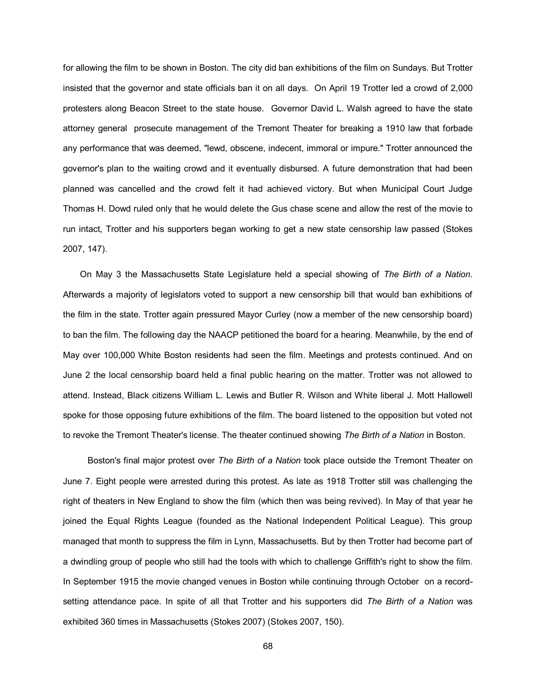for allowing the film to be shown in Boston. The city did ban exhibitions of the film on Sundays. But Trotter insisted that the governor and state officials ban it on all days. On April 19 Trotter led a crowd of 2,000 protesters along Beacon Street to the state house. Governor David L. Walsh agreed to have the state attorney general prosecute management of the Tremont Theater for breaking a 1910 law that forbade any performance that was deemed, "lewd, obscene, indecent, immoral or impure." Trotter announced the governor's plan to the waiting crowd and it eventually disbursed. A future demonstration that had been planned was cancelled and the crowd felt it had achieved victory. But when Municipal Court Judge Thomas H. Dowd ruled only that he would delete the Gus chase scene and allow the rest of the movie to run intact, Trotter and his supporters began working to get a new state censorship law passed (Stokes 2007, 147).

 On May 3 the Massachusetts State Legislature held a special showing of *The Birth of a Nation*. Afterwards a majority of legislators voted to support a new censorship bill that would ban exhibitions of the film in the state. Trotter again pressured Mayor Curley (now a member of the new censorship board) to ban the film. The following day the NAACP petitioned the board for a hearing. Meanwhile, by the end of May over 100,000 White Boston residents had seen the film. Meetings and protests continued. And on June 2 the local censorship board held a final public hearing on the matter. Trotter was not allowed to attend. Instead, Black citizens William L. Lewis and Butler R. Wilson and White liberal J. Mott Hallowell spoke for those opposing future exhibitions of the film. The board listened to the opposition but voted not to revoke the Tremont Theater's license. The theater continued showing *The Birth of a Nation* in Boston.

 Boston's final major protest over *The Birth of a Nation* took place outside the Tremont Theater on June 7. Eight people were arrested during this protest. As late as 1918 Trotter still was challenging the right of theaters in New England to show the film (which then was being revived). In May of that year he joined the Equal Rights League (founded as the National Independent Political League). This group managed that month to suppress the film in Lynn, Massachusetts. But by then Trotter had become part of a dwindling group of people who still had the tools with which to challenge Griffith's right to show the film. In September 1915 the movie changed venues in Boston while continuing through October on a recordsetting attendance pace. In spite of all that Trotter and his supporters did *The Birth of a Nation* was exhibited 360 times in Massachusetts (Stokes 2007) (Stokes 2007, 150).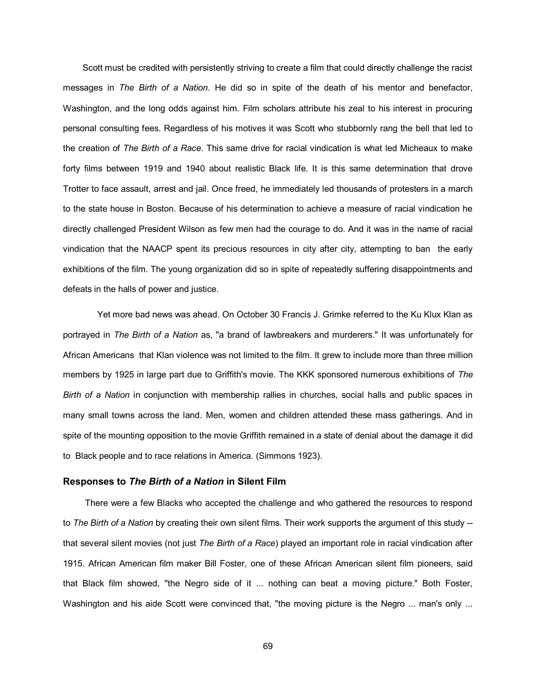Scott must be credited with persistently striving to create a film that could directly challenge the racist messages in *The Birth of a Nation*. He did so in spite of the death of his mentor and benefactor, Washington, and the long odds against him. Film scholars attribute his zeal to his interest in procuring personal consulting fees. Regardless of his motives it was Scott who stubbornly rang the bell that led to the creation of *The Birth of a Race*. This same drive for racial vindication is what led Micheaux to make forty films between 1919 and 1940 about realistic Black life. It is this same determination that drove Trotter to face assault, arrest and jail. Once freed, he immediately led thousands of protesters in a march to the state house in Boston. Because of his determination to achieve a measure of racial vindication he directly challenged President Wilson as few men had the courage to do. And it was in the name of racial vindication that the NAACP spent its precious resources in city after city, attempting to ban the early exhibitions of the film. The young organization did so in spite of repeatedly suffering disappointments and defeats in the halls of power and justice.

 Yet more bad news was ahead. On October 30 Francis J. Grimke referred to the Ku Klux Klan as portrayed in *The Birth of a Nation* as, "a brand of lawbreakers and murderers." It was unfortunately for African Americans that Klan violence was not limited to the film. It grew to include more than three million members by 1925 in large part due to Griffith's movie. The KKK sponsored numerous exhibitions of *The Birth of a Nation* in conjunction with membership rallies in churches, social halls and public spaces in many small towns across the land. Men, women and children attended these mass gatherings. And in spite of the mounting opposition to the movie Griffith remained in a state of denial about the damage it did to Black people and to race relations in America. (Simmons 1923).

#### **Responses to** *The Birth of a Nation* **in Silent Film**

 There were a few Blacks who accepted the challenge and who gathered the resources to respond to *The Birth of a Nation* by creating their own silent films. Their work supports the argument of this study - that several silent movies (not just *The Birth of a Race*) played an important role in racial vindication after 1915. African American film maker Bill Foster, one of these African American silent film pioneers, said that Black film showed, "the Negro side of it ... nothing can beat a moving picture." Both Foster, Washington and his aide Scott were convinced that, "the moving picture is the Negro ... man's only ...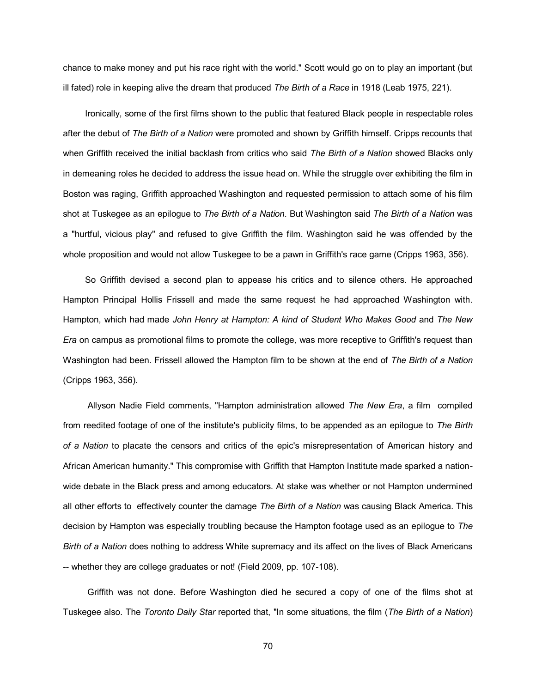chance to make money and put his race right with the world." Scott would go on to play an important (but ill fated) role in keeping alive the dream that produced *The Birth of a Race* in 1918 (Leab 1975, 221).

 Ironically, some of the first films shown to the public that featured Black people in respectable roles after the debut of *The Birth of a Nation* were promoted and shown by Griffith himself. Cripps recounts that when Griffith received the initial backlash from critics who said *The Birth of a Nation* showed Blacks only in demeaning roles he decided to address the issue head on. While the struggle over exhibiting the film in Boston was raging, Griffith approached Washington and requested permission to attach some of his film shot at Tuskegee as an epilogue to *The Birth of a Nation*. But Washington said *The Birth of a Nation* was a "hurtful, vicious play" and refused to give Griffith the film. Washington said he was offended by the whole proposition and would not allow Tuskegee to be a pawn in Griffith's race game (Cripps 1963, 356).

 So Griffith devised a second plan to appease his critics and to silence others. He approached Hampton Principal Hollis Frissell and made the same request he had approached Washington with. Hampton, which had made *John Henry at Hampton: A kind of Student Who Makes Good* and *The New Era* on campus as promotional films to promote the college*,* was more receptive to Griffith's request than Washington had been. Frissell allowed the Hampton film to be shown at the end of *The Birth of a Nation* (Cripps 1963, 356).

 Allyson Nadie Field comments, "Hampton administration allowed *The New Era*, a film compiled from reedited footage of one of the institute's publicity films, to be appended as an epilogue to *The Birth of a Nation* to placate the censors and critics of the epic's misrepresentation of American history and African American humanity." This compromise with Griffith that Hampton Institute made sparked a nationwide debate in the Black press and among educators. At stake was whether or not Hampton undermined all other efforts to effectively counter the damage *The Birth of a Nation* was causing Black America. This decision by Hampton was especially troubling because the Hampton footage used as an epilogue to *The Birth of a Nation* does nothing to address White supremacy and its affect on the lives of Black Americans -- whether they are college graduates or not! (Field 2009, pp. 107-108).

 Griffith was not done. Before Washington died he secured a copy of one of the films shot at Tuskegee also. The *Toronto Daily Star* reported that, "In some situations, the film (*The Birth of a Nation*)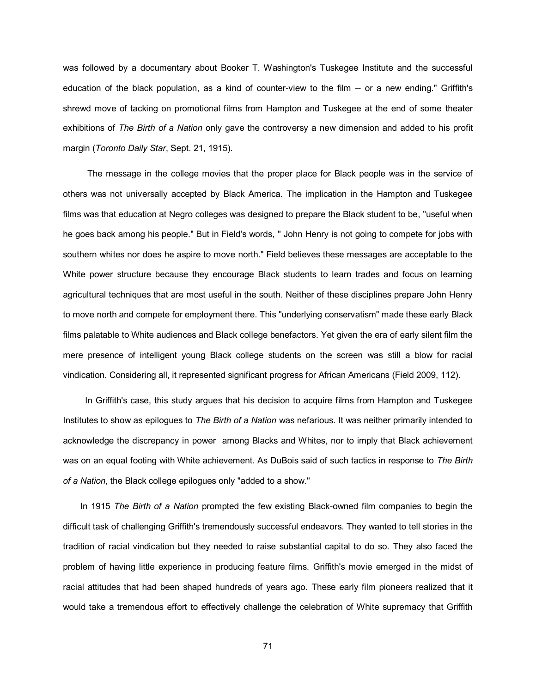was followed by a documentary about Booker T. Washington's Tuskegee Institute and the successful education of the black population, as a kind of counter-view to the film -- or a new ending." Griffith's shrewd move of tacking on promotional films from Hampton and Tuskegee at the end of some theater exhibitions of *The Birth of a Nation* only gave the controversy a new dimension and added to his profit margin (*Toronto Daily Star*, Sept. 21, 1915).

 The message in the college movies that the proper place for Black people was in the service of others was not universally accepted by Black America. The implication in the Hampton and Tuskegee films was that education at Negro colleges was designed to prepare the Black student to be, "useful when he goes back among his people." But in Field's words, " John Henry is not going to compete for jobs with southern whites nor does he aspire to move north." Field believes these messages are acceptable to the White power structure because they encourage Black students to learn trades and focus on learning agricultural techniques that are most useful in the south. Neither of these disciplines prepare John Henry to move north and compete for employment there. This "underlying conservatism" made these early Black films palatable to White audiences and Black college benefactors. Yet given the era of early silent film the mere presence of intelligent young Black college students on the screen was still a blow for racial vindication. Considering all, it represented significant progress for African Americans (Field 2009, 112).

 In Griffith's case, this study argues that his decision to acquire films from Hampton and Tuskegee Institutes to show as epilogues to *The Birth of a Nation* was nefarious. It was neither primarily intended to acknowledge the discrepancy in power among Blacks and Whites, nor to imply that Black achievement was on an equal footing with White achievement. As DuBois said of such tactics in response to *The Birth of a Nation*, the Black college epilogues only "added to a show."

 In 1915 *The Birth of a Nation* prompted the few existing Black-owned film companies to begin the difficult task of challenging Griffith's tremendously successful endeavors. They wanted to tell stories in the tradition of racial vindication but they needed to raise substantial capital to do so. They also faced the problem of having little experience in producing feature films. Griffith's movie emerged in the midst of racial attitudes that had been shaped hundreds of years ago. These early film pioneers realized that it would take a tremendous effort to effectively challenge the celebration of White supremacy that Griffith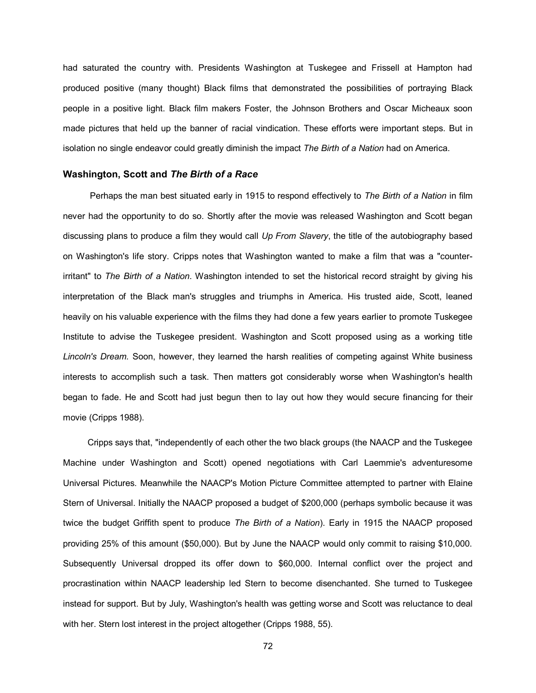had saturated the country with. Presidents Washington at Tuskegee and Frissell at Hampton had produced positive (many thought) Black films that demonstrated the possibilities of portraying Black people in a positive light. Black film makers Foster, the Johnson Brothers and Oscar Micheaux soon made pictures that held up the banner of racial vindication. These efforts were important steps. But in isolation no single endeavor could greatly diminish the impact *The Birth of a Nation* had on America.

## **Washington, Scott and** *The Birth of a Race*

 Perhaps the man best situated early in 1915 to respond effectively to *The Birth of a Nation* in film never had the opportunity to do so. Shortly after the movie was released Washington and Scott began discussing plans to produce a film they would call *Up From Slavery*, the title of the autobiography based on Washington's life story. Cripps notes that Washington wanted to make a film that was a "counterirritant" to *The Birth of a Nation*. Washington intended to set the historical record straight by giving his interpretation of the Black man's struggles and triumphs in America. His trusted aide, Scott, leaned heavily on his valuable experience with the films they had done a few years earlier to promote Tuskegee Institute to advise the Tuskegee president. Washington and Scott proposed using as a working title *Lincoln's Dream.* Soon, however, they learned the harsh realities of competing against White business interests to accomplish such a task. Then matters got considerably worse when Washington's health began to fade. He and Scott had just begun then to lay out how they would secure financing for their movie (Cripps 1988).

 Cripps says that, "independently of each other the two black groups (the NAACP and the Tuskegee Machine under Washington and Scott) opened negotiations with Carl Laemmie's adventuresome Universal Pictures. Meanwhile the NAACP's Motion Picture Committee attempted to partner with Elaine Stern of Universal. Initially the NAACP proposed a budget of \$200,000 (perhaps symbolic because it was twice the budget Griffith spent to produce *The Birth of a Nation*). Early in 1915 the NAACP proposed providing 25% of this amount (\$50,000). But by June the NAACP would only commit to raising \$10,000. Subsequently Universal dropped its offer down to \$60,000. Internal conflict over the project and procrastination within NAACP leadership led Stern to become disenchanted. She turned to Tuskegee instead for support. But by July, Washington's health was getting worse and Scott was reluctance to deal with her. Stern lost interest in the project altogether (Cripps 1988, 55).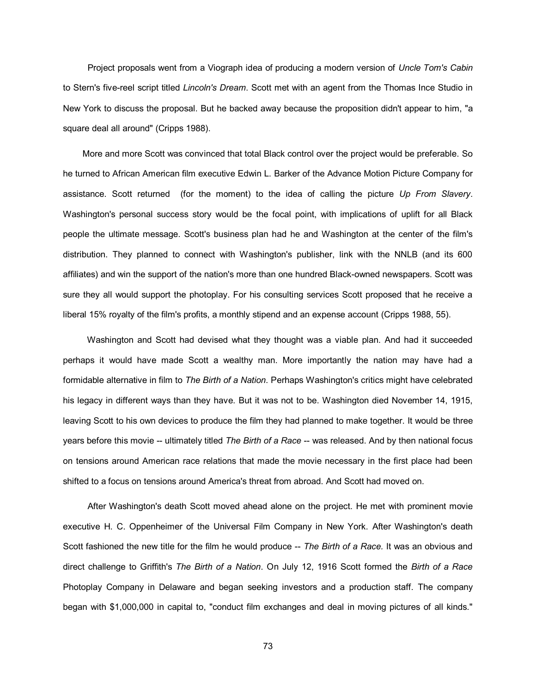Project proposals went from a Viograph idea of producing a modern version of *Uncle Tom's Cabin* to Stern's five-reel script titled *Lincoln's Dream*. Scott met with an agent from the Thomas Ince Studio in New York to discuss the proposal. But he backed away because the proposition didn't appear to him, "a square deal all around" (Cripps 1988).

 More and more Scott was convinced that total Black control over the project would be preferable. So he turned to African American film executive Edwin L. Barker of the Advance Motion Picture Company for assistance. Scott returned (for the moment) to the idea of calling the picture *Up From Slavery*. Washington's personal success story would be the focal point, with implications of uplift for all Black people the ultimate message. Scott's business plan had he and Washington at the center of the film's distribution. They planned to connect with Washington's publisher, link with the NNLB (and its 600 affiliates) and win the support of the nation's more than one hundred Black-owned newspapers. Scott was sure they all would support the photoplay. For his consulting services Scott proposed that he receive a liberal 15% royalty of the film's profits, a monthly stipend and an expense account (Cripps 1988, 55).

 Washington and Scott had devised what they thought was a viable plan. And had it succeeded perhaps it would have made Scott a wealthy man. More importantly the nation may have had a formidable alternative in film to *The Birth of a Nation*. Perhaps Washington's critics might have celebrated his legacy in different ways than they have. But it was not to be. Washington died November 14, 1915, leaving Scott to his own devices to produce the film they had planned to make together. It would be three years before this movie -- ultimately titled *The Birth of a Race* -- was released. And by then national focus on tensions around American race relations that made the movie necessary in the first place had been shifted to a focus on tensions around America's threat from abroad. And Scott had moved on.

 After Washington's death Scott moved ahead alone on the project. He met with prominent movie executive H. C. Oppenheimer of the Universal Film Company in New York. After Washington's death Scott fashioned the new title for the film he would produce -- The Birth of a Race. It was an obvious and direct challenge to Griffith's *The Birth of a Nation*. On July 12, 1916 Scott formed the *Birth of a Race* Photoplay Company in Delaware and began seeking investors and a production staff. The company began with \$1,000,000 in capital to, "conduct film exchanges and deal in moving pictures of all kinds."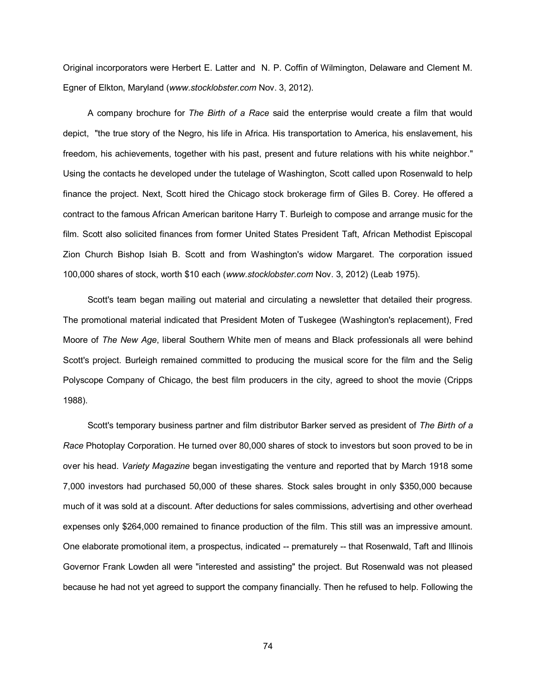Original incorporators were Herbert E. Latter and N. P. Coffin of Wilmington, Delaware and Clement M. Egner of Elkton, Maryland (*www.stocklobster.com* Nov. 3, 2012).

 A company brochure for *The Birth of a Race* said the enterprise would create a film that would depict, "the true story of the Negro, his life in Africa. His transportation to America, his enslavement, his freedom, his achievements, together with his past, present and future relations with his white neighbor." Using the contacts he developed under the tutelage of Washington, Scott called upon Rosenwald to help finance the project. Next, Scott hired the Chicago stock brokerage firm of Giles B. Corey. He offered a contract to the famous African American baritone Harry T. Burleigh to compose and arrange music for the film. Scott also solicited finances from former United States President Taft, African Methodist Episcopal Zion Church Bishop Isiah B. Scott and from Washington's widow Margaret. The corporation issued 100,000 shares of stock, worth \$10 each (*www.stocklobster.com* Nov. 3, 2012) (Leab 1975).

 Scott's team began mailing out material and circulating a newsletter that detailed their progress. The promotional material indicated that President Moten of Tuskegee (Washington's replacement), Fred Moore of *The New Age*, liberal Southern White men of means and Black professionals all were behind Scott's project. Burleigh remained committed to producing the musical score for the film and the Selig Polyscope Company of Chicago, the best film producers in the city, agreed to shoot the movie (Cripps 1988).

 Scott's temporary business partner and film distributor Barker served as president of *The Birth of a Race* Photoplay Corporation. He turned over 80,000 shares of stock to investors but soon proved to be in over his head. *Variety Magazine* began investigating the venture and reported that by March 1918 some 7,000 investors had purchased 50,000 of these shares. Stock sales brought in only \$350,000 because much of it was sold at a discount. After deductions for sales commissions, advertising and other overhead expenses only \$264,000 remained to finance production of the film. This still was an impressive amount. One elaborate promotional item, a prospectus, indicated -- prematurely -- that Rosenwald, Taft and Illinois Governor Frank Lowden all were "interested and assisting" the project. But Rosenwald was not pleased because he had not yet agreed to support the company financially. Then he refused to help. Following the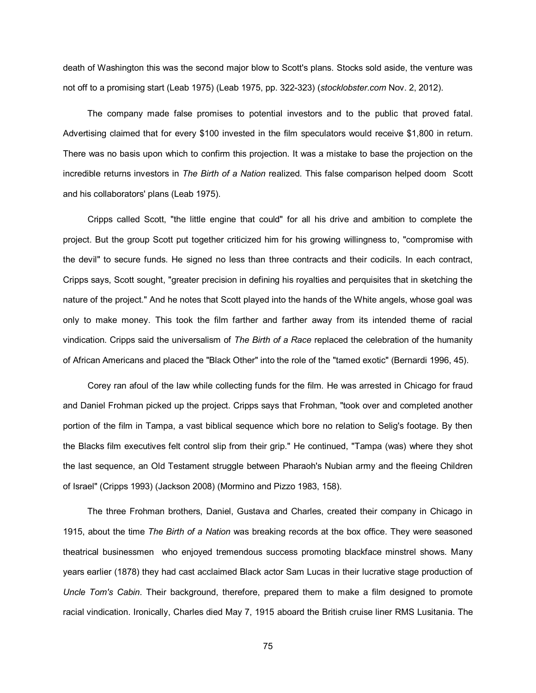death of Washington this was the second major blow to Scott's plans. Stocks sold aside, the venture was not off to a promising start (Leab 1975) (Leab 1975, pp. 322-323) (*stocklobster.com* Nov. 2, 2012).

 The company made false promises to potential investors and to the public that proved fatal. Advertising claimed that for every \$100 invested in the film speculators would receive \$1,800 in return. There was no basis upon which to confirm this projection. It was a mistake to base the projection on the incredible returns investors in *The Birth of a Nation* realized. This false comparison helped doom Scott and his collaborators' plans (Leab 1975).

 Cripps called Scott, "the little engine that could" for all his drive and ambition to complete the project. But the group Scott put together criticized him for his growing willingness to, "compromise with the devil" to secure funds. He signed no less than three contracts and their codicils. In each contract, Cripps says, Scott sought, "greater precision in defining his royalties and perquisites that in sketching the nature of the project." And he notes that Scott played into the hands of the White angels, whose goal was only to make money. This took the film farther and farther away from its intended theme of racial vindication. Cripps said the universalism of *The Birth of a Race* replaced the celebration of the humanity of African Americans and placed the "Black Other" into the role of the "tamed exotic" (Bernardi 1996, 45).

 Corey ran afoul of the law while collecting funds for the film. He was arrested in Chicago for fraud and Daniel Frohman picked up the project. Cripps says that Frohman, "took over and completed another portion of the film in Tampa, a vast biblical sequence which bore no relation to Selig's footage. By then the Blacks film executives felt control slip from their grip." He continued, "Tampa (was) where they shot the last sequence, an Old Testament struggle between Pharaoh's Nubian army and the fleeing Children of Israel" (Cripps 1993) (Jackson 2008) (Mormino and Pizzo 1983, 158).

 The three Frohman brothers, Daniel, Gustava and Charles, created their company in Chicago in 1915, about the time *The Birth of a Nation* was breaking records at the box office. They were seasoned theatrical businessmen who enjoyed tremendous success promoting blackface minstrel shows. Many years earlier (1878) they had cast acclaimed Black actor Sam Lucas in their lucrative stage production of *Uncle Tom's Cabin*. Their background, therefore, prepared them to make a film designed to promote racial vindication. Ironically, Charles died May 7, 1915 aboard the British cruise liner RMS Lusitania. The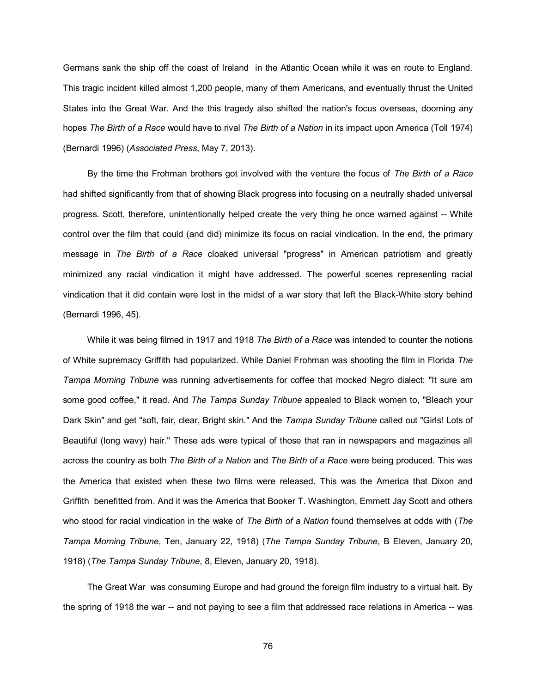Germans sank the ship off the coast of Ireland in the Atlantic Ocean while it was en route to England. This tragic incident killed almost 1,200 people, many of them Americans, and eventually thrust the United States into the Great War. And the this tragedy also shifted the nation's focus overseas, dooming any hopes *The Birth of a Race* would have to rival *The Birth of a Nation* in its impact upon America (Toll 1974) (Bernardi 1996) (*Associated Press*, May 7, 2013).

 By the time the Frohman brothers got involved with the venture the focus of *The Birth of a Race* had shifted significantly from that of showing Black progress into focusing on a neutrally shaded universal progress. Scott, therefore, unintentionally helped create the very thing he once warned against -- White control over the film that could (and did) minimize its focus on racial vindication. In the end, the primary message in *The Birth of a Race* cloaked universal "progress" in American patriotism and greatly minimized any racial vindication it might have addressed. The powerful scenes representing racial vindication that it did contain were lost in the midst of a war story that left the Black-White story behind (Bernardi 1996, 45).

 While it was being filmed in 1917 and 1918 *The Birth of a Race* was intended to counter the notions of White supremacy Griffith had popularized. While Daniel Frohman was shooting the film in Florida *The Tampa Morning Tribune* was running advertisements for coffee that mocked Negro dialect: "It sure am some good coffee," it read. And *The Tampa Sunday Tribune* appealed to Black women to, "Bleach your Dark Skin" and get "soft, fair, clear, Bright skin." And the *Tampa Sunday Tribune* called out "Girls! Lots of Beautiful (long wavy) hair." These ads were typical of those that ran in newspapers and magazines all across the country as both *The Birth of a Nation* and *The Birth of a Race* were being produced. This was the America that existed when these two films were released. This was the America that Dixon and Griffith benefitted from. And it was the America that Booker T. Washington, Emmett Jay Scott and others who stood for racial vindication in the wake of *The Birth of a Nation* found themselves at odds with (*The Tampa Morning Tribune*, Ten, January 22, 1918) (*The Tampa Sunday Tribune*, B Eleven, January 20, 1918) (*The Tampa Sunday Tribune*, 8, Eleven, January 20, 1918).

 The Great War was consuming Europe and had ground the foreign film industry to a virtual halt. By the spring of 1918 the war -- and not paying to see a film that addressed race relations in America -- was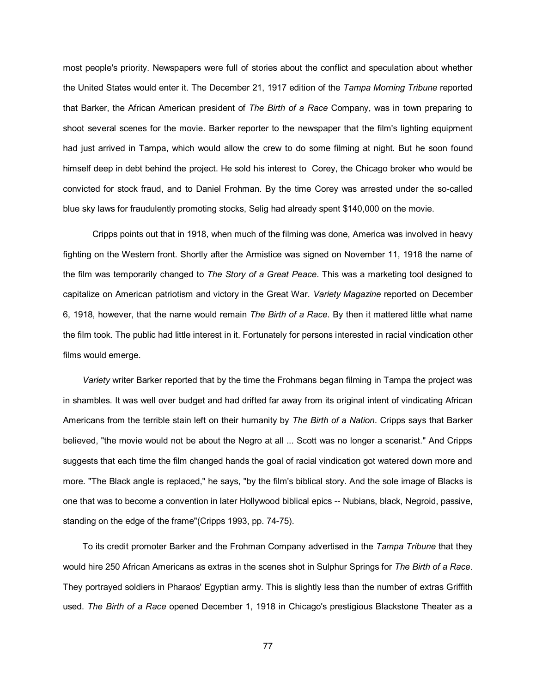most people's priority. Newspapers were full of stories about the conflict and speculation about whether the United States would enter it. The December 21, 1917 edition of the *Tampa Morning Tribune* reported that Barker, the African American president of *The Birth of a Race* Company, was in town preparing to shoot several scenes for the movie. Barker reporter to the newspaper that the film's lighting equipment had just arrived in Tampa, which would allow the crew to do some filming at night. But he soon found himself deep in debt behind the project. He sold his interest to Corey, the Chicago broker who would be convicted for stock fraud, and to Daniel Frohman. By the time Corey was arrested under the so-called blue sky laws for fraudulently promoting stocks, Selig had already spent \$140,000 on the movie.

 Cripps points out that in 1918, when much of the filming was done, America was involved in heavy fighting on the Western front. Shortly after the Armistice was signed on November 11, 1918 the name of the film was temporarily changed to *The Story of a Great Peace*. This was a marketing tool designed to capitalize on American patriotism and victory in the Great War. *Variety Magazine* reported on December 6, 1918, however, that the name would remain *The Birth of a Race*. By then it mattered little what name the film took. The public had little interest in it. Fortunately for persons interested in racial vindication other films would emerge.

 *Variety* writer Barker reported that by the time the Frohmans began filming in Tampa the project was in shambles. It was well over budget and had drifted far away from its original intent of vindicating African Americans from the terrible stain left on their humanity by *The Birth of a Nation*. Cripps says that Barker believed, "the movie would not be about the Negro at all ... Scott was no longer a scenarist." And Cripps suggests that each time the film changed hands the goal of racial vindication got watered down more and more. "The Black angle is replaced," he says, "by the film's biblical story. And the sole image of Blacks is one that was to become a convention in later Hollywood biblical epics -- Nubians, black, Negroid, passive, standing on the edge of the frame"(Cripps 1993, pp. 74-75).

 To its credit promoter Barker and the Frohman Company advertised in the *Tampa Tribune* that they would hire 250 African Americans as extras in the scenes shot in Sulphur Springs for *The Birth of a Race*. They portrayed soldiers in Pharaos' Egyptian army. This is slightly less than the number of extras Griffith used. *The Birth of a Race* opened December 1, 1918 in Chicago's prestigious Blackstone Theater as a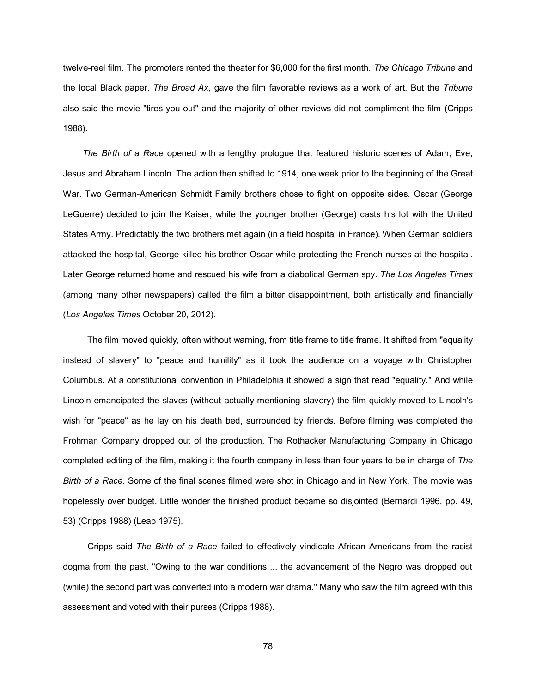twelve-reel film. The promoters rented the theater for \$6,000 for the first month. *The Chicago Tribune* and the local Black paper, *The Broad Ax*, gave the film favorable reviews as a work of art. But the *Tribune* also said the movie "tires you out" and the majority of other reviews did not compliment the film (Cripps 1988).

 *The Birth of a Race* opened with a lengthy prologue that featured historic scenes of Adam, Eve, Jesus and Abraham Lincoln. The action then shifted to 1914, one week prior to the beginning of the Great War. Two German-American Schmidt Family brothers chose to fight on opposite sides. Oscar (George LeGuerre) decided to join the Kaiser, while the younger brother (George) casts his lot with the United States Army. Predictably the two brothers met again (in a field hospital in France). When German soldiers attacked the hospital, George killed his brother Oscar while protecting the French nurses at the hospital. Later George returned home and rescued his wife from a diabolical German spy. *The Los Angeles Times* (among many other newspapers) called the film a bitter disappointment, both artistically and financially (*Los Angeles Times* October 20, 2012).

 The film moved quickly, often without warning, from title frame to title frame. It shifted from "equality instead of slavery" to "peace and humility" as it took the audience on a voyage with Christopher Columbus. At a constitutional convention in Philadelphia it showed a sign that read "equality." And while Lincoln emancipated the slaves (without actually mentioning slavery) the film quickly moved to Lincoln's wish for "peace" as he lay on his death bed, surrounded by friends. Before filming was completed the Frohman Company dropped out of the production. The Rothacker Manufacturing Company in Chicago completed editing of the film, making it the fourth company in less than four years to be in charge of *The Birth of a Race*. Some of the final scenes filmed were shot in Chicago and in New York. The movie was hopelessly over budget. Little wonder the finished product became so disjointed (Bernardi 1996, pp. 49, 53) (Cripps 1988) (Leab 1975).

 Cripps said *The Birth of a Race* failed to effectively vindicate African Americans from the racist dogma from the past. "Owing to the war conditions ... the advancement of the Negro was dropped out (while) the second part was converted into a modern war drama." Many who saw the film agreed with this assessment and voted with their purses (Cripps 1988).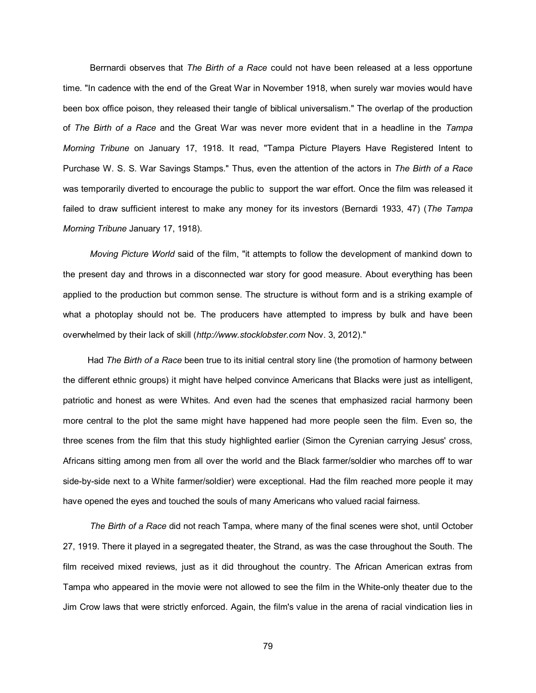Berrnardi observes that *The Birth of a Race* could not have been released at a less opportune time. "In cadence with the end of the Great War in November 1918, when surely war movies would have been box office poison, they released their tangle of biblical universalism." The overlap of the production of *The Birth of a Race* and the Great War was never more evident that in a headline in the *Tampa Morning Tribune* on January 17, 1918. It read, "Tampa Picture Players Have Registered Intent to Purchase W. S. S. War Savings Stamps." Thus, even the attention of the actors in *The Birth of a Race* was temporarily diverted to encourage the public to support the war effort. Once the film was released it failed to draw sufficient interest to make any money for its investors (Bernardi 1933, 47) (*The Tampa Morning Tribune* January 17, 1918).

 *Moving Picture World* said of the film, "it attempts to follow the development of mankind down to the present day and throws in a disconnected war story for good measure. About everything has been applied to the production but common sense. The structure is without form and is a striking example of what a photoplay should not be. The producers have attempted to impress by bulk and have been overwhelmed by their lack of skill (*http://www.stocklobster.com* Nov. 3, 2012)."

 Had *The Birth of a Race* been true to its initial central story line (the promotion of harmony between the different ethnic groups) it might have helped convince Americans that Blacks were just as intelligent, patriotic and honest as were Whites. And even had the scenes that emphasized racial harmony been more central to the plot the same might have happened had more people seen the film. Even so, the three scenes from the film that this study highlighted earlier (Simon the Cyrenian carrying Jesus' cross, Africans sitting among men from all over the world and the Black farmer/soldier who marches off to war side-by-side next to a White farmer/soldier) were exceptional. Had the film reached more people it may have opened the eyes and touched the souls of many Americans who valued racial fairness.

 *The Birth of a Race* did not reach Tampa, where many of the final scenes were shot, until October 27, 1919. There it played in a segregated theater, the Strand, as was the case throughout the South. The film received mixed reviews, just as it did throughout the country. The African American extras from Tampa who appeared in the movie were not allowed to see the film in the White-only theater due to the Jim Crow laws that were strictly enforced. Again, the film's value in the arena of racial vindication lies in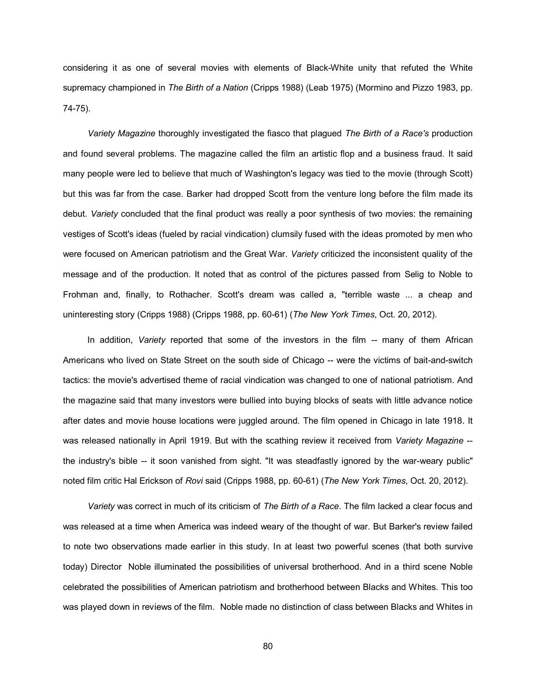considering it as one of several movies with elements of Black-White unity that refuted the White supremacy championed in *The Birth of a Nation* (Cripps 1988) (Leab 1975) (Mormino and Pizzo 1983, pp. 74-75).

 *Variety Magazine* thoroughly investigated the fiasco that plagued *The Birth of a Race's* production and found several problems. The magazine called the film an artistic flop and a business fraud. It said many people were led to believe that much of Washington's legacy was tied to the movie (through Scott) but this was far from the case. Barker had dropped Scott from the venture long before the film made its debut. *Variety* concluded that the final product was really a poor synthesis of two movies: the remaining vestiges of Scott's ideas (fueled by racial vindication) clumsily fused with the ideas promoted by men who were focused on American patriotism and the Great War. *Variety* criticized the inconsistent quality of the message and of the production. It noted that as control of the pictures passed from Selig to Noble to Frohman and, finally, to Rothacher. Scott's dream was called a, "terrible waste ... a cheap and uninteresting story (Cripps 1988) (Cripps 1988, pp. 60-61) (*The New York Times*, Oct. 20, 2012).

 In addition, *Variety* reported that some of the investors in the film -- many of them African Americans who lived on State Street on the south side of Chicago -- were the victims of bait-and-switch tactics: the movie's advertised theme of racial vindication was changed to one of national patriotism. And the magazine said that many investors were bullied into buying blocks of seats with little advance notice after dates and movie house locations were juggled around. The film opened in Chicago in late 1918. It was released nationally in April 1919. But with the scathing review it received from *Variety Magazine* - the industry's bible -- it soon vanished from sight. "It was steadfastly ignored by the war-weary public" noted film critic Hal Erickson of *Rovi* said (Cripps 1988, pp. 60-61) (*The New York Times*, Oct. 20, 2012).

 *Variety* was correct in much of its criticism of *The Birth of a Race*. The film lacked a clear focus and was released at a time when America was indeed weary of the thought of war. But Barker's review failed to note two observations made earlier in this study. In at least two powerful scenes (that both survive today) Director Noble illuminated the possibilities of universal brotherhood. And in a third scene Noble celebrated the possibilities of American patriotism and brotherhood between Blacks and Whites. This too was played down in reviews of the film. Noble made no distinction of class between Blacks and Whites in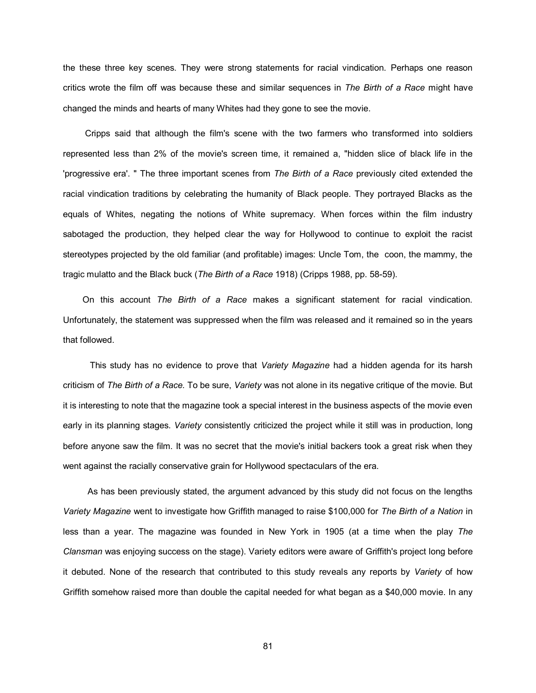the these three key scenes. They were strong statements for racial vindication. Perhaps one reason critics wrote the film off was because these and similar sequences in *The Birth of a Race* might have changed the minds and hearts of many Whites had they gone to see the movie.

 Cripps said that although the film's scene with the two farmers who transformed into soldiers represented less than 2% of the movie's screen time, it remained a, "hidden slice of black life in the 'progressive era'. " The three important scenes from *The Birth of a Race* previously cited extended the racial vindication traditions by celebrating the humanity of Black people. They portrayed Blacks as the equals of Whites, negating the notions of White supremacy. When forces within the film industry sabotaged the production, they helped clear the way for Hollywood to continue to exploit the racist stereotypes projected by the old familiar (and profitable) images: Uncle Tom, the coon, the mammy, the tragic mulatto and the Black buck (*The Birth of a Race* 1918) (Cripps 1988, pp. 58-59).

 On this account *The Birth of a Race* makes a significant statement for racial vindication. Unfortunately, the statement was suppressed when the film was released and it remained so in the years that followed.

 This study has no evidence to prove that *Variety Magazine* had a hidden agenda for its harsh criticism of *The Birth of a Race*. To be sure, *Variety* was not alone in its negative critique of the movie. But it is interesting to note that the magazine took a special interest in the business aspects of the movie even early in its planning stages. *Variety* consistently criticized the project while it still was in production, long before anyone saw the film. It was no secret that the movie's initial backers took a great risk when they went against the racially conservative grain for Hollywood spectaculars of the era.

 As has been previously stated, the argument advanced by this study did not focus on the lengths *Variety Magazine* went to investigate how Griffith managed to raise \$100,000 for *The Birth of a Nation* in less than a year. The magazine was founded in New York in 1905 (at a time when the play *The Clansman* was enjoying success on the stage). Variety editors were aware of Griffith's project long before it debuted. None of the research that contributed to this study reveals any reports by *Variety* of how Griffith somehow raised more than double the capital needed for what began as a \$40,000 movie. In any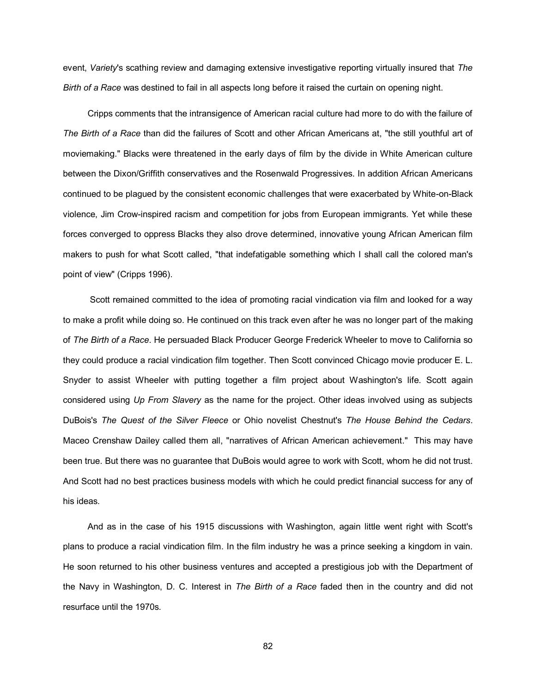event, *Variety*'s scathing review and damaging extensive investigative reporting virtually insured that *The Birth of a Race* was destined to fail in all aspects long before it raised the curtain on opening night.

 Cripps comments that the intransigence of American racial culture had more to do with the failure of *The Birth of a Race* than did the failures of Scott and other African Americans at, "the still youthful art of moviemaking." Blacks were threatened in the early days of film by the divide in White American culture between the Dixon/Griffith conservatives and the Rosenwald Progressives. In addition African Americans continued to be plagued by the consistent economic challenges that were exacerbated by White-on-Black violence, Jim Crow-inspired racism and competition for jobs from European immigrants. Yet while these forces converged to oppress Blacks they also drove determined, innovative young African American film makers to push for what Scott called, "that indefatigable something which I shall call the colored man's point of view" (Cripps 1996).

 Scott remained committed to the idea of promoting racial vindication via film and looked for a way to make a profit while doing so. He continued on this track even after he was no longer part of the making of *The Birth of a Race*. He persuaded Black Producer George Frederick Wheeler to move to California so they could produce a racial vindication film together. Then Scott convinced Chicago movie producer E. L. Snyder to assist Wheeler with putting together a film project about Washington's life. Scott again considered using *Up From Slavery* as the name for the project. Other ideas involved using as subjects DuBois's *The Quest of the Silver Fleece* or Ohio novelist Chestnut's *The House Behind the Cedars*. Maceo Crenshaw Dailey called them all, "narratives of African American achievement." This may have been true. But there was no guarantee that DuBois would agree to work with Scott, whom he did not trust. And Scott had no best practices business models with which he could predict financial success for any of his ideas.

 And as in the case of his 1915 discussions with Washington, again little went right with Scott's plans to produce a racial vindication film. In the film industry he was a prince seeking a kingdom in vain. He soon returned to his other business ventures and accepted a prestigious job with the Department of the Navy in Washington, D. C. Interest in *The Birth of a Race* faded then in the country and did not resurface until the 1970s.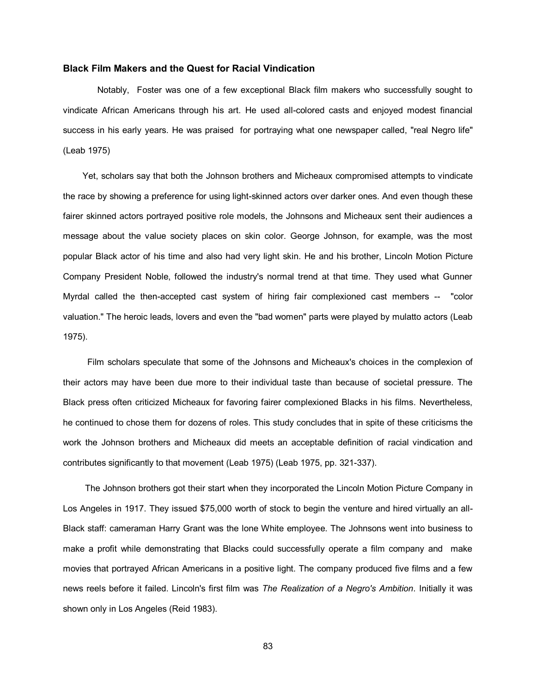## **Black Film Makers and the Quest for Racial Vindication**

 Notably, Foster was one of a few exceptional Black film makers who successfully sought to vindicate African Americans through his art. He used all-colored casts and enjoyed modest financial success in his early years. He was praised for portraying what one newspaper called, "real Negro life" (Leab 1975)

 Yet, scholars say that both the Johnson brothers and Micheaux compromised attempts to vindicate the race by showing a preference for using light-skinned actors over darker ones. And even though these fairer skinned actors portrayed positive role models, the Johnsons and Micheaux sent their audiences a message about the value society places on skin color. George Johnson, for example, was the most popular Black actor of his time and also had very light skin. He and his brother, Lincoln Motion Picture Company President Noble, followed the industry's normal trend at that time. They used what Gunner Myrdal called the then-accepted cast system of hiring fair complexioned cast members -- "color valuation." The heroic leads, lovers and even the "bad women" parts were played by mulatto actors (Leab 1975).

 Film scholars speculate that some of the Johnsons and Micheaux's choices in the complexion of their actors may have been due more to their individual taste than because of societal pressure. The Black press often criticized Micheaux for favoring fairer complexioned Blacks in his films. Nevertheless, he continued to chose them for dozens of roles. This study concludes that in spite of these criticisms the work the Johnson brothers and Micheaux did meets an acceptable definition of racial vindication and contributes significantly to that movement (Leab 1975) (Leab 1975, pp. 321-337).

 The Johnson brothers got their start when they incorporated the Lincoln Motion Picture Company in Los Angeles in 1917. They issued \$75,000 worth of stock to begin the venture and hired virtually an all-Black staff: cameraman Harry Grant was the lone White employee. The Johnsons went into business to make a profit while demonstrating that Blacks could successfully operate a film company and make movies that portrayed African Americans in a positive light. The company produced five films and a few news reels before it failed. Lincoln's first film was *The Realization of a Negro's Ambition*. Initially it was shown only in Los Angeles (Reid 1983).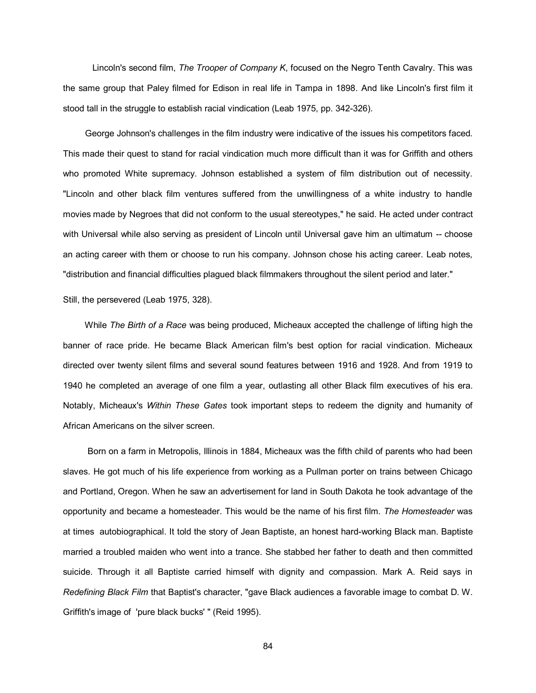Lincoln's second film, *The Trooper of Company K*, focused on the Negro Tenth Cavalry. This was the same group that Paley filmed for Edison in real life in Tampa in 1898. And like Lincoln's first film it stood tall in the struggle to establish racial vindication (Leab 1975, pp. 342-326).

 George Johnson's challenges in the film industry were indicative of the issues his competitors faced. This made their quest to stand for racial vindication much more difficult than it was for Griffith and others who promoted White supremacy. Johnson established a system of film distribution out of necessity. "Lincoln and other black film ventures suffered from the unwillingness of a white industry to handle movies made by Negroes that did not conform to the usual stereotypes," he said. He acted under contract with Universal while also serving as president of Lincoln until Universal gave him an ultimatum -- choose an acting career with them or choose to run his company. Johnson chose his acting career. Leab notes, "distribution and financial difficulties plagued black filmmakers throughout the silent period and later."

Still, the persevered (Leab 1975, 328).

 While *The Birth of a Race* was being produced, Micheaux accepted the challenge of lifting high the banner of race pride. He became Black American film's best option for racial vindication. Micheaux directed over twenty silent films and several sound features between 1916 and 1928. And from 1919 to 1940 he completed an average of one film a year, outlasting all other Black film executives of his era. Notably, Micheaux's *Within These Gates* took important steps to redeem the dignity and humanity of African Americans on the silver screen.

 Born on a farm in Metropolis, Illinois in 1884, Micheaux was the fifth child of parents who had been slaves. He got much of his life experience from working as a Pullman porter on trains between Chicago and Portland, Oregon. When he saw an advertisement for land in South Dakota he took advantage of the opportunity and became a homesteader. This would be the name of his first film. *The Homesteader* was at times autobiographical. It told the story of Jean Baptiste, an honest hard-working Black man. Baptiste married a troubled maiden who went into a trance. She stabbed her father to death and then committed suicide. Through it all Baptiste carried himself with dignity and compassion. Mark A. Reid says in *Redefining Black Film* that Baptist's character, "gave Black audiences a favorable image to combat D. W. Griffith's image of 'pure black bucks' " (Reid 1995).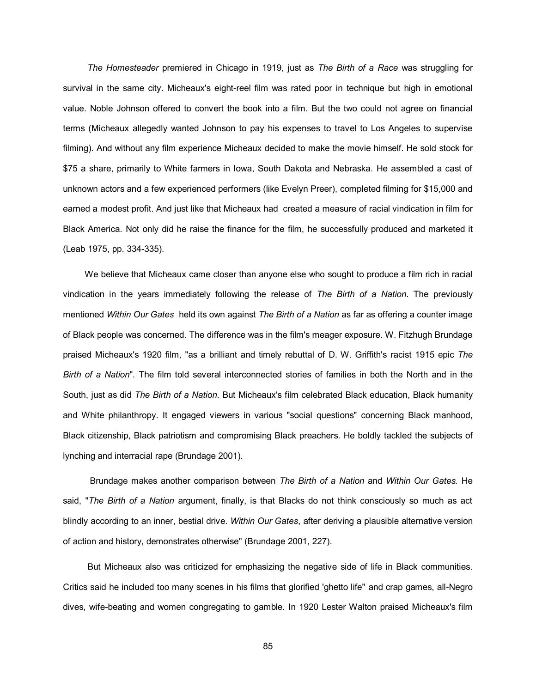*The Homesteader* premiered in Chicago in 1919, just as *The Birth of a Race* was struggling for survival in the same city. Micheaux's eight-reel film was rated poor in technique but high in emotional value. Noble Johnson offered to convert the book into a film. But the two could not agree on financial terms (Micheaux allegedly wanted Johnson to pay his expenses to travel to Los Angeles to supervise filming). And without any film experience Micheaux decided to make the movie himself. He sold stock for \$75 a share, primarily to White farmers in Iowa, South Dakota and Nebraska. He assembled a cast of unknown actors and a few experienced performers (like Evelyn Preer), completed filming for \$15,000 and earned a modest profit. And just like that Micheaux had created a measure of racial vindication in film for Black America. Not only did he raise the finance for the film, he successfully produced and marketed it (Leab 1975, pp. 334-335).

 We believe that Micheaux came closer than anyone else who sought to produce a film rich in racial vindication in the years immediately following the release of *The Birth of a Nation*. The previously mentioned *Within Our Gates* held its own against *The Birth of a Nation* as far as offering a counter image of Black people was concerned. The difference was in the film's meager exposure. W. Fitzhugh Brundage praised Micheaux's 1920 film, "as a brilliant and timely rebuttal of D. W. Griffith's racist 1915 epic *The Birth of a Nation*"*.* The film told several interconnected stories of families in both the North and in the South, just as did *The Birth of a Nation*. But Micheaux's film celebrated Black education, Black humanity and White philanthropy. It engaged viewers in various "social questions" concerning Black manhood, Black citizenship, Black patriotism and compromising Black preachers. He boldly tackled the subjects of lynching and interracial rape (Brundage 2001).

 Brundage makes another comparison between *The Birth of a Nation* and *Within Our Gates.* He said, "*The Birth of a Nation* argument, finally, is that Blacks do not think consciously so much as act blindly according to an inner, bestial drive. *Within Our Gates*, after deriving a plausible alternative version of action and history, demonstrates otherwise" (Brundage 2001, 227).

 But Micheaux also was criticized for emphasizing the negative side of life in Black communities. Critics said he included too many scenes in his films that glorified 'ghetto life" and crap games, all-Negro dives, wife-beating and women congregating to gamble. In 1920 Lester Walton praised Micheaux's film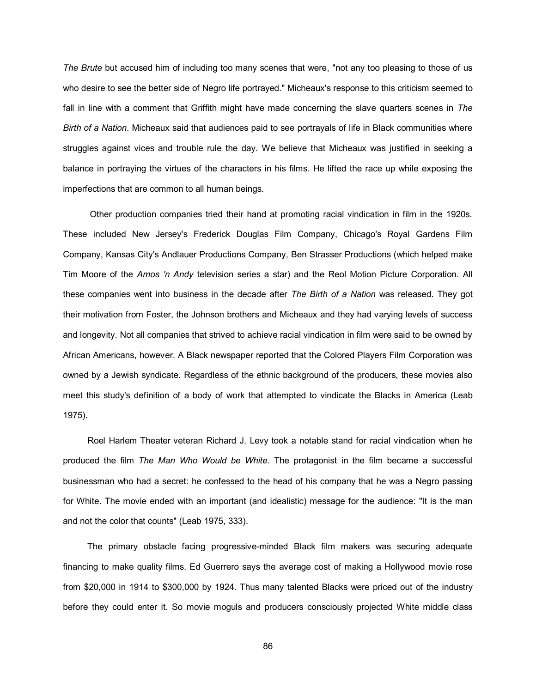*The Brute* but accused him of including too many scenes that were, "not any too pleasing to those of us who desire to see the better side of Negro life portrayed." Micheaux's response to this criticism seemed to fall in line with a comment that Griffith might have made concerning the slave quarters scenes in *The Birth of a Nation*. Micheaux said that audiences paid to see portrayals of life in Black communities where struggles against vices and trouble rule the day. We believe that Micheaux was justified in seeking a balance in portraying the virtues of the characters in his films. He lifted the race up while exposing the imperfections that are common to all human beings.

 Other production companies tried their hand at promoting racial vindication in film in the 1920s. These included New Jersey's Frederick Douglas Film Company, Chicago's Royal Gardens Film Company, Kansas City's Andlauer Productions Company, Ben Strasser Productions (which helped make Tim Moore of the *Amos 'n Andy* television series a star) and the Reol Motion Picture Corporation. All these companies went into business in the decade after *The Birth of a Nation* was released. They got their motivation from Foster, the Johnson brothers and Micheaux and they had varying levels of success and longevity. Not all companies that strived to achieve racial vindication in film were said to be owned by African Americans, however. A Black newspaper reported that the Colored Players Film Corporation was owned by a Jewish syndicate. Regardless of the ethnic background of the producers, these movies also meet this study's definition of a body of work that attempted to vindicate the Blacks in America (Leab 1975).

 Roel Harlem Theater veteran Richard J. Levy took a notable stand for racial vindication when he produced the film *The Man Who Would be White*. The protagonist in the film became a successful businessman who had a secret: he confessed to the head of his company that he was a Negro passing for White. The movie ended with an important (and idealistic) message for the audience: "It is the man and not the color that counts" (Leab 1975, 333).

 The primary obstacle facing progressive-minded Black film makers was securing adequate financing to make quality films. Ed Guerrero says the average cost of making a Hollywood movie rose from \$20,000 in 1914 to \$300,000 by 1924. Thus many talented Blacks were priced out of the industry before they could enter it. So movie moguls and producers consciously projected White middle class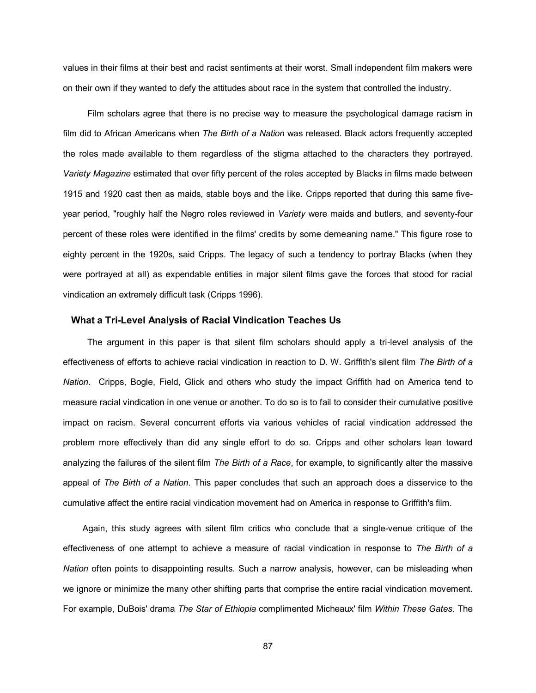values in their films at their best and racist sentiments at their worst. Small independent film makers were on their own if they wanted to defy the attitudes about race in the system that controlled the industry.

 Film scholars agree that there is no precise way to measure the psychological damage racism in film did to African Americans when *The Birth of a Nation* was released. Black actors frequently accepted the roles made available to them regardless of the stigma attached to the characters they portrayed. *Variety Magazine* estimated that over fifty percent of the roles accepted by Blacks in films made between 1915 and 1920 cast then as maids, stable boys and the like. Cripps reported that during this same fiveyear period, "roughly half the Negro roles reviewed in *Variety* were maids and butlers, and seventy-four percent of these roles were identified in the films' credits by some demeaning name." This figure rose to eighty percent in the 1920s, said Cripps. The legacy of such a tendency to portray Blacks (when they were portrayed at all) as expendable entities in major silent films gave the forces that stood for racial vindication an extremely difficult task (Cripps 1996).

#### **What a Tri-Level Analysis of Racial Vindication Teaches Us**

 The argument in this paper is that silent film scholars should apply a tri-level analysis of the effectiveness of efforts to achieve racial vindication in reaction to D. W. Griffith's silent film *The Birth of a Nation*. Cripps, Bogle, Field, Glick and others who study the impact Griffith had on America tend to measure racial vindication in one venue or another. To do so is to fail to consider their cumulative positive impact on racism. Several concurrent efforts via various vehicles of racial vindication addressed the problem more effectively than did any single effort to do so. Cripps and other scholars lean toward analyzing the failures of the silent film *The Birth of a Race*, for example, to significantly alter the massive appeal of *The Birth of a Nation*. This paper concludes that such an approach does a disservice to the cumulative affect the entire racial vindication movement had on America in response to Griffith's film.

 Again, this study agrees with silent film critics who conclude that a single-venue critique of the effectiveness of one attempt to achieve a measure of racial vindication in response to *The Birth of a Nation* often points to disappointing results. Such a narrow analysis, however, can be misleading when we ignore or minimize the many other shifting parts that comprise the entire racial vindication movement. For example, DuBois' drama *The Star of Ethiopia* complimented Micheaux' film *Within These Gates*. The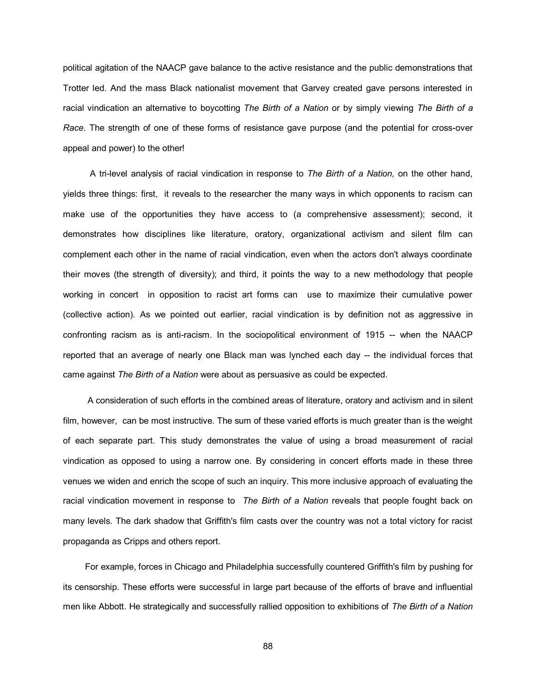political agitation of the NAACP gave balance to the active resistance and the public demonstrations that Trotter led. And the mass Black nationalist movement that Garvey created gave persons interested in racial vindication an alternative to boycotting *The Birth of a Nation* or by simply viewing *The Birth of a Race*. The strength of one of these forms of resistance gave purpose (and the potential for cross-over appeal and power) to the other!

 A tri-level analysis of racial vindication in response to *The Birth of a Nation,* on the other hand, yields three things: first, it reveals to the researcher the many ways in which opponents to racism can make use of the opportunities they have access to (a comprehensive assessment); second, it demonstrates how disciplines like literature, oratory, organizational activism and silent film can complement each other in the name of racial vindication, even when the actors don't always coordinate their moves (the strength of diversity); and third, it points the way to a new methodology that people working in concert in opposition to racist art forms can use to maximize their cumulative power (collective action). As we pointed out earlier, racial vindication is by definition not as aggressive in confronting racism as is anti-racism. In the sociopolitical environment of 1915 -- when the NAACP reported that an average of nearly one Black man was lynched each day -- the individual forces that came against *The Birth of a Nation* were about as persuasive as could be expected.

 A consideration of such efforts in the combined areas of literature, oratory and activism and in silent film, however, can be most instructive. The sum of these varied efforts is much greater than is the weight of each separate part. This study demonstrates the value of using a broad measurement of racial vindication as opposed to using a narrow one. By considering in concert efforts made in these three venues we widen and enrich the scope of such an inquiry. This more inclusive approach of evaluating the racial vindication movement in response to *The Birth of a Nation* reveals that people fought back on many levels. The dark shadow that Griffith's film casts over the country was not a total victory for racist propaganda as Cripps and others report.

 For example, forces in Chicago and Philadelphia successfully countered Griffith's film by pushing for its censorship. These efforts were successful in large part because of the efforts of brave and influential men like Abbott. He strategically and successfully rallied opposition to exhibitions of *The Birth of a Nation*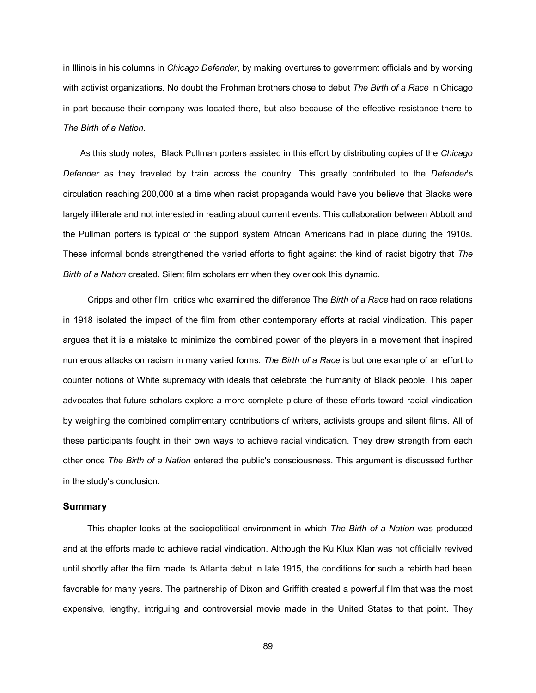in Illinois in his columns in *Chicago Defender*, by making overtures to government officials and by working with activist organizations. No doubt the Frohman brothers chose to debut *The Birth of a Race* in Chicago in part because their company was located there, but also because of the effective resistance there to *The Birth of a Nation*.

 As this study notes, Black Pullman porters assisted in this effort by distributing copies of the *Chicago Defender* as they traveled by train across the country. This greatly contributed to the *Defender*'s circulation reaching 200,000 at a time when racist propaganda would have you believe that Blacks were largely illiterate and not interested in reading about current events. This collaboration between Abbott and the Pullman porters is typical of the support system African Americans had in place during the 1910s. These informal bonds strengthened the varied efforts to fight against the kind of racist bigotry that *The Birth of a Nation* created. Silent film scholars err when they overlook this dynamic.

 Cripps and other film critics who examined the difference The *Birth of a Race* had on race relations in 1918 isolated the impact of the film from other contemporary efforts at racial vindication. This paper argues that it is a mistake to minimize the combined power of the players in a movement that inspired numerous attacks on racism in many varied forms. *The Birth of a Race* is but one example of an effort to counter notions of White supremacy with ideals that celebrate the humanity of Black people. This paper advocates that future scholars explore a more complete picture of these efforts toward racial vindication by weighing the combined complimentary contributions of writers, activists groups and silent films. All of these participants fought in their own ways to achieve racial vindication. They drew strength from each other once *The Birth of a Nation* entered the public's consciousness. This argument is discussed further in the study's conclusion.

#### **Summary**

 This chapter looks at the sociopolitical environment in which *The Birth of a Nation* was produced and at the efforts made to achieve racial vindication. Although the Ku Klux Klan was not officially revived until shortly after the film made its Atlanta debut in late 1915, the conditions for such a rebirth had been favorable for many years. The partnership of Dixon and Griffith created a powerful film that was the most expensive, lengthy, intriguing and controversial movie made in the United States to that point. They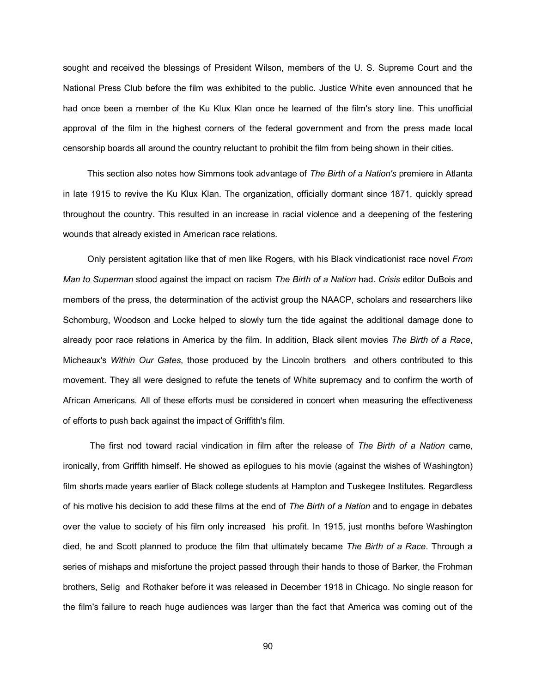sought and received the blessings of President Wilson, members of the U. S. Supreme Court and the National Press Club before the film was exhibited to the public. Justice White even announced that he had once been a member of the Ku Klux Klan once he learned of the film's story line. This unofficial approval of the film in the highest corners of the federal government and from the press made local censorship boards all around the country reluctant to prohibit the film from being shown in their cities.

 This section also notes how Simmons took advantage of *The Birth of a Nation's* premiere in Atlanta in late 1915 to revive the Ku Klux Klan. The organization, officially dormant since 1871, quickly spread throughout the country. This resulted in an increase in racial violence and a deepening of the festering wounds that already existed in American race relations.

 Only persistent agitation like that of men like Rogers, with his Black vindicationist race novel *From Man to Superman* stood against the impact on racism *The Birth of a Nation* had. *Crisis* editor DuBois and members of the press, the determination of the activist group the NAACP, scholars and researchers like Schomburg, Woodson and Locke helped to slowly turn the tide against the additional damage done to already poor race relations in America by the film. In addition, Black silent movies *The Birth of a Race*, Micheaux's *Within Our Gates*, those produced by the Lincoln brothers and others contributed to this movement. They all were designed to refute the tenets of White supremacy and to confirm the worth of African Americans. All of these efforts must be considered in concert when measuring the effectiveness of efforts to push back against the impact of Griffith's film.

 The first nod toward racial vindication in film after the release of *The Birth of a Nation* came, ironically, from Griffith himself. He showed as epilogues to his movie (against the wishes of Washington) film shorts made years earlier of Black college students at Hampton and Tuskegee Institutes. Regardless of his motive his decision to add these films at the end of *The Birth of a Nation* and to engage in debates over the value to society of his film only increased his profit. In 1915, just months before Washington died, he and Scott planned to produce the film that ultimately became *The Birth of a Race*. Through a series of mishaps and misfortune the project passed through their hands to those of Barker, the Frohman brothers, Selig and Rothaker before it was released in December 1918 in Chicago. No single reason for the film's failure to reach huge audiences was larger than the fact that America was coming out of the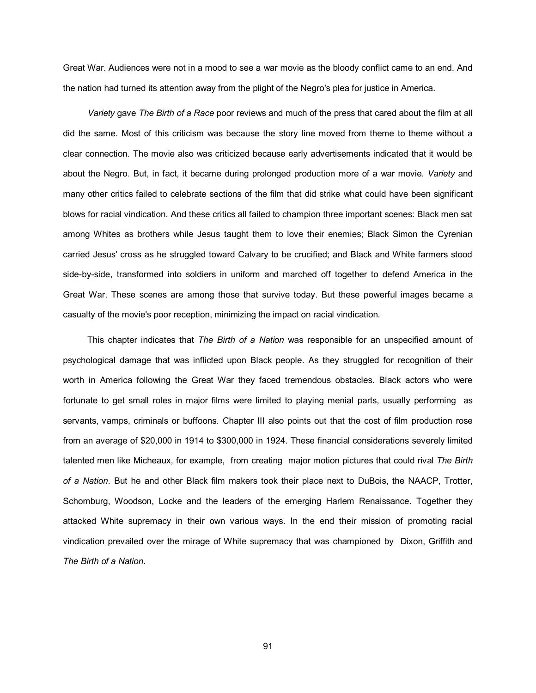Great War. Audiences were not in a mood to see a war movie as the bloody conflict came to an end. And the nation had turned its attention away from the plight of the Negro's plea for justice in America.

 *Variety* gave *The Birth of a Race* poor reviews and much of the press that cared about the film at all did the same. Most of this criticism was because the story line moved from theme to theme without a clear connection. The movie also was criticized because early advertisements indicated that it would be about the Negro. But, in fact, it became during prolonged production more of a war movie. *Variety* and many other critics failed to celebrate sections of the film that did strike what could have been significant blows for racial vindication. And these critics all failed to champion three important scenes: Black men sat among Whites as brothers while Jesus taught them to love their enemies; Black Simon the Cyrenian carried Jesus' cross as he struggled toward Calvary to be crucified; and Black and White farmers stood side-by-side, transformed into soldiers in uniform and marched off together to defend America in the Great War. These scenes are among those that survive today. But these powerful images became a casualty of the movie's poor reception, minimizing the impact on racial vindication.

 This chapter indicates that *The Birth of a Nation* was responsible for an unspecified amount of psychological damage that was inflicted upon Black people. As they struggled for recognition of their worth in America following the Great War they faced tremendous obstacles. Black actors who were fortunate to get small roles in major films were limited to playing menial parts, usually performing as servants, vamps, criminals or buffoons. Chapter III also points out that the cost of film production rose from an average of \$20,000 in 1914 to \$300,000 in 1924. These financial considerations severely limited talented men like Micheaux, for example, from creating major motion pictures that could rival *The Birth of a Nation*. But he and other Black film makers took their place next to DuBois, the NAACP, Trotter, Schomburg, Woodson, Locke and the leaders of the emerging Harlem Renaissance. Together they attacked White supremacy in their own various ways. In the end their mission of promoting racial vindication prevailed over the mirage of White supremacy that was championed by Dixon, Griffith and *The Birth of a Nation*.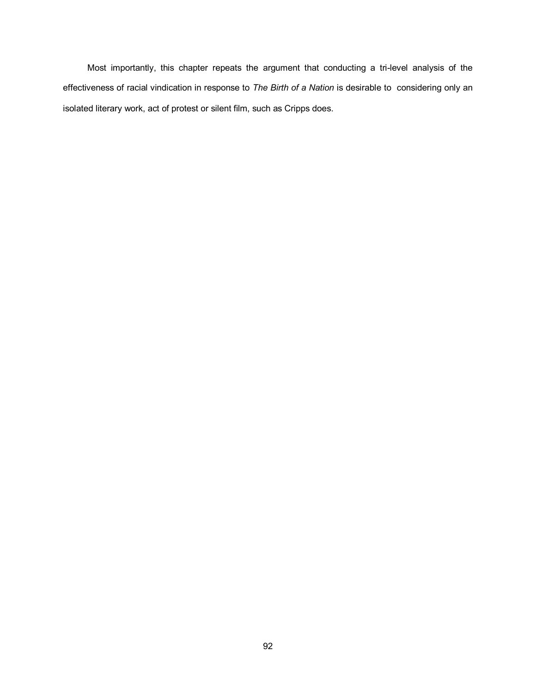Most importantly, this chapter repeats the argument that conducting a tri-level analysis of the effectiveness of racial vindication in response to *The Birth of a Nation* is desirable to considering only an isolated literary work, act of protest or silent film, such as Cripps does.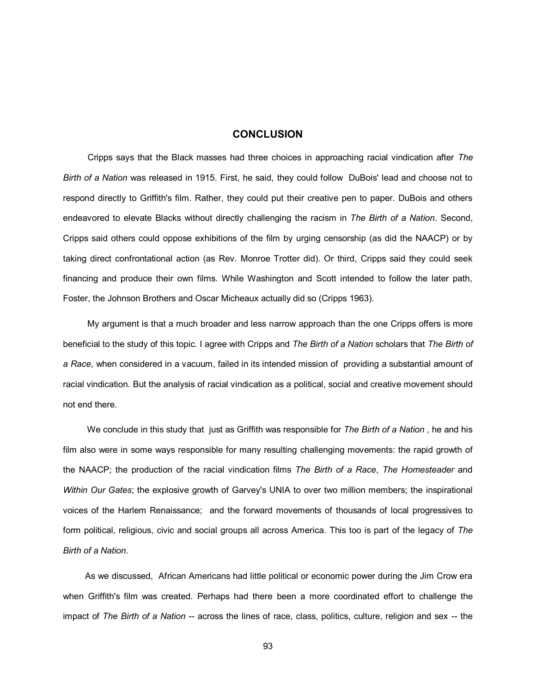## **CONCLUSION**

 Cripps says that the Black masses had three choices in approaching racial vindication after *The Birth of a Nation* was released in 1915. First, he said, they could follow DuBois' lead and choose not to respond directly to Griffith's film. Rather, they could put their creative pen to paper. DuBois and others endeavored to elevate Blacks without directly challenging the racism in *The Birth of a Nation*. Second, Cripps said others could oppose exhibitions of the film by urging censorship (as did the NAACP) or by taking direct confrontational action (as Rev. Monroe Trotter did). Or third, Cripps said they could seek financing and produce their own films. While Washington and Scott intended to follow the later path, Foster, the Johnson Brothers and Oscar Micheaux actually did so (Cripps 1963).

 My argument is that a much broader and less narrow approach than the one Cripps offers is more beneficial to the study of this topic. I agree with Cripps and *The Birth of a Nation* scholars that *The Birth of a Race*, when considered in a vacuum, failed in its intended mission of providing a substantial amount of racial vindication. But the analysis of racial vindication as a political, social and creative movement should not end there.

 We conclude in this study that just as Griffith was responsible for *The Birth of a Nation* , he and his film also were in some ways responsible for many resulting challenging movements: the rapid growth of the NAACP; the production of the racial vindication films *The Birth of a Race*, *The Homesteader* and *Within Our Gates*; the explosive growth of Garvey's UNIA to over two million members; the inspirational voices of the Harlem Renaissance; and the forward movements of thousands of local progressives to form political, religious, civic and social groups all across America. This too is part of the legacy of *The Birth of a Nation*.

 As we discussed, African Americans had little political or economic power during the Jim Crow era when Griffith's film was created. Perhaps had there been a more coordinated effort to challenge the impact of The Birth of a Nation -- across the lines of race, class, politics, culture, religion and sex -- the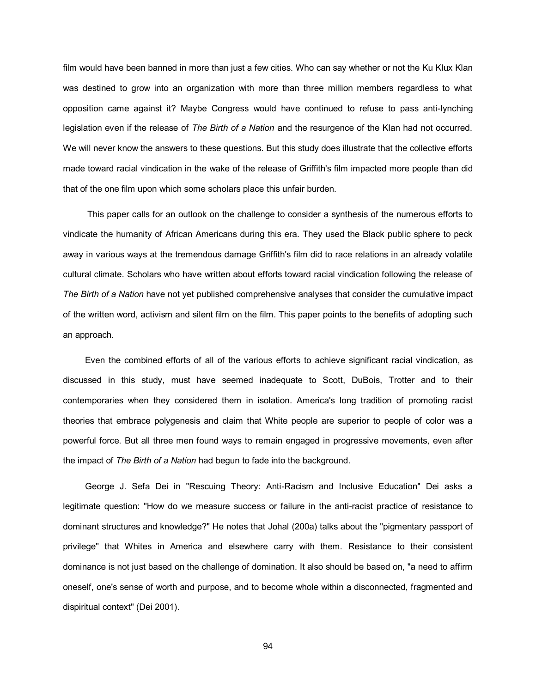film would have been banned in more than just a few cities. Who can say whether or not the Ku Klux Klan was destined to grow into an organization with more than three million members regardless to what opposition came against it? Maybe Congress would have continued to refuse to pass anti-lynching legislation even if the release of *The Birth of a Nation* and the resurgence of the Klan had not occurred. We will never know the answers to these questions. But this study does illustrate that the collective efforts made toward racial vindication in the wake of the release of Griffith's film impacted more people than did that of the one film upon which some scholars place this unfair burden.

 This paper calls for an outlook on the challenge to consider a synthesis of the numerous efforts to vindicate the humanity of African Americans during this era. They used the Black public sphere to peck away in various ways at the tremendous damage Griffith's film did to race relations in an already volatile cultural climate. Scholars who have written about efforts toward racial vindication following the release of *The Birth of a Nation* have not yet published comprehensive analyses that consider the cumulative impact of the written word, activism and silent film on the film. This paper points to the benefits of adopting such an approach.

 Even the combined efforts of all of the various efforts to achieve significant racial vindication, as discussed in this study, must have seemed inadequate to Scott, DuBois, Trotter and to their contemporaries when they considered them in isolation. America's long tradition of promoting racist theories that embrace polygenesis and claim that White people are superior to people of color was a powerful force. But all three men found ways to remain engaged in progressive movements, even after the impact of *The Birth of a Nation* had begun to fade into the background.

 George J. Sefa Dei in "Rescuing Theory: Anti-Racism and Inclusive Education" Dei asks a legitimate question: "How do we measure success or failure in the anti-racist practice of resistance to dominant structures and knowledge?" He notes that Johal (200a) talks about the "pigmentary passport of privilege" that Whites in America and elsewhere carry with them. Resistance to their consistent dominance is not just based on the challenge of domination. It also should be based on, "a need to affirm oneself, one's sense of worth and purpose, and to become whole within a disconnected, fragmented and dispiritual context" (Dei 2001).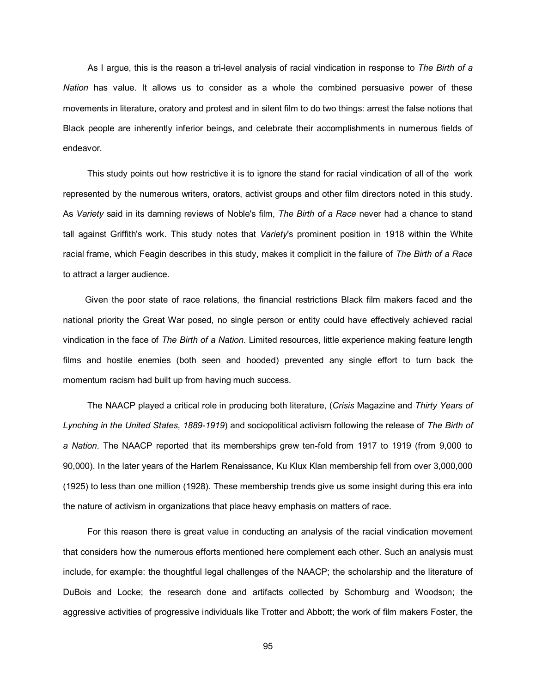As I argue, this is the reason a tri-level analysis of racial vindication in response to *The Birth of a Nation* has value. It allows us to consider as a whole the combined persuasive power of these movements in literature, oratory and protest and in silent film to do two things: arrest the false notions that Black people are inherently inferior beings, and celebrate their accomplishments in numerous fields of endeavor.

 This study points out how restrictive it is to ignore the stand for racial vindication of all of the work represented by the numerous writers, orators, activist groups and other film directors noted in this study. As *Variety* said in its damning reviews of Noble's film, *The Birth of a Race* never had a chance to stand tall against Griffith's work. This study notes that *Variety*'s prominent position in 1918 within the White racial frame, which Feagin describes in this study, makes it complicit in the failure of *The Birth of a Race*  to attract a larger audience*.* 

 Given the poor state of race relations, the financial restrictions Black film makers faced and the national priority the Great War posed, no single person or entity could have effectively achieved racial vindication in the face of *The Birth of a Nation*. Limited resources, little experience making feature length films and hostile enemies (both seen and hooded) prevented any single effort to turn back the momentum racism had built up from having much success.

 The NAACP played a critical role in producing both literature, (*Crisis* Magazine and *Thirty Years of Lynching in the United States, 1889-1919*) and sociopolitical activism following the release of *The Birth of a Nation*. The NAACP reported that its memberships grew ten-fold from 1917 to 1919 (from 9,000 to 90,000). In the later years of the Harlem Renaissance, Ku Klux Klan membership fell from over 3,000,000 (1925) to less than one million (1928). These membership trends give us some insight during this era into the nature of activism in organizations that place heavy emphasis on matters of race.

 For this reason there is great value in conducting an analysis of the racial vindication movement that considers how the numerous efforts mentioned here complement each other. Such an analysis must include, for example: the thoughtful legal challenges of the NAACP; the scholarship and the literature of DuBois and Locke; the research done and artifacts collected by Schomburg and Woodson; the aggressive activities of progressive individuals like Trotter and Abbott; the work of film makers Foster, the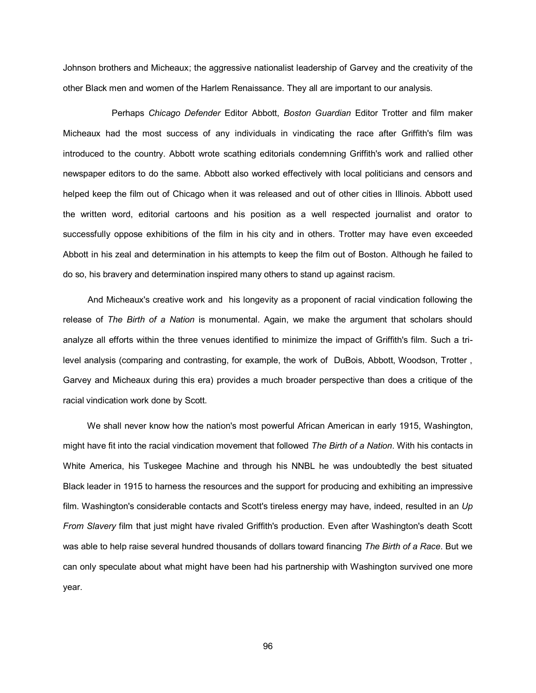Johnson brothers and Micheaux; the aggressive nationalist leadership of Garvey and the creativity of the other Black men and women of the Harlem Renaissance. They all are important to our analysis.

 Perhaps *Chicago Defender* Editor Abbott, *Boston Guardian* Editor Trotter and film maker Micheaux had the most success of any individuals in vindicating the race after Griffith's film was introduced to the country. Abbott wrote scathing editorials condemning Griffith's work and rallied other newspaper editors to do the same. Abbott also worked effectively with local politicians and censors and helped keep the film out of Chicago when it was released and out of other cities in Illinois. Abbott used the written word, editorial cartoons and his position as a well respected journalist and orator to successfully oppose exhibitions of the film in his city and in others. Trotter may have even exceeded Abbott in his zeal and determination in his attempts to keep the film out of Boston. Although he failed to do so, his bravery and determination inspired many others to stand up against racism.

 And Micheaux's creative work and his longevity as a proponent of racial vindication following the release of *The Birth of a Nation* is monumental. Again, we make the argument that scholars should analyze all efforts within the three venues identified to minimize the impact of Griffith's film. Such a trilevel analysis (comparing and contrasting, for example, the work of DuBois, Abbott, Woodson, Trotter , Garvey and Micheaux during this era) provides a much broader perspective than does a critique of the racial vindication work done by Scott.

 We shall never know how the nation's most powerful African American in early 1915, Washington, might have fit into the racial vindication movement that followed *The Birth of a Nation*. With his contacts in White America, his Tuskegee Machine and through his NNBL he was undoubtedly the best situated Black leader in 1915 to harness the resources and the support for producing and exhibiting an impressive film. Washington's considerable contacts and Scott's tireless energy may have, indeed, resulted in an *Up From Slavery* film that just might have rivaled Griffith's production. Even after Washington's death Scott was able to help raise several hundred thousands of dollars toward financing *The Birth of a Race*. But we can only speculate about what might have been had his partnership with Washington survived one more year.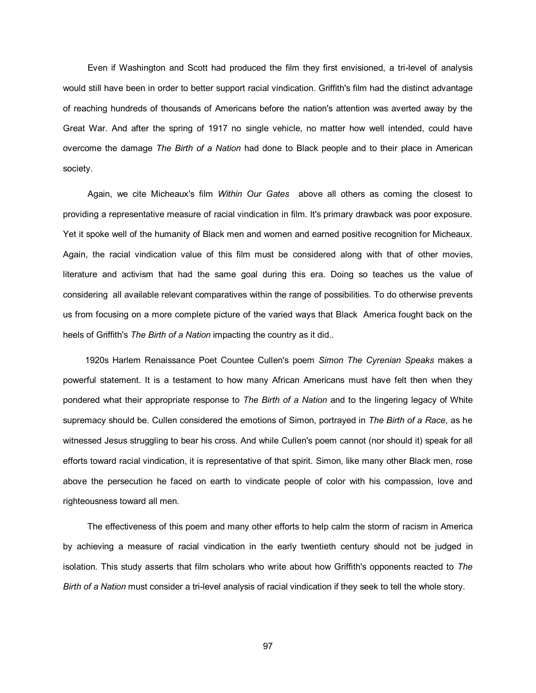Even if Washington and Scott had produced the film they first envisioned, a tri-level of analysis would still have been in order to better support racial vindication. Griffith's film had the distinct advantage of reaching hundreds of thousands of Americans before the nation's attention was averted away by the Great War. And after the spring of 1917 no single vehicle, no matter how well intended, could have overcome the damage *The Birth of a Nation* had done to Black people and to their place in American society.

 Again, we cite Micheaux's film *Within Our Gates* above all others as coming the closest to providing a representative measure of racial vindication in film. It's primary drawback was poor exposure. Yet it spoke well of the humanity of Black men and women and earned positive recognition for Micheaux. Again, the racial vindication value of this film must be considered along with that of other movies, literature and activism that had the same goal during this era. Doing so teaches us the value of considering all available relevant comparatives within the range of possibilities. To do otherwise prevents us from focusing on a more complete picture of the varied ways that Black America fought back on the heels of Griffith's *The Birth of a Nation* impacting the country as it did..

 1920s Harlem Renaissance Poet Countee Cullen's poem *Simon The Cyrenian Speaks* makes a powerful statement. It is a testament to how many African Americans must have felt then when they pondered what their appropriate response to *The Birth of a Nation* and to the lingering legacy of White supremacy should be. Cullen considered the emotions of Simon, portrayed in *The Birth of a Race*, as he witnessed Jesus struggling to bear his cross. And while Cullen's poem cannot (nor should it) speak for all efforts toward racial vindication, it is representative of that spirit. Simon, like many other Black men, rose above the persecution he faced on earth to vindicate people of color with his compassion, love and righteousness toward all men.

 The effectiveness of this poem and many other efforts to help calm the storm of racism in America by achieving a measure of racial vindication in the early twentieth century should not be judged in isolation. This study asserts that film scholars who write about how Griffith's opponents reacted to *The Birth of a Nation* must consider a tri-level analysis of racial vindication if they seek to tell the whole story.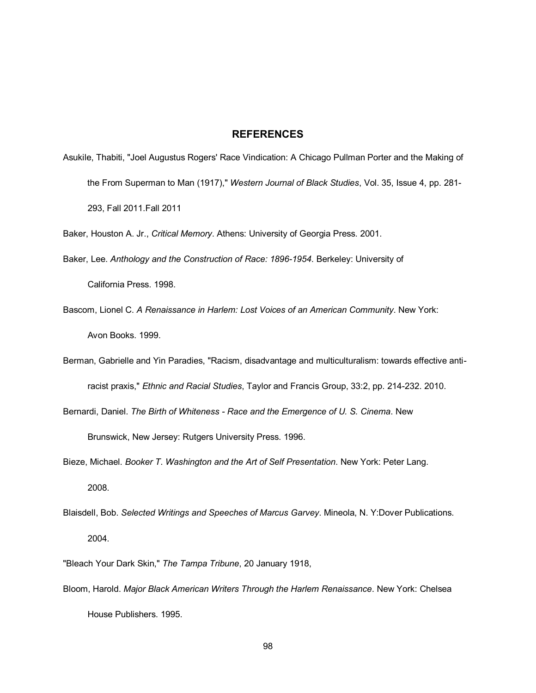# **REFERENCES**

- Asukile, Thabiti, "Joel Augustus Rogers' Race Vindication: A Chicago Pullman Porter and the Making of the From Superman to Man (1917)," *Western Journal of Black Studies*, Vol. 35, Issue 4, pp. 281- 293, Fall 2011.Fall 2011
- Baker, Houston A. Jr., *Critical Memory*. Athens: University of Georgia Press. 2001.
- Baker, Lee. *Anthology and the Construction of Race: 1896-1954*. Berkeley: University of

California Press. 1998.

- Bascom, Lionel C. *A Renaissance in Harlem: Lost Voices of an American Community*. New York: Avon Books. 1999.
- Berman, Gabrielle and Yin Paradies, "Racism, disadvantage and multiculturalism: towards effective anti racist praxis," *Ethnic and Racial Studies*, Taylor and Francis Group, 33:2, pp. 214-232. 2010.
- Bernardi, Daniel. *The Birth of Whiteness Race and the Emergence of U. S. Cinema*. New

Brunswick, New Jersey: Rutgers University Press. 1996.

- Bieze, Michael. *Booker T*. *Washington and the Art of Self Presentation*. New York: Peter Lang. 2008.
- Blaisdell, Bob. *Selected Writings and Speeches of Marcus Garvey*. Mineola, N. Y:Dover Publications. 2004.
- "Bleach Your Dark Skin," *The Tampa Tribune*, 20 January 1918,
- Bloom, Harold. *Major Black American Writers Through the Harlem Renaissance*. New York: Chelsea House Publishers. 1995.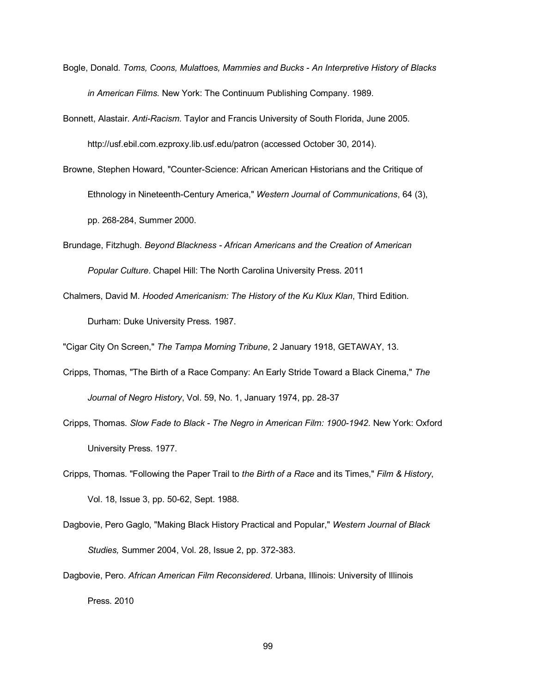- Bogle, Donald. *Toms, Coons, Mulattoes, Mammies and Bucks An Interpretive History of Blacks in American Films*. New York: The Continuum Publishing Company. 1989.
- Bonnett, Alastair. *Anti-Racism.* Taylor and Francis University of South Florida, June 2005. http://usf.ebil.com.ezproxy.lib.usf.edu/patron (accessed October 30, 2014).
- Browne, Stephen Howard, "Counter-Science: African American Historians and the Critique of Ethnology in Nineteenth-Century America," *Western Journal of Communications*, 64 (3), pp. 268-284, Summer 2000.
- Brundage, Fitzhugh. *Beyond Blackness African Americans and the Creation of American Popular Culture*. Chapel Hill: The North Carolina University Press. 2011
- Chalmers, David M. *Hooded Americanism: The History of the Ku Klux Klan*, Third Edition. Durham: Duke University Press. 1987.

"Cigar City On Screen," *The Tampa Morning Tribune*, 2 January 1918, GETAWAY, 13.

- Cripps, Thomas, "The Birth of a Race Company: An Early Stride Toward a Black Cinema," *The Journal of Negro History*, Vol. 59, No. 1, January 1974, pp. 28-37
- Cripps, Thomas. *Slow Fade to Black The Negro in American Film: 1900-1942*. New York: Oxford University Press. 1977.
- Cripps, Thomas. "Following the Paper Trail to *the Birth of a Race* and its Times," *Film & History*, Vol. 18, Issue 3, pp. 50-62, Sept. 1988.
- Dagbovie, Pero Gaglo, "Making Black History Practical and Popular," *Western Journal of Black Studies,* Summer 2004, Vol. 28, Issue 2, pp. 372-383.
- Dagbovie, Pero. *African American Film Reconsidered*. Urbana, Illinois: University of Illinois Press. 2010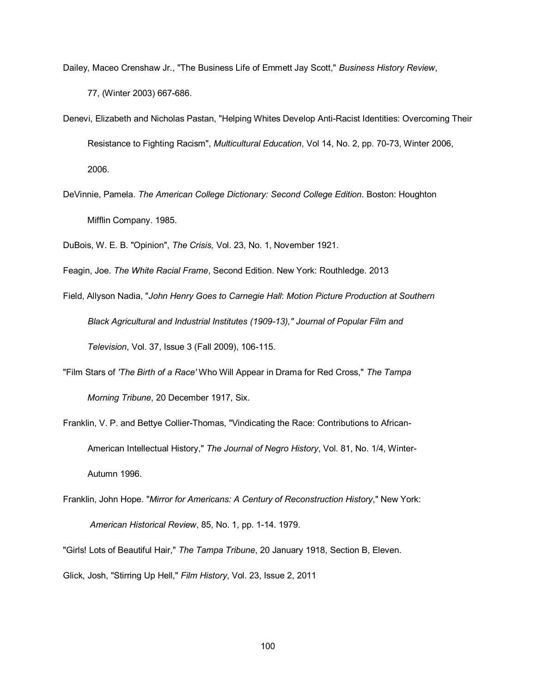Dailey, Maceo Crenshaw Jr., "The Business Life of Emmett Jay Scott," *Business History Review*,

77, (Winter 2003) 667-686.

- Denevi, Elizabeth and Nicholas Pastan, "Helping Whites Develop Anti-Racist Identities: Overcoming Their Resistance to Fighting Racism", *Multicultural Education*, Vol 14, No. 2, pp. 70-73, Winter 2006, 2006.
- DeVinnie, Pamela. *The American College Dictionary: Second College Edition*. Boston: Houghton Mifflin Company. 1985.

DuBois, W. E. B. "Opinion", *The Crisis,* Vol. 23, No. 1, November 1921.

Feagin, Joe. *The White Racial Frame*, Second Edition. New York: Routhledge. 2013

Field, Allyson Nadia, "*John Henry Goes to Carnegie Hall*: *Motion Picture Production at Southern Black Agricultural and Industrial Institutes (1909-13)," Journal of Popular Film and Television*, Vol. 37, Issue 3 (Fall 2009), 106-115.

"Film Stars of *'The Birth of a Race'* Who Will Appear in Drama for Red Cross," *The Tampa Morning Tribune*, 20 December 1917, Six.

Franklin, V. P. and Bettye Collier-Thomas, "Vindicating the Race: Contributions to African- American Intellectual History," *The Journal of Negro History*, Vol. 81, No. 1/4, Winter- Autumn 1996.

Franklin, John Hope. "*Mirror for Americans: A Century of Reconstruction History*," New York: *American Historical Review*, 85, No. 1, pp. 1-14. 1979.

"Girls! Lots of Beautiful Hair," *The Tampa Tribune*, 20 January 1918, Section B, Eleven. Glick, Josh, "Stirring Up Hell," *Film History*, Vol. 23, Issue 2, 2011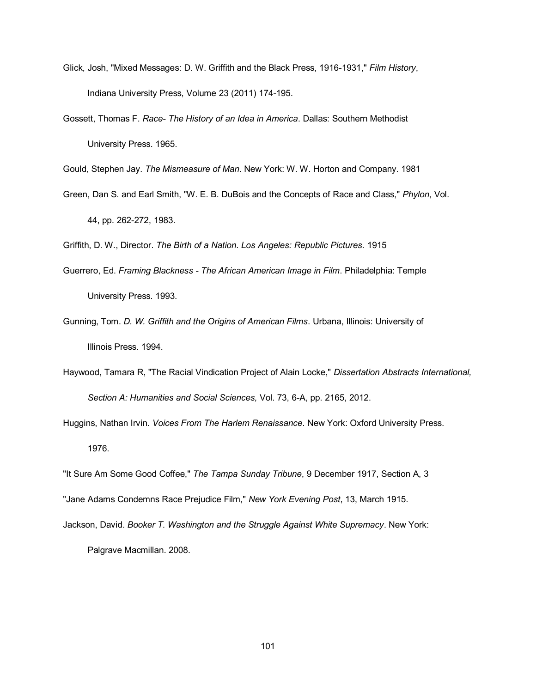- Glick, Josh, "Mixed Messages: D. W. Griffith and the Black Press, 1916-1931," *Film History*, Indiana University Press, Volume 23 (2011) 174-195.
- Gossett, Thomas F. *Race- The History of an Idea in America*. Dallas: Southern Methodist University Press. 1965.

Gould, Stephen Jay. *The Mismeasure of Man*. New York: W. W. Horton and Company. 1981

Green, Dan S. and Earl Smith, "W. E. B. DuBois and the Concepts of Race and Class," *Phylon*, Vol. 44, pp. 262-272, 1983.

Griffith, D. W., Director. *The Birth of a Nation. Los Angeles: Republic Pictures.* 1915

- Guerrero, Ed. *Framing Blackness The African American Image in Film*. Philadelphia: Temple University Press. 1993.
- Gunning, Tom. *D. W. Griffith and the Origins of American Films*. Urbana, Illinois: University of Illinois Press. 1994.
- Haywood, Tamara R, "The Racial Vindication Project of Alain Locke," *Dissertation Abstracts International, Section A: Humanities and Social Sciences,* Vol. 73, 6-A, pp. 2165, 2012.
- Huggins, Nathan Irvin. *Voices From The Harlem Renaissance*. New York: Oxford University Press. 1976.

"It Sure Am Some Good Coffee," *The Tampa Sunday Tribune*, 9 December 1917, Section A, 3 "Jane Adams Condemns Race Prejudice Film," *New York Evening Post*, 13, March 1915. Jackson, David. *Booker T. Washington and the Struggle Against White Supremacy*. New York:

Palgrave Macmillan. 2008.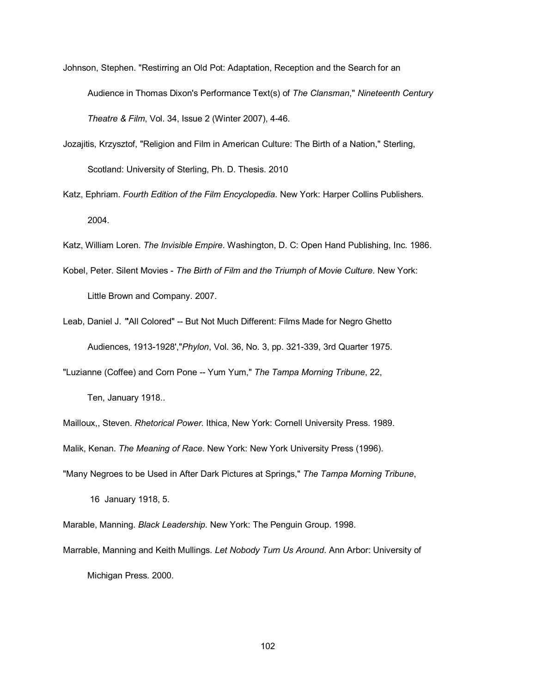Johnson, Stephen. "Restirring an Old Pot: Adaptation, Reception and the Search for an Audience in Thomas Dixon's Performance Text(s) of *The Clansman*," *Nineteenth Century Theatre & Film*, Vol. 34, Issue 2 (Winter 2007), 4-46.

- Jozajitis, Krzysztof, "Religion and Film in American Culture: The Birth of a Nation," Sterling, Scotland: University of Sterling, Ph. D. Thesis. 2010
- Katz, Ephriam. *Fourth Edition of the Film Encyclopedia*. New York: Harper Collins Publishers. 2004.

Katz, William Loren. *The Invisible Empire*. Washington, D. C: Open Hand Publishing, Inc. 1986.

- Kobel, Peter. Silent Movies *The Birth of Film and the Triumph of Movie Culture*. New York: Little Brown and Company. 2007.
- Leab, Daniel J*. "*'All Colored" -- But Not Much Different: Films Made for Negro Ghetto Audiences, 1913-1928',"*Phylon*, Vol. 36, No. 3, pp. 321-339, 3rd Quarter 1975.

"Luzianne (Coffee) and Corn Pone -- Yum Yum," *The Tampa Morning Tribune*, 22,

Ten, January 1918..

Mailloux,, Steven. *Rhetorical Power*. Ithica, New York: Cornell University Press. 1989.

Malik, Kenan. *The Meaning of Race*. New York: New York University Press (1996).

"Many Negroes to be Used in After Dark Pictures at Springs," *The Tampa Morning Tribune*,

16 January 1918, 5.

Marable, Manning. *Black Leadership*. New York: The Penguin Group. 1998.

Marrable, Manning and Keith Mullings. *Let Nobody Turn Us Around*. Ann Arbor: University of

Michigan Press. 2000.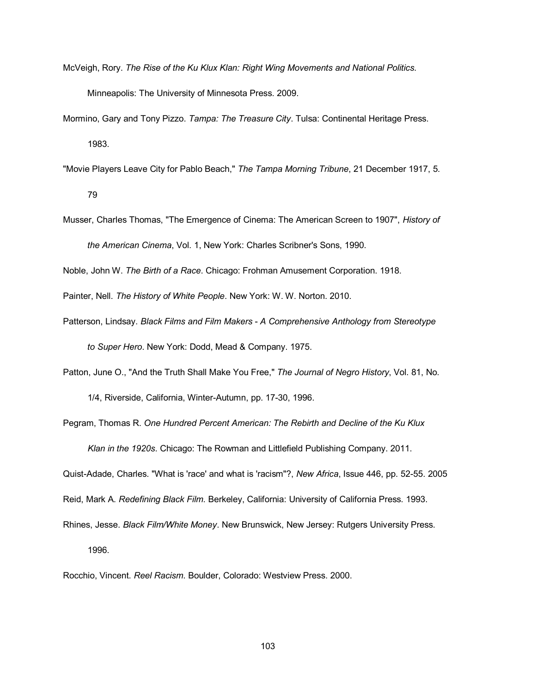- McVeigh, Rory. *The Rise of the Ku Klux Klan: Right Wing Movements and National Politics.*  Minneapolis: The University of Minnesota Press. 2009.
- Mormino, Gary and Tony Pizzo. *Tampa: The Treasure City*. Tulsa: Continental Heritage Press. 1983.
- "Movie Players Leave City for Pablo Beach," *The Tampa Morning Tribune*, 21 December 1917, 5.

79

Musser, Charles Thomas, "The Emergence of Cinema: The American Screen to 1907", *History of the American Cinema*, Vol. 1, New York: Charles Scribner's Sons, 1990.

Noble, John W. *The Birth of a Race*. Chicago: Frohman Amusement Corporation. 1918.

Painter, Nell. *The History of White People*. New York: W. W. Norton. 2010.

Patterson, Lindsay. *Black Films and Film Makers* - *A Comprehensive Anthology from Stereotype to Super Hero*. New York: Dodd, Mead & Company. 1975.

Patton, June O., "And the Truth Shall Make You Free," *The Journal of Negro History*, Vol. 81, No.

1/4, Riverside, California, Winter-Autumn, pp. 17-30, 1996.

Pegram, Thomas R. *One Hundred Percent American: The Rebirth and Decline of the Ku Klux Klan in the 1920s*. Chicago: The Rowman and Littlefield Publishing Company. 2011.

Quist-Adade, Charles. "What is 'race' and what is 'racism"?, *New Africa*, Issue 446, pp. 52-55. 2005

Reid, Mark A. *Redefining Black Film*. Berkeley, California: University of California Press. 1993.

Rhines, Jesse. *Black Film/White Money*. New Brunswick, New Jersey: Rutgers University Press.

1996.

Rocchio, Vincent. *Reel Racism*. Boulder, Colorado: Westview Press. 2000.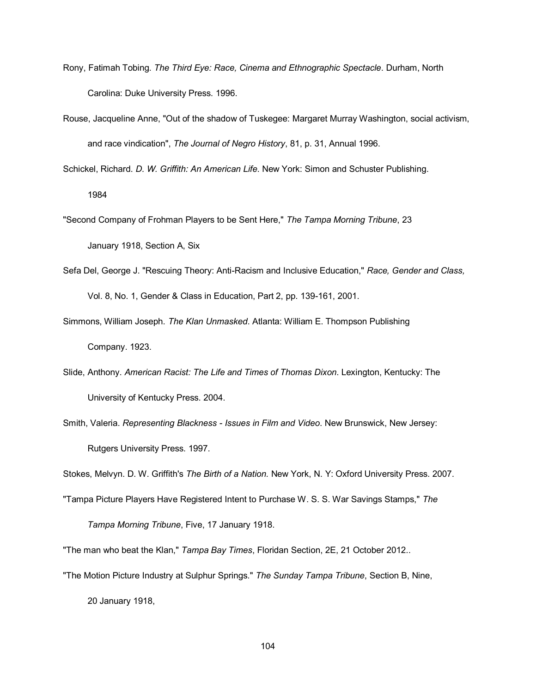- Rony, Fatimah Tobing. *The Third Eye: Race, Cinema and Ethnographic Spectacle*. Durham, North Carolina: Duke University Press. 1996.
- Rouse, Jacqueline Anne, "Out of the shadow of Tuskegee: Margaret Murray Washington, social activism, and race vindication", *The Journal of Negro History*, 81, p. 31, Annual 1996.
- Schickel, Richard. *D. W. Griffith: An American Life*. New York: Simon and Schuster Publishing. 1984
- "Second Company of Frohman Players to be Sent Here," *The Tampa Morning Tribune*, 23 January 1918, Section A, Six
- Sefa Del, George J. "Rescuing Theory: Anti-Racism and Inclusive Education," *Race, Gender and Class,*  Vol. 8, No. 1, Gender & Class in Education, Part 2, pp. 139-161, 2001.
- Simmons, William Joseph. *The Klan Unmasked*. Atlanta: William E. Thompson Publishing Company. 1923.
- Slide, Anthony. *American Racist: The Life and Times of Thomas Dixon*. Lexington, Kentucky: The University of Kentucky Press. 2004.
- Smith, Valeria. *Representing Blackness Issues in Film and Video*. New Brunswick, New Jersey: Rutgers University Press. 1997.

Stokes, Melvyn. D. W. Griffith's *The Birth of a Nation.* New York, N. Y: Oxford University Press. 2007.

"Tampa Picture Players Have Registered Intent to Purchase W. S. S. War Savings Stamps," *The* 

*Tampa Morning Tribune*, Five, 17 January 1918.

"The man who beat the Klan," *Tampa Bay Times*, Floridan Section, 2E, 21 October 2012..

"The Motion Picture Industry at Sulphur Springs." *The Sunday Tampa Tribune*, Section B, Nine,

20 January 1918,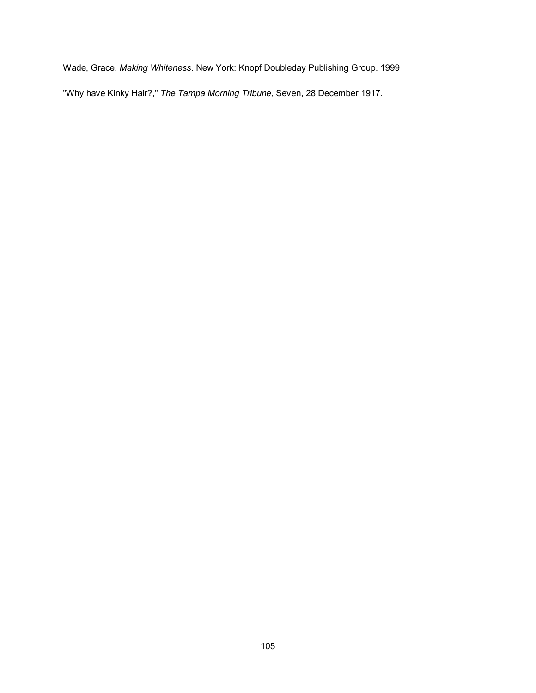Wade, Grace. *Making Whiteness*. New York: Knopf Doubleday Publishing Group. 1999

"Why have Kinky Hair?," *The Tampa Morning Tribune*, Seven, 28 December 1917.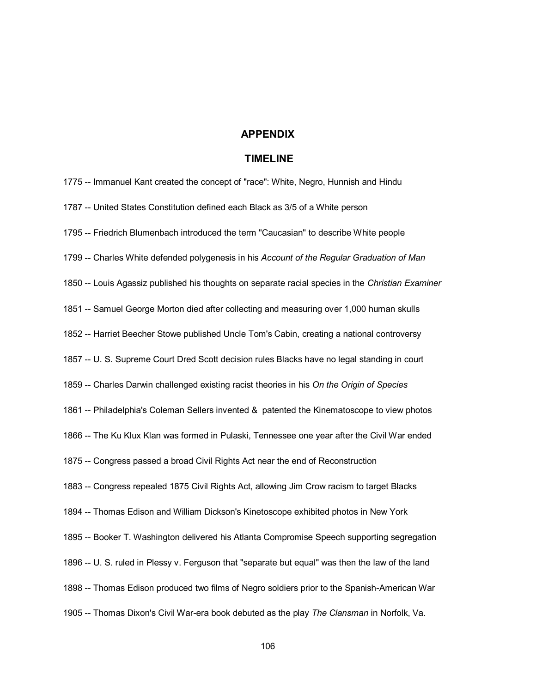## **APPENDIX**

## **TIMELINE**

1775 -- Immanuel Kant created the concept of "race": White, Negro, Hunnish and Hindu 1787 -- United States Constitution defined each Black as 3/5 of a White person 1795 -- Friedrich Blumenbach introduced the term "Caucasian" to describe White people 1799 -- Charles White defended polygenesis in his *Account of the Regular Graduation of Man*  1850 -- Louis Agassiz published his thoughts on separate racial species in the *Christian Examiner*  1851 -- Samuel George Morton died after collecting and measuring over 1,000 human skulls 1852 -- Harriet Beecher Stowe published Uncle Tom's Cabin, creating a national controversy 1857 -- U. S. Supreme Court Dred Scott decision rules Blacks have no legal standing in court 1859 -- Charles Darwin challenged existing racist theories in his *On the Origin of Species*  1861 -- Philadelphia's Coleman Sellers invented & patented the Kinematoscope to view photos 1866 -- The Ku Klux Klan was formed in Pulaski, Tennessee one year after the Civil War ended 1875 -- Congress passed a broad Civil Rights Act near the end of Reconstruction 1883 -- Congress repealed 1875 Civil Rights Act, allowing Jim Crow racism to target Blacks 1894 -- Thomas Edison and William Dickson's Kinetoscope exhibited photos in New York 1895 -- Booker T. Washington delivered his Atlanta Compromise Speech supporting segregation 1896 -- U. S. ruled in Plessy v. Ferguson that "separate but equal" was then the law of the land 1898 -- Thomas Edison produced two films of Negro soldiers prior to the Spanish-American War 1905 -- Thomas Dixon's Civil War-era book debuted as the play *The Clansman* in Norfolk, Va.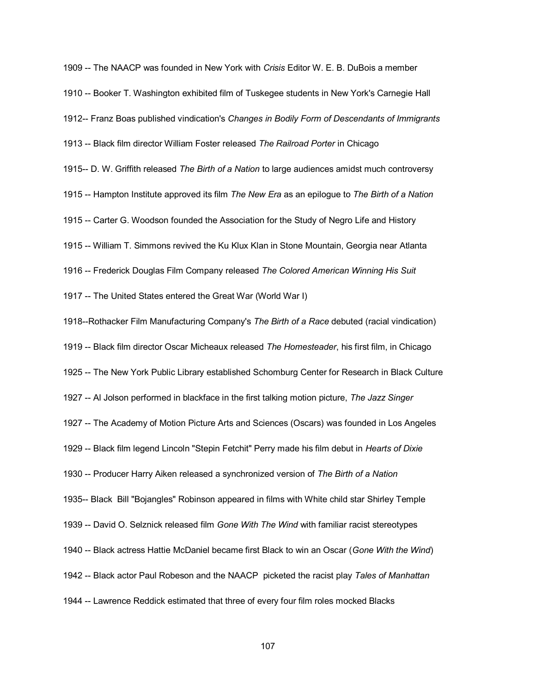1909 -- The NAACP was founded in New York with *Crisis* Editor W. E. B. DuBois a member 1910 -- Booker T. Washington exhibited film of Tuskegee students in New York's Carnegie Hall 1912-- Franz Boas published vindication's *Changes in Bodily Form of Descendants of Immigrants* 1913 -- Black film director William Foster released *The Railroad Porter* in Chicago 1915-- D. W. Griffith released *The Birth of a Nation* to large audiences amidst much controversy 1915 -- Hampton Institute approved its film *The New Era* as an epilogue to *The Birth of a Nation*  1915 -- Carter G. Woodson founded the Association for the Study of Negro Life and History 1915 -- William T. Simmons revived the Ku Klux Klan in Stone Mountain, Georgia near Atlanta 1916 -- Frederick Douglas Film Company released *The Colored American Winning His Suit* 1917 -- The United States entered the Great War (World War I)

1918--Rothacker Film Manufacturing Company's *The Birth of a Race* debuted (racial vindication) 1919 -- Black film director Oscar Micheaux released *The Homesteader*, his first film, in Chicago 1925 -- The New York Public Library established Schomburg Center for Research in Black Culture 1927 -- Al Jolson performed in blackface in the first talking motion picture, *The Jazz Singer*  1927 -- The Academy of Motion Picture Arts and Sciences (Oscars) was founded in Los Angeles 1929 -- Black film legend Lincoln "Stepin Fetchit" Perry made his film debut in *Hearts of Dixie*  1930 -- Producer Harry Aiken released a synchronized version of *The Birth of a Nation*  1935-- Black Bill "Bojangles" Robinson appeared in films with White child star Shirley Temple 1939 -- David O. Selznick released film *Gone With The Wind* with familiar racist stereotypes 1940 -- Black actress Hattie McDaniel became first Black to win an Oscar (*Gone With the Wind*) 1942 -- Black actor Paul Robeson and the NAACP picketed the racist play *Tales of Manhattan*  1944 -- Lawrence Reddick estimated that three of every four film roles mocked Blacks